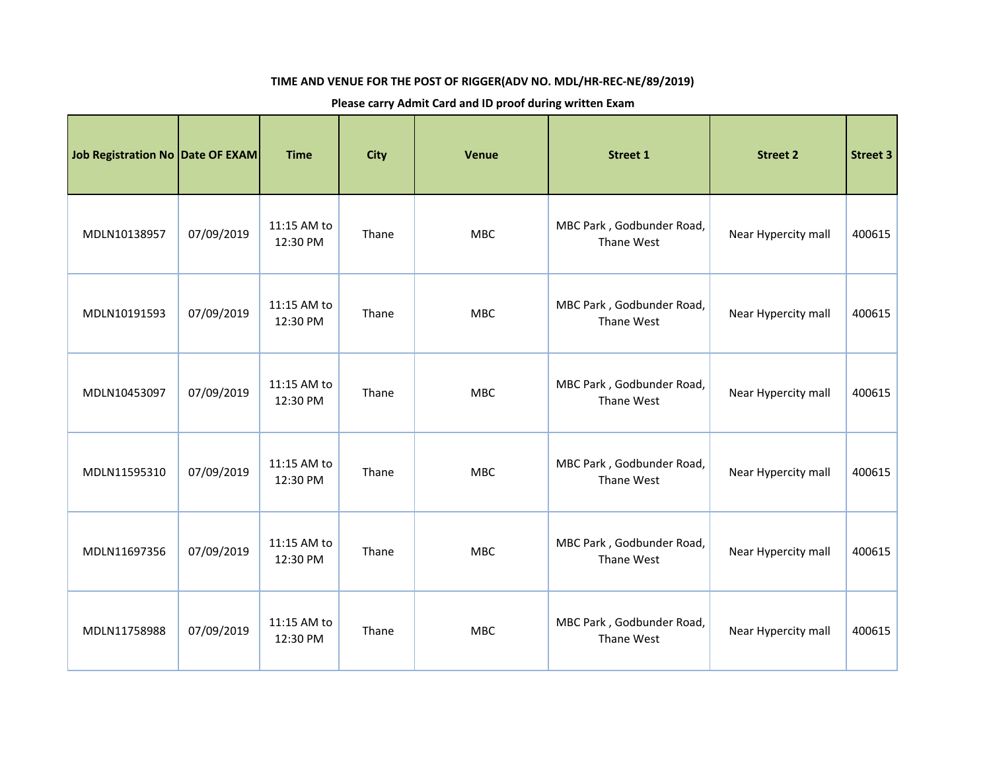## **TIME AND VENUE FOR THE POST OF RIGGER(ADV NO. MDL/HR-REC-NE/89/2019)**

## **Please carry Admit Card and ID proof during written Exam**

| Job Registration No   Date OF EXAM |            | <b>Time</b>             | <b>City</b> | <b>Venue</b> | <b>Street 1</b>                         | <b>Street 2</b>     | <b>Street 3</b> |
|------------------------------------|------------|-------------------------|-------------|--------------|-----------------------------------------|---------------------|-----------------|
| MDLN10138957                       | 07/09/2019 | 11:15 AM to<br>12:30 PM | Thane       | <b>MBC</b>   | MBC Park, Godbunder Road,<br>Thane West | Near Hypercity mall | 400615          |
| MDLN10191593                       | 07/09/2019 | 11:15 AM to<br>12:30 PM | Thane       | <b>MBC</b>   | MBC Park, Godbunder Road,<br>Thane West | Near Hypercity mall | 400615          |
| MDLN10453097                       | 07/09/2019 | 11:15 AM to<br>12:30 PM | Thane       | <b>MBC</b>   | MBC Park, Godbunder Road,<br>Thane West | Near Hypercity mall | 400615          |
| MDLN11595310                       | 07/09/2019 | 11:15 AM to<br>12:30 PM | Thane       | <b>MBC</b>   | MBC Park, Godbunder Road,<br>Thane West | Near Hypercity mall | 400615          |
| MDLN11697356                       | 07/09/2019 | 11:15 AM to<br>12:30 PM | Thane       | <b>MBC</b>   | MBC Park, Godbunder Road,<br>Thane West | Near Hypercity mall | 400615          |
| MDLN11758988                       | 07/09/2019 | 11:15 AM to<br>12:30 PM | Thane       | <b>MBC</b>   | MBC Park, Godbunder Road,<br>Thane West | Near Hypercity mall | 400615          |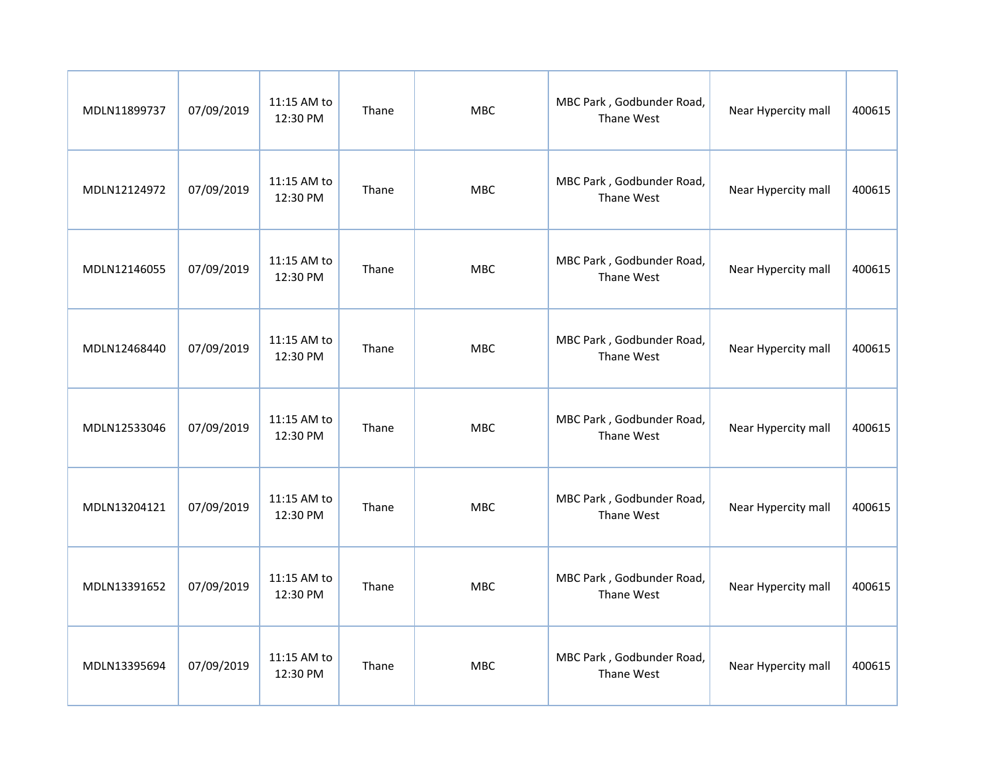| MDLN11899737 | 07/09/2019 | 11:15 AM to<br>12:30 PM | Thane | <b>MBC</b> | MBC Park, Godbunder Road,<br>Thane West | Near Hypercity mall | 400615 |
|--------------|------------|-------------------------|-------|------------|-----------------------------------------|---------------------|--------|
| MDLN12124972 | 07/09/2019 | 11:15 AM to<br>12:30 PM | Thane | <b>MBC</b> | MBC Park, Godbunder Road,<br>Thane West | Near Hypercity mall | 400615 |
| MDLN12146055 | 07/09/2019 | 11:15 AM to<br>12:30 PM | Thane | <b>MBC</b> | MBC Park, Godbunder Road,<br>Thane West | Near Hypercity mall | 400615 |
| MDLN12468440 | 07/09/2019 | 11:15 AM to<br>12:30 PM | Thane | <b>MBC</b> | MBC Park, Godbunder Road,<br>Thane West | Near Hypercity mall | 400615 |
| MDLN12533046 | 07/09/2019 | 11:15 AM to<br>12:30 PM | Thane | <b>MBC</b> | MBC Park, Godbunder Road,<br>Thane West | Near Hypercity mall | 400615 |
| MDLN13204121 | 07/09/2019 | 11:15 AM to<br>12:30 PM | Thane | <b>MBC</b> | MBC Park, Godbunder Road,<br>Thane West | Near Hypercity mall | 400615 |
| MDLN13391652 | 07/09/2019 | 11:15 AM to<br>12:30 PM | Thane | <b>MBC</b> | MBC Park, Godbunder Road,<br>Thane West | Near Hypercity mall | 400615 |
| MDLN13395694 | 07/09/2019 | 11:15 AM to<br>12:30 PM | Thane | <b>MBC</b> | MBC Park, Godbunder Road,<br>Thane West | Near Hypercity mall | 400615 |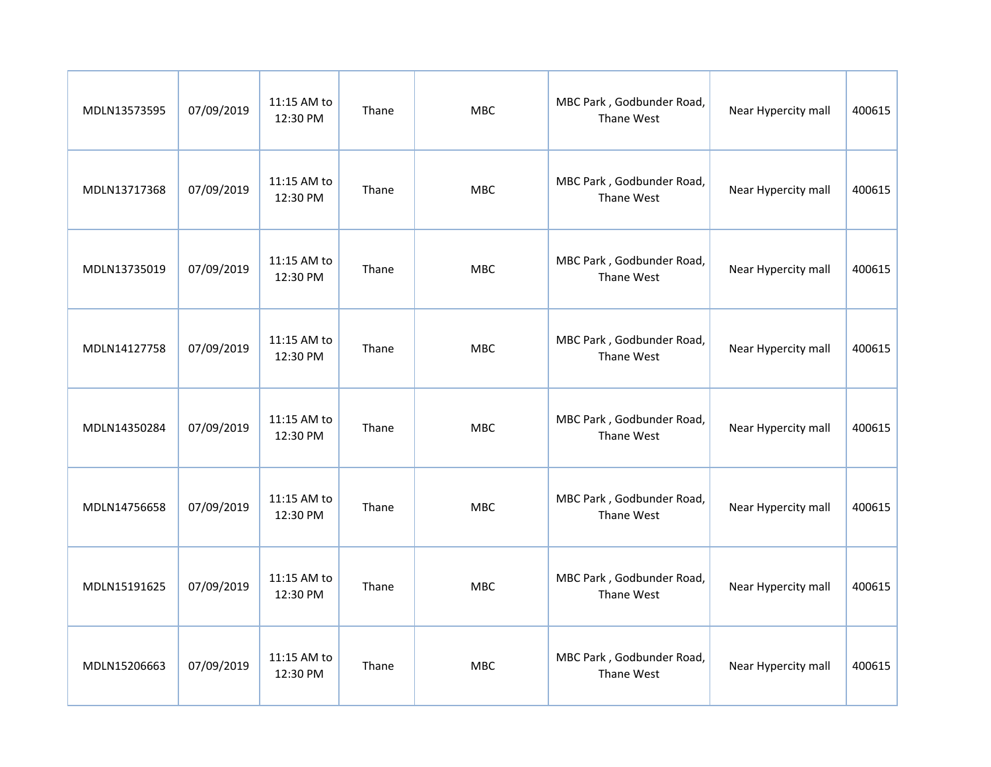| MDLN13573595 | 07/09/2019 | 11:15 AM to<br>12:30 PM | Thane | <b>MBC</b> | MBC Park, Godbunder Road,<br>Thane West | Near Hypercity mall | 400615 |
|--------------|------------|-------------------------|-------|------------|-----------------------------------------|---------------------|--------|
| MDLN13717368 | 07/09/2019 | 11:15 AM to<br>12:30 PM | Thane | <b>MBC</b> | MBC Park, Godbunder Road,<br>Thane West | Near Hypercity mall | 400615 |
| MDLN13735019 | 07/09/2019 | 11:15 AM to<br>12:30 PM | Thane | <b>MBC</b> | MBC Park, Godbunder Road,<br>Thane West | Near Hypercity mall | 400615 |
| MDLN14127758 | 07/09/2019 | 11:15 AM to<br>12:30 PM | Thane | <b>MBC</b> | MBC Park, Godbunder Road,<br>Thane West | Near Hypercity mall | 400615 |
| MDLN14350284 | 07/09/2019 | 11:15 AM to<br>12:30 PM | Thane | <b>MBC</b> | MBC Park, Godbunder Road,<br>Thane West | Near Hypercity mall | 400615 |
| MDLN14756658 | 07/09/2019 | 11:15 AM to<br>12:30 PM | Thane | <b>MBC</b> | MBC Park, Godbunder Road,<br>Thane West | Near Hypercity mall | 400615 |
| MDLN15191625 | 07/09/2019 | 11:15 AM to<br>12:30 PM | Thane | <b>MBC</b> | MBC Park, Godbunder Road,<br>Thane West | Near Hypercity mall | 400615 |
| MDLN15206663 | 07/09/2019 | 11:15 AM to<br>12:30 PM | Thane | <b>MBC</b> | MBC Park, Godbunder Road,<br>Thane West | Near Hypercity mall | 400615 |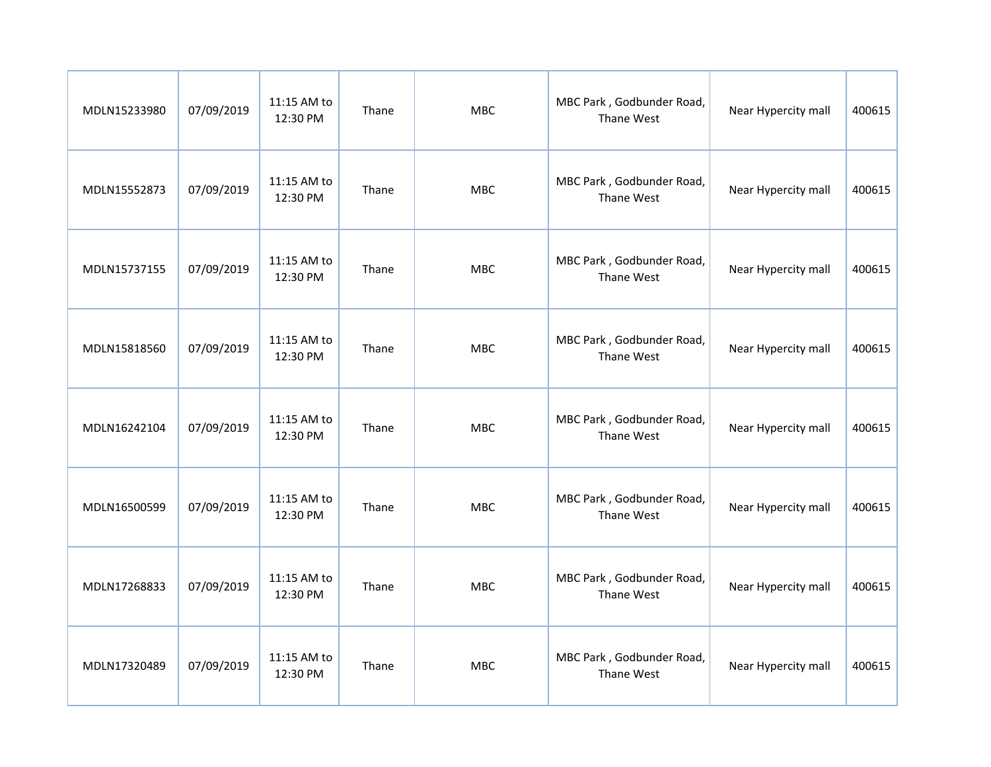| MDLN15233980 | 07/09/2019 | 11:15 AM to<br>12:30 PM | Thane | <b>MBC</b> | MBC Park, Godbunder Road,<br>Thane West | Near Hypercity mall | 400615 |
|--------------|------------|-------------------------|-------|------------|-----------------------------------------|---------------------|--------|
| MDLN15552873 | 07/09/2019 | 11:15 AM to<br>12:30 PM | Thane | <b>MBC</b> | MBC Park, Godbunder Road,<br>Thane West | Near Hypercity mall | 400615 |
| MDLN15737155 | 07/09/2019 | 11:15 AM to<br>12:30 PM | Thane | <b>MBC</b> | MBC Park, Godbunder Road,<br>Thane West | Near Hypercity mall | 400615 |
| MDLN15818560 | 07/09/2019 | 11:15 AM to<br>12:30 PM | Thane | <b>MBC</b> | MBC Park, Godbunder Road,<br>Thane West | Near Hypercity mall | 400615 |
| MDLN16242104 | 07/09/2019 | 11:15 AM to<br>12:30 PM | Thane | <b>MBC</b> | MBC Park, Godbunder Road,<br>Thane West | Near Hypercity mall | 400615 |
| MDLN16500599 | 07/09/2019 | 11:15 AM to<br>12:30 PM | Thane | <b>MBC</b> | MBC Park, Godbunder Road,<br>Thane West | Near Hypercity mall | 400615 |
| MDLN17268833 | 07/09/2019 | 11:15 AM to<br>12:30 PM | Thane | <b>MBC</b> | MBC Park, Godbunder Road,<br>Thane West | Near Hypercity mall | 400615 |
| MDLN17320489 | 07/09/2019 | 11:15 AM to<br>12:30 PM | Thane | <b>MBC</b> | MBC Park, Godbunder Road,<br>Thane West | Near Hypercity mall | 400615 |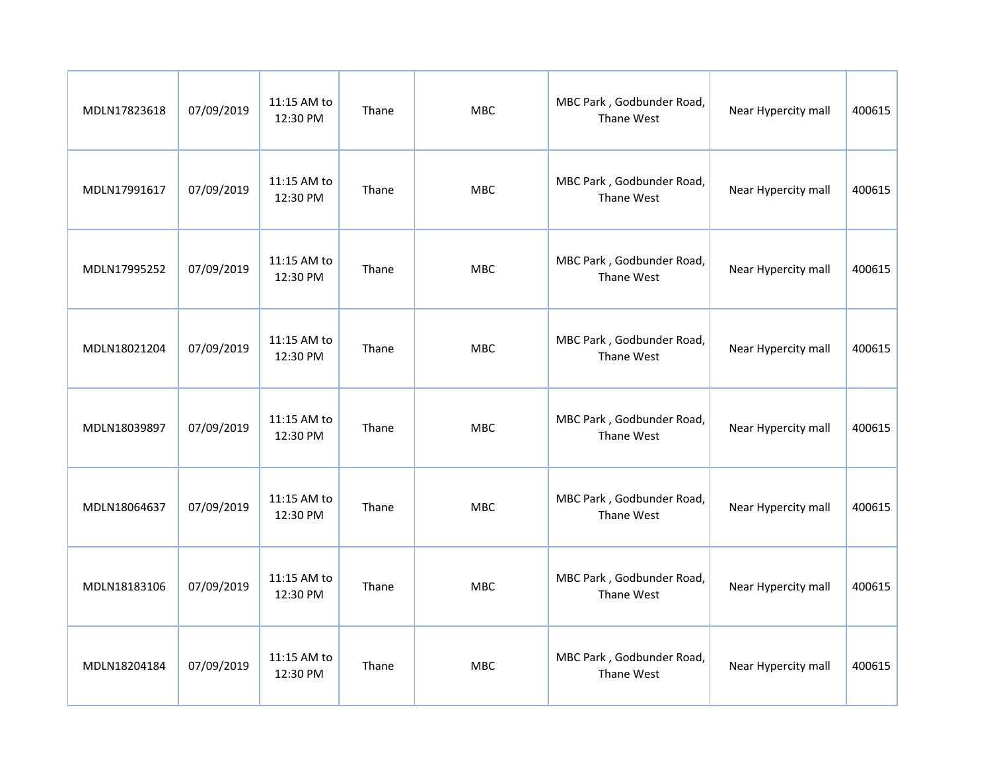| MDLN17823618 | 07/09/2019 | 11:15 AM to<br>12:30 PM | Thane | <b>MBC</b> | MBC Park, Godbunder Road,<br>Thane West | Near Hypercity mall | 400615 |
|--------------|------------|-------------------------|-------|------------|-----------------------------------------|---------------------|--------|
| MDLN17991617 | 07/09/2019 | 11:15 AM to<br>12:30 PM | Thane | <b>MBC</b> | MBC Park, Godbunder Road,<br>Thane West | Near Hypercity mall | 400615 |
| MDLN17995252 | 07/09/2019 | 11:15 AM to<br>12:30 PM | Thane | <b>MBC</b> | MBC Park, Godbunder Road,<br>Thane West | Near Hypercity mall | 400615 |
| MDLN18021204 | 07/09/2019 | 11:15 AM to<br>12:30 PM | Thane | <b>MBC</b> | MBC Park, Godbunder Road,<br>Thane West | Near Hypercity mall | 400615 |
| MDLN18039897 | 07/09/2019 | 11:15 AM to<br>12:30 PM | Thane | <b>MBC</b> | MBC Park, Godbunder Road,<br>Thane West | Near Hypercity mall | 400615 |
| MDLN18064637 | 07/09/2019 | 11:15 AM to<br>12:30 PM | Thane | <b>MBC</b> | MBC Park, Godbunder Road,<br>Thane West | Near Hypercity mall | 400615 |
| MDLN18183106 | 07/09/2019 | 11:15 AM to<br>12:30 PM | Thane | <b>MBC</b> | MBC Park, Godbunder Road,<br>Thane West | Near Hypercity mall | 400615 |
| MDLN18204184 | 07/09/2019 | 11:15 AM to<br>12:30 PM | Thane | <b>MBC</b> | MBC Park, Godbunder Road,<br>Thane West | Near Hypercity mall | 400615 |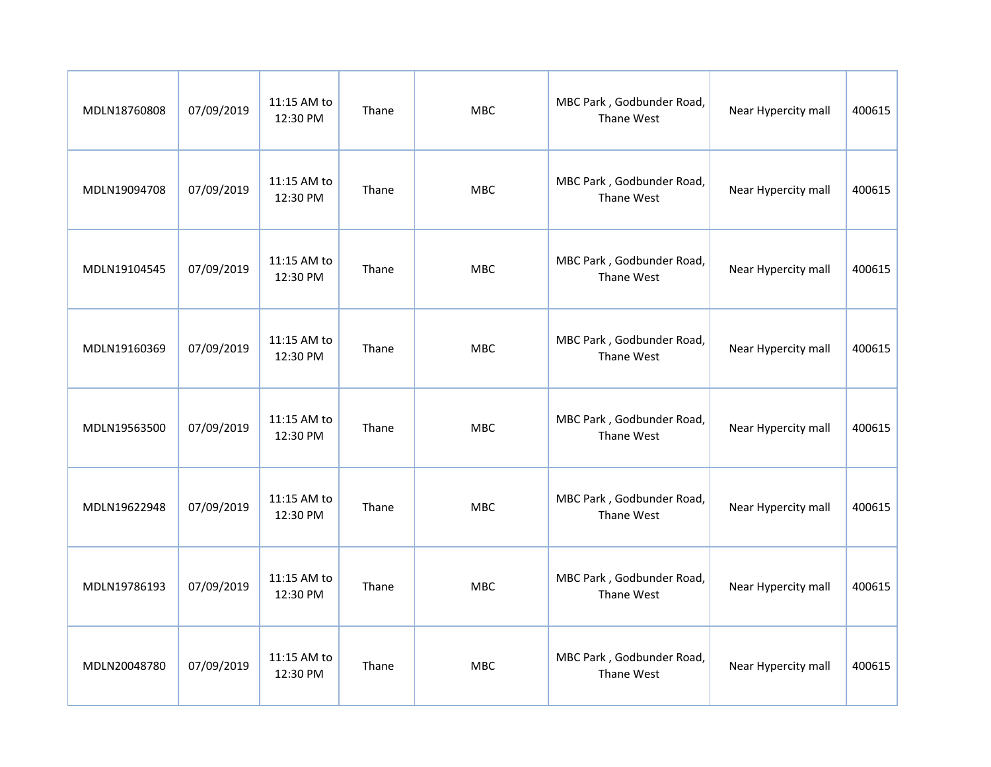| MDLN18760808 | 07/09/2019 | 11:15 AM to<br>12:30 PM | Thane | <b>MBC</b> | MBC Park, Godbunder Road,<br>Thane West | Near Hypercity mall | 400615 |
|--------------|------------|-------------------------|-------|------------|-----------------------------------------|---------------------|--------|
| MDLN19094708 | 07/09/2019 | 11:15 AM to<br>12:30 PM | Thane | <b>MBC</b> | MBC Park, Godbunder Road,<br>Thane West | Near Hypercity mall | 400615 |
| MDLN19104545 | 07/09/2019 | 11:15 AM to<br>12:30 PM | Thane | <b>MBC</b> | MBC Park, Godbunder Road,<br>Thane West | Near Hypercity mall | 400615 |
| MDLN19160369 | 07/09/2019 | 11:15 AM to<br>12:30 PM | Thane | <b>MBC</b> | MBC Park, Godbunder Road,<br>Thane West | Near Hypercity mall | 400615 |
| MDLN19563500 | 07/09/2019 | 11:15 AM to<br>12:30 PM | Thane | <b>MBC</b> | MBC Park, Godbunder Road,<br>Thane West | Near Hypercity mall | 400615 |
| MDLN19622948 | 07/09/2019 | 11:15 AM to<br>12:30 PM | Thane | <b>MBC</b> | MBC Park, Godbunder Road,<br>Thane West | Near Hypercity mall | 400615 |
| MDLN19786193 | 07/09/2019 | 11:15 AM to<br>12:30 PM | Thane | <b>MBC</b> | MBC Park, Godbunder Road,<br>Thane West | Near Hypercity mall | 400615 |
| MDLN20048780 | 07/09/2019 | 11:15 AM to<br>12:30 PM | Thane | <b>MBC</b> | MBC Park, Godbunder Road,<br>Thane West | Near Hypercity mall | 400615 |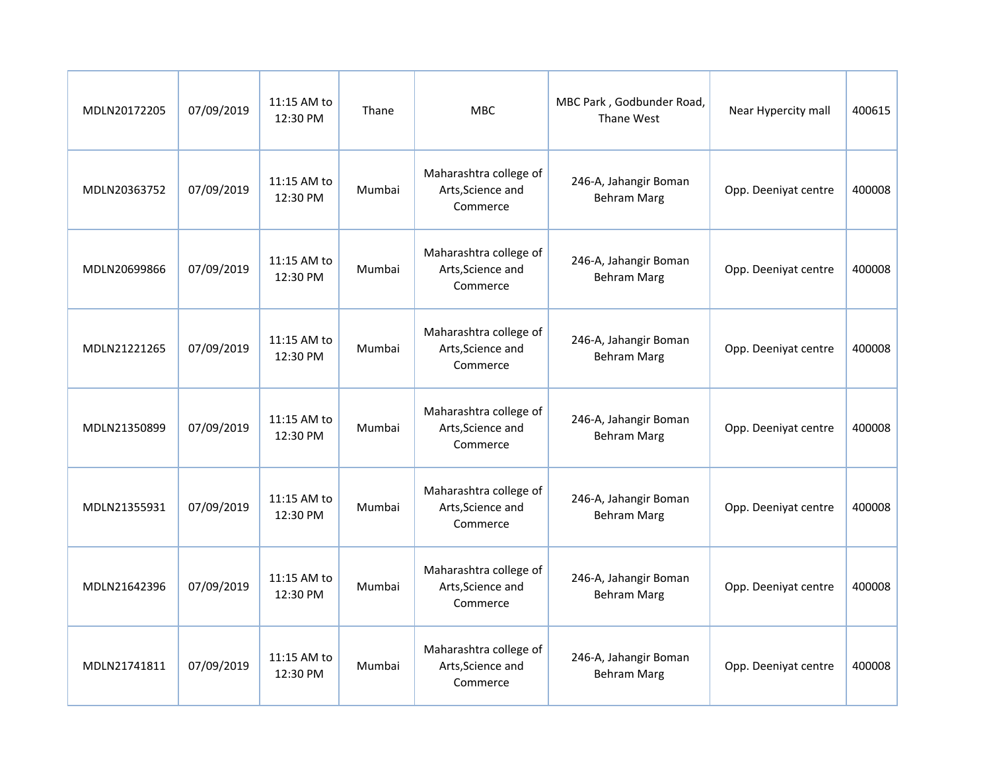| MDLN20172205 | 07/09/2019 | 11:15 AM to<br>12:30 PM | Thane  | <b>MBC</b>                                              | MBC Park, Godbunder Road,<br>Thane West     | Near Hypercity mall  | 400615 |
|--------------|------------|-------------------------|--------|---------------------------------------------------------|---------------------------------------------|----------------------|--------|
| MDLN20363752 | 07/09/2019 | 11:15 AM to<br>12:30 PM | Mumbai | Maharashtra college of<br>Arts, Science and<br>Commerce | 246-A, Jahangir Boman<br><b>Behram Marg</b> | Opp. Deeniyat centre | 400008 |
| MDLN20699866 | 07/09/2019 | 11:15 AM to<br>12:30 PM | Mumbai | Maharashtra college of<br>Arts, Science and<br>Commerce | 246-A, Jahangir Boman<br><b>Behram Marg</b> | Opp. Deeniyat centre | 400008 |
| MDLN21221265 | 07/09/2019 | 11:15 AM to<br>12:30 PM | Mumbai | Maharashtra college of<br>Arts, Science and<br>Commerce | 246-A, Jahangir Boman<br><b>Behram Marg</b> | Opp. Deeniyat centre | 400008 |
| MDLN21350899 | 07/09/2019 | 11:15 AM to<br>12:30 PM | Mumbai | Maharashtra college of<br>Arts, Science and<br>Commerce | 246-A, Jahangir Boman<br><b>Behram Marg</b> | Opp. Deeniyat centre | 400008 |
| MDLN21355931 | 07/09/2019 | 11:15 AM to<br>12:30 PM | Mumbai | Maharashtra college of<br>Arts, Science and<br>Commerce | 246-A, Jahangir Boman<br><b>Behram Marg</b> | Opp. Deeniyat centre | 400008 |
| MDLN21642396 | 07/09/2019 | 11:15 AM to<br>12:30 PM | Mumbai | Maharashtra college of<br>Arts, Science and<br>Commerce | 246-A, Jahangir Boman<br><b>Behram Marg</b> | Opp. Deeniyat centre | 400008 |
| MDLN21741811 | 07/09/2019 | 11:15 AM to<br>12:30 PM | Mumbai | Maharashtra college of<br>Arts, Science and<br>Commerce | 246-A, Jahangir Boman<br><b>Behram Marg</b> | Opp. Deeniyat centre | 400008 |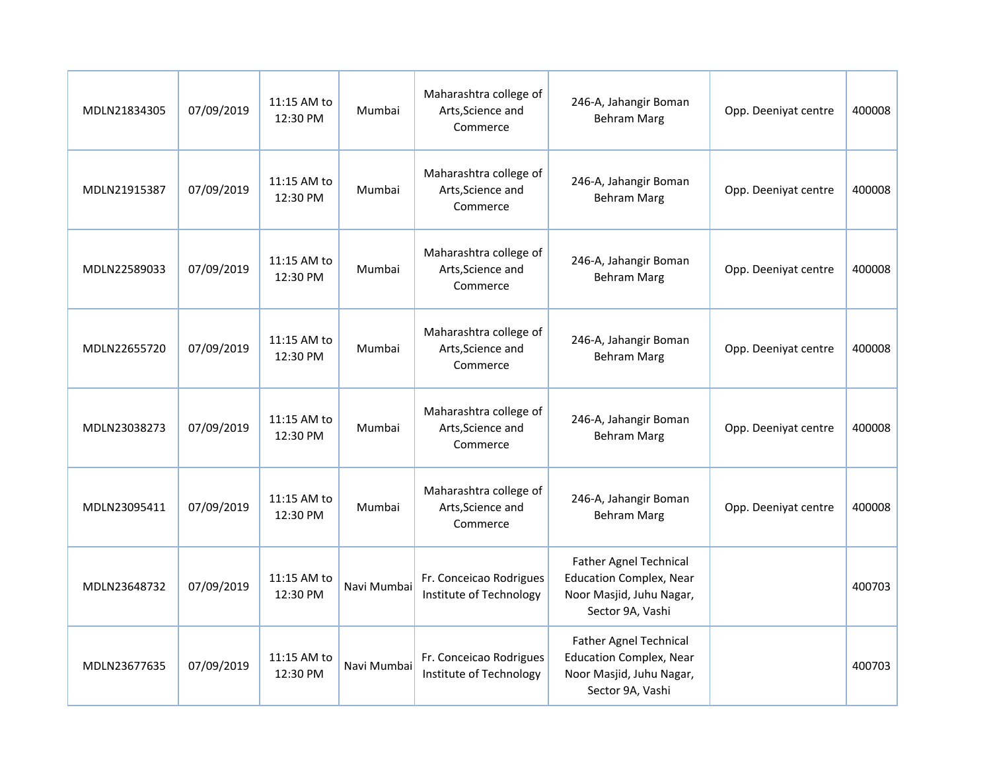| MDLN21834305 | 07/09/2019 | 11:15 AM to<br>12:30 PM | Mumbai      | Maharashtra college of<br>Arts, Science and<br>Commerce | 246-A, Jahangir Boman<br><b>Behram Marg</b>                                                                     | Opp. Deeniyat centre | 400008 |
|--------------|------------|-------------------------|-------------|---------------------------------------------------------|-----------------------------------------------------------------------------------------------------------------|----------------------|--------|
| MDLN21915387 | 07/09/2019 | 11:15 AM to<br>12:30 PM | Mumbai      | Maharashtra college of<br>Arts, Science and<br>Commerce | 246-A, Jahangir Boman<br><b>Behram Marg</b>                                                                     | Opp. Deeniyat centre | 400008 |
| MDLN22589033 | 07/09/2019 | 11:15 AM to<br>12:30 PM | Mumbai      | Maharashtra college of<br>Arts, Science and<br>Commerce | 246-A, Jahangir Boman<br><b>Behram Marg</b>                                                                     | Opp. Deeniyat centre | 400008 |
| MDLN22655720 | 07/09/2019 | 11:15 AM to<br>12:30 PM | Mumbai      | Maharashtra college of<br>Arts, Science and<br>Commerce | 246-A, Jahangir Boman<br><b>Behram Marg</b>                                                                     | Opp. Deeniyat centre | 400008 |
| MDLN23038273 | 07/09/2019 | 11:15 AM to<br>12:30 PM | Mumbai      | Maharashtra college of<br>Arts, Science and<br>Commerce | 246-A, Jahangir Boman<br><b>Behram Marg</b>                                                                     | Opp. Deeniyat centre | 400008 |
| MDLN23095411 | 07/09/2019 | 11:15 AM to<br>12:30 PM | Mumbai      | Maharashtra college of<br>Arts, Science and<br>Commerce | 246-A, Jahangir Boman<br><b>Behram Marg</b>                                                                     | Opp. Deeniyat centre | 400008 |
| MDLN23648732 | 07/09/2019 | 11:15 AM to<br>12:30 PM | Navi Mumbai | Fr. Conceicao Rodrigues<br>Institute of Technology      | <b>Father Agnel Technical</b><br><b>Education Complex, Near</b><br>Noor Masjid, Juhu Nagar,<br>Sector 9A, Vashi |                      | 400703 |
| MDLN23677635 | 07/09/2019 | 11:15 AM to<br>12:30 PM | Navi Mumbai | Fr. Conceicao Rodrigues<br>Institute of Technology      | <b>Father Agnel Technical</b><br><b>Education Complex, Near</b><br>Noor Masjid, Juhu Nagar,<br>Sector 9A, Vashi |                      | 400703 |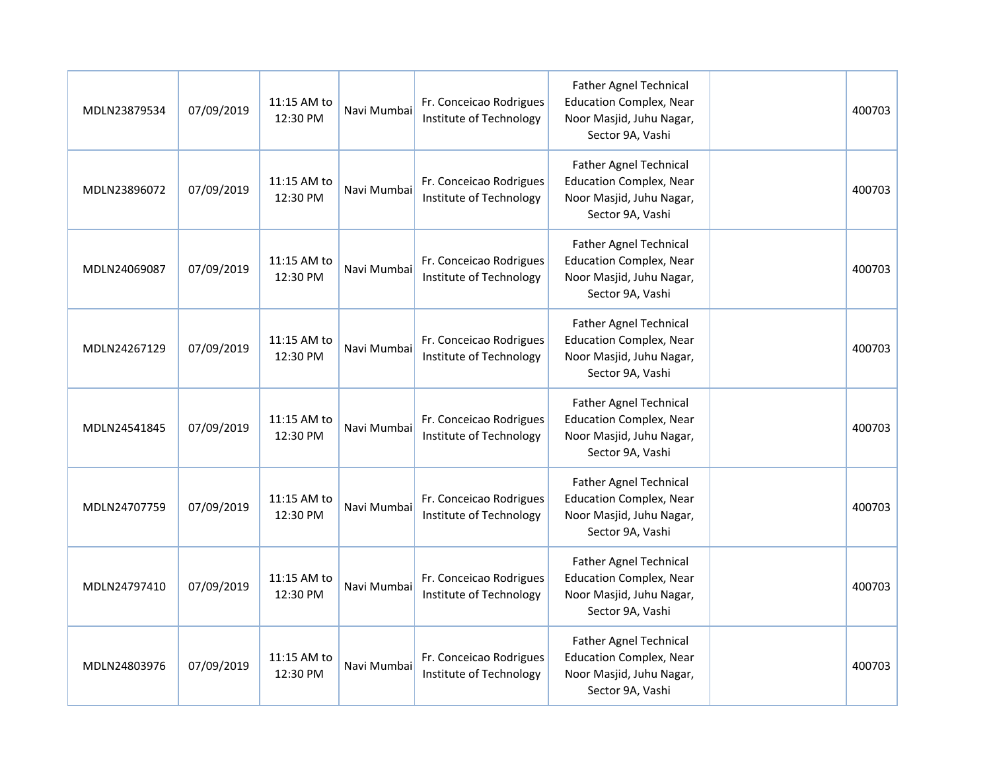| MDLN23879534 | 07/09/2019 | 11:15 AM to<br>12:30 PM | Navi Mumbai | Fr. Conceicao Rodrigues<br>Institute of Technology | <b>Father Agnel Technical</b><br><b>Education Complex, Near</b><br>Noor Masjid, Juhu Nagar,<br>Sector 9A, Vashi | 400703 |
|--------------|------------|-------------------------|-------------|----------------------------------------------------|-----------------------------------------------------------------------------------------------------------------|--------|
| MDLN23896072 | 07/09/2019 | 11:15 AM to<br>12:30 PM | Navi Mumbai | Fr. Conceicao Rodrigues<br>Institute of Technology | <b>Father Agnel Technical</b><br><b>Education Complex, Near</b><br>Noor Masjid, Juhu Nagar,<br>Sector 9A, Vashi | 400703 |
| MDLN24069087 | 07/09/2019 | 11:15 AM to<br>12:30 PM | Navi Mumbai | Fr. Conceicao Rodrigues<br>Institute of Technology | <b>Father Agnel Technical</b><br><b>Education Complex, Near</b><br>Noor Masjid, Juhu Nagar,<br>Sector 9A, Vashi | 400703 |
| MDLN24267129 | 07/09/2019 | 11:15 AM to<br>12:30 PM | Navi Mumbai | Fr. Conceicao Rodrigues<br>Institute of Technology | <b>Father Agnel Technical</b><br><b>Education Complex, Near</b><br>Noor Masjid, Juhu Nagar,<br>Sector 9A, Vashi | 400703 |
| MDLN24541845 | 07/09/2019 | 11:15 AM to<br>12:30 PM | Navi Mumbai | Fr. Conceicao Rodrigues<br>Institute of Technology | <b>Father Agnel Technical</b><br><b>Education Complex, Near</b><br>Noor Masjid, Juhu Nagar,<br>Sector 9A, Vashi | 400703 |
| MDLN24707759 | 07/09/2019 | 11:15 AM to<br>12:30 PM | Navi Mumbai | Fr. Conceicao Rodrigues<br>Institute of Technology | <b>Father Agnel Technical</b><br><b>Education Complex, Near</b><br>Noor Masjid, Juhu Nagar,<br>Sector 9A, Vashi | 400703 |
| MDLN24797410 | 07/09/2019 | 11:15 AM to<br>12:30 PM | Navi Mumbai | Fr. Conceicao Rodrigues<br>Institute of Technology | <b>Father Agnel Technical</b><br><b>Education Complex, Near</b><br>Noor Masjid, Juhu Nagar,<br>Sector 9A, Vashi | 400703 |
| MDLN24803976 | 07/09/2019 | 11:15 AM to<br>12:30 PM | Navi Mumbai | Fr. Conceicao Rodrigues<br>Institute of Technology | <b>Father Agnel Technical</b><br><b>Education Complex, Near</b><br>Noor Masjid, Juhu Nagar,<br>Sector 9A, Vashi | 400703 |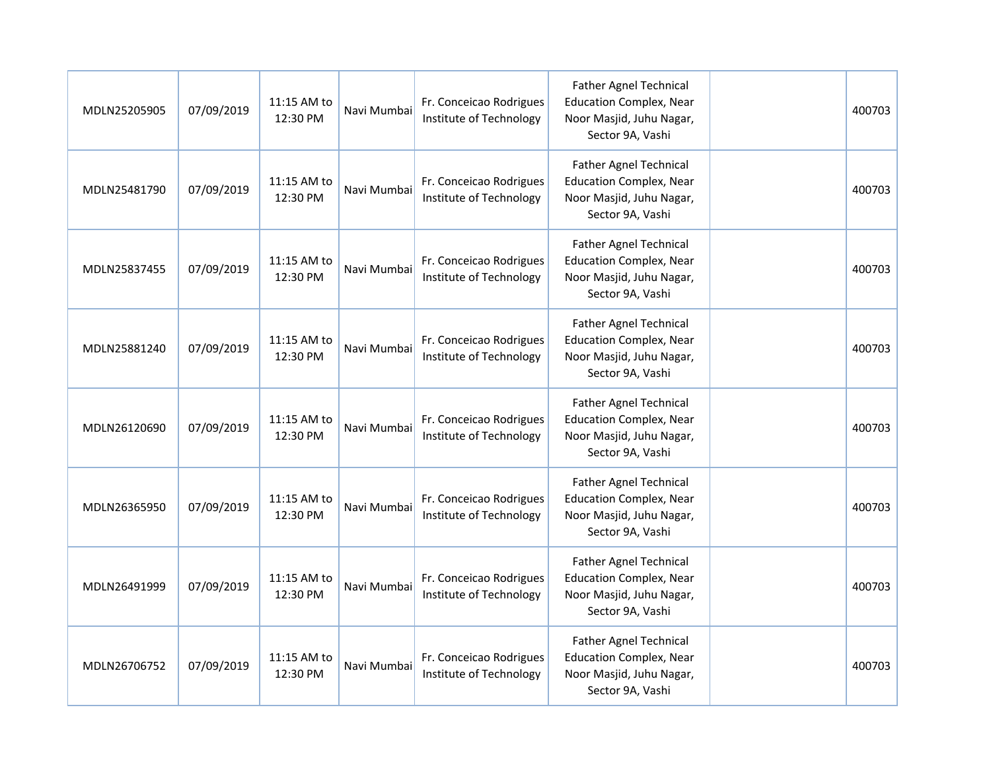| MDLN25205905 | 07/09/2019 | 11:15 AM to<br>12:30 PM | Navi Mumbai | Fr. Conceicao Rodrigues<br>Institute of Technology | <b>Father Agnel Technical</b><br><b>Education Complex, Near</b><br>Noor Masjid, Juhu Nagar,<br>Sector 9A, Vashi | 400703 |
|--------------|------------|-------------------------|-------------|----------------------------------------------------|-----------------------------------------------------------------------------------------------------------------|--------|
| MDLN25481790 | 07/09/2019 | 11:15 AM to<br>12:30 PM | Navi Mumbai | Fr. Conceicao Rodrigues<br>Institute of Technology | <b>Father Agnel Technical</b><br><b>Education Complex, Near</b><br>Noor Masjid, Juhu Nagar,<br>Sector 9A, Vashi | 400703 |
| MDLN25837455 | 07/09/2019 | 11:15 AM to<br>12:30 PM | Navi Mumbai | Fr. Conceicao Rodrigues<br>Institute of Technology | <b>Father Agnel Technical</b><br><b>Education Complex, Near</b><br>Noor Masjid, Juhu Nagar,<br>Sector 9A, Vashi | 400703 |
| MDLN25881240 | 07/09/2019 | 11:15 AM to<br>12:30 PM | Navi Mumbai | Fr. Conceicao Rodrigues<br>Institute of Technology | <b>Father Agnel Technical</b><br><b>Education Complex, Near</b><br>Noor Masjid, Juhu Nagar,<br>Sector 9A, Vashi | 400703 |
| MDLN26120690 | 07/09/2019 | 11:15 AM to<br>12:30 PM | Navi Mumbai | Fr. Conceicao Rodrigues<br>Institute of Technology | Father Agnel Technical<br><b>Education Complex, Near</b><br>Noor Masjid, Juhu Nagar,<br>Sector 9A, Vashi        | 400703 |
| MDLN26365950 | 07/09/2019 | 11:15 AM to<br>12:30 PM | Navi Mumbai | Fr. Conceicao Rodrigues<br>Institute of Technology | <b>Father Agnel Technical</b><br><b>Education Complex, Near</b><br>Noor Masjid, Juhu Nagar,<br>Sector 9A, Vashi | 400703 |
| MDLN26491999 | 07/09/2019 | 11:15 AM to<br>12:30 PM | Navi Mumbai | Fr. Conceicao Rodrigues<br>Institute of Technology | <b>Father Agnel Technical</b><br><b>Education Complex, Near</b><br>Noor Masjid, Juhu Nagar,<br>Sector 9A, Vashi | 400703 |
| MDLN26706752 | 07/09/2019 | 11:15 AM to<br>12:30 PM | Navi Mumbai | Fr. Conceicao Rodrigues<br>Institute of Technology | <b>Father Agnel Technical</b><br><b>Education Complex, Near</b><br>Noor Masjid, Juhu Nagar,<br>Sector 9A, Vashi | 400703 |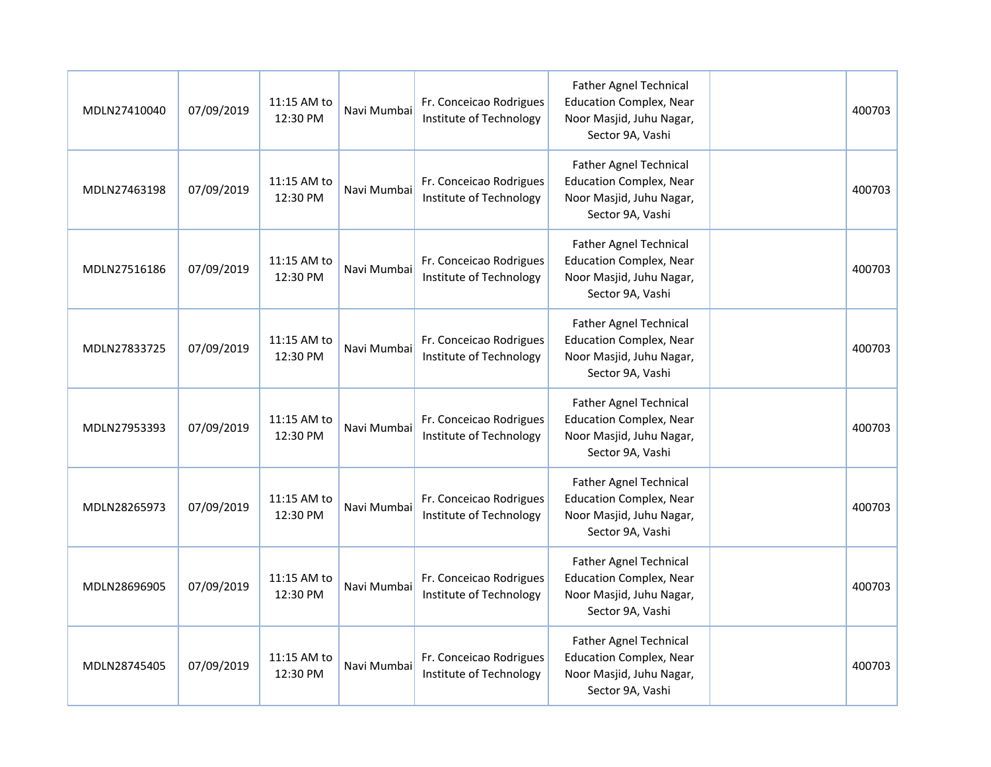| MDLN27410040 | 07/09/2019 | 11:15 AM to<br>12:30 PM | Navi Mumbai | Fr. Conceicao Rodrigues<br>Institute of Technology | <b>Father Agnel Technical</b><br><b>Education Complex, Near</b><br>Noor Masjid, Juhu Nagar,<br>Sector 9A, Vashi | 400703 |
|--------------|------------|-------------------------|-------------|----------------------------------------------------|-----------------------------------------------------------------------------------------------------------------|--------|
| MDLN27463198 | 07/09/2019 | 11:15 AM to<br>12:30 PM | Navi Mumbai | Fr. Conceicao Rodrigues<br>Institute of Technology | <b>Father Agnel Technical</b><br><b>Education Complex, Near</b><br>Noor Masjid, Juhu Nagar,<br>Sector 9A, Vashi | 400703 |
| MDLN27516186 | 07/09/2019 | 11:15 AM to<br>12:30 PM | Navi Mumbai | Fr. Conceicao Rodrigues<br>Institute of Technology | <b>Father Agnel Technical</b><br><b>Education Complex, Near</b><br>Noor Masjid, Juhu Nagar,<br>Sector 9A, Vashi | 400703 |
| MDLN27833725 | 07/09/2019 | 11:15 AM to<br>12:30 PM | Navi Mumbai | Fr. Conceicao Rodrigues<br>Institute of Technology | <b>Father Agnel Technical</b><br><b>Education Complex, Near</b><br>Noor Masjid, Juhu Nagar,<br>Sector 9A, Vashi | 400703 |
| MDLN27953393 | 07/09/2019 | 11:15 AM to<br>12:30 PM | Navi Mumbai | Fr. Conceicao Rodrigues<br>Institute of Technology | <b>Father Agnel Technical</b><br><b>Education Complex, Near</b><br>Noor Masjid, Juhu Nagar,<br>Sector 9A, Vashi | 400703 |
| MDLN28265973 | 07/09/2019 | 11:15 AM to<br>12:30 PM | Navi Mumbai | Fr. Conceicao Rodrigues<br>Institute of Technology | <b>Father Agnel Technical</b><br><b>Education Complex, Near</b><br>Noor Masjid, Juhu Nagar,<br>Sector 9A, Vashi | 400703 |
| MDLN28696905 | 07/09/2019 | 11:15 AM to<br>12:30 PM | Navi Mumbai | Fr. Conceicao Rodrigues<br>Institute of Technology | <b>Father Agnel Technical</b><br><b>Education Complex, Near</b><br>Noor Masjid, Juhu Nagar,<br>Sector 9A, Vashi | 400703 |
| MDLN28745405 | 07/09/2019 | 11:15 AM to<br>12:30 PM | Navi Mumbai | Fr. Conceicao Rodrigues<br>Institute of Technology | <b>Father Agnel Technical</b><br><b>Education Complex, Near</b><br>Noor Masjid, Juhu Nagar,<br>Sector 9A, Vashi | 400703 |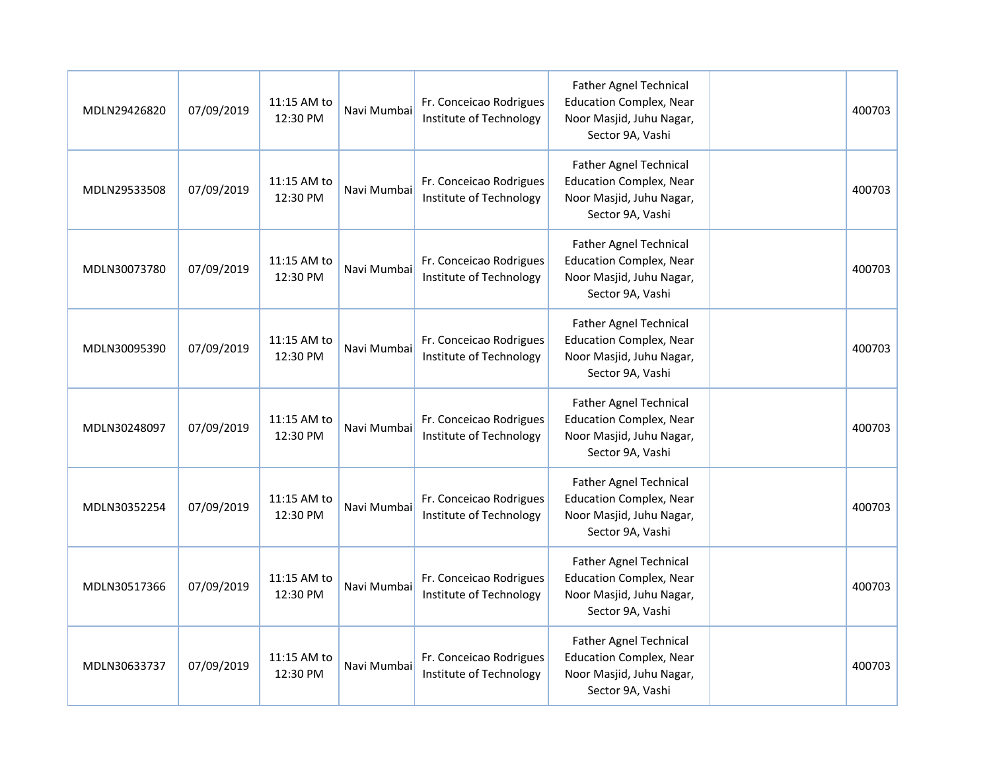| MDLN29426820 | 07/09/2019 | 11:15 AM to<br>12:30 PM | Navi Mumbai | Fr. Conceicao Rodrigues<br>Institute of Technology | <b>Father Agnel Technical</b><br><b>Education Complex, Near</b><br>Noor Masjid, Juhu Nagar,<br>Sector 9A, Vashi | 400703 |
|--------------|------------|-------------------------|-------------|----------------------------------------------------|-----------------------------------------------------------------------------------------------------------------|--------|
| MDLN29533508 | 07/09/2019 | 11:15 AM to<br>12:30 PM | Navi Mumbai | Fr. Conceicao Rodrigues<br>Institute of Technology | <b>Father Agnel Technical</b><br><b>Education Complex, Near</b><br>Noor Masjid, Juhu Nagar,<br>Sector 9A, Vashi | 400703 |
| MDLN30073780 | 07/09/2019 | 11:15 AM to<br>12:30 PM | Navi Mumbai | Fr. Conceicao Rodrigues<br>Institute of Technology | <b>Father Agnel Technical</b><br><b>Education Complex, Near</b><br>Noor Masjid, Juhu Nagar,<br>Sector 9A, Vashi | 400703 |
| MDLN30095390 | 07/09/2019 | 11:15 AM to<br>12:30 PM | Navi Mumbai | Fr. Conceicao Rodrigues<br>Institute of Technology | <b>Father Agnel Technical</b><br><b>Education Complex, Near</b><br>Noor Masjid, Juhu Nagar,<br>Sector 9A, Vashi | 400703 |
| MDLN30248097 | 07/09/2019 | 11:15 AM to<br>12:30 PM | Navi Mumbai | Fr. Conceicao Rodrigues<br>Institute of Technology | Father Agnel Technical<br><b>Education Complex, Near</b><br>Noor Masjid, Juhu Nagar,<br>Sector 9A, Vashi        | 400703 |
| MDLN30352254 | 07/09/2019 | 11:15 AM to<br>12:30 PM | Navi Mumbai | Fr. Conceicao Rodrigues<br>Institute of Technology | <b>Father Agnel Technical</b><br><b>Education Complex, Near</b><br>Noor Masjid, Juhu Nagar,<br>Sector 9A, Vashi | 400703 |
| MDLN30517366 | 07/09/2019 | 11:15 AM to<br>12:30 PM | Navi Mumbai | Fr. Conceicao Rodrigues<br>Institute of Technology | <b>Father Agnel Technical</b><br><b>Education Complex, Near</b><br>Noor Masjid, Juhu Nagar,<br>Sector 9A, Vashi | 400703 |
| MDLN30633737 | 07/09/2019 | 11:15 AM to<br>12:30 PM | Navi Mumbai | Fr. Conceicao Rodrigues<br>Institute of Technology | <b>Father Agnel Technical</b><br><b>Education Complex, Near</b><br>Noor Masjid, Juhu Nagar,<br>Sector 9A, Vashi | 400703 |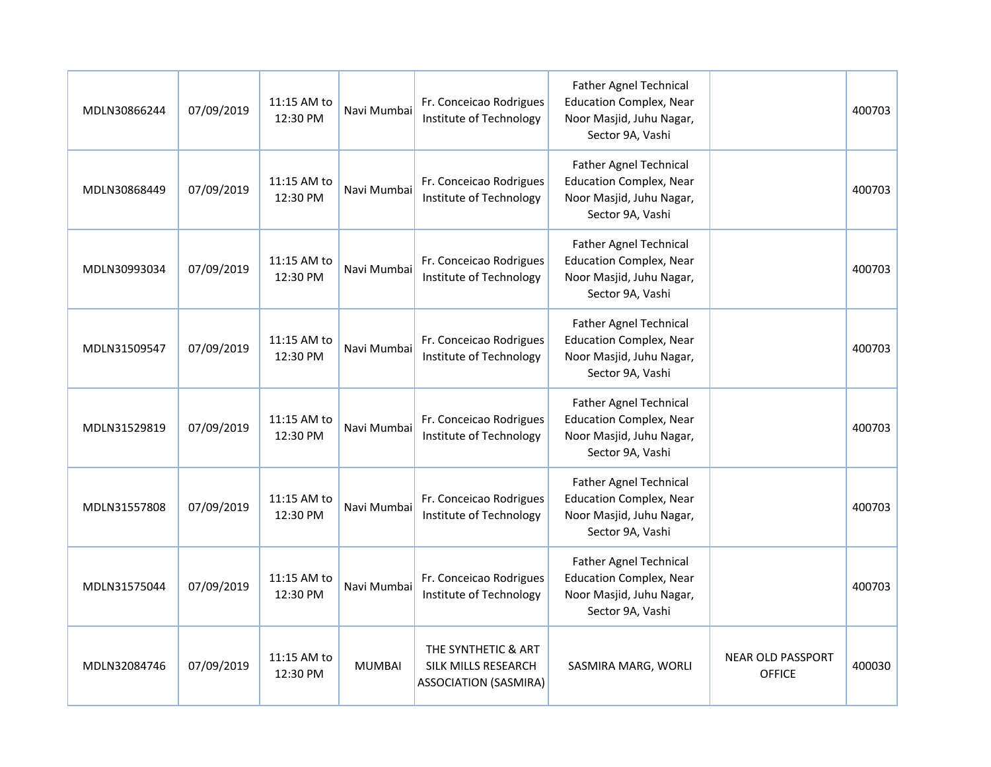| MDLN30866244 | 07/09/2019 | 11:15 AM to<br>12:30 PM | Navi Mumbai   | Fr. Conceicao Rodrigues<br>Institute of Technology                                | <b>Father Agnel Technical</b><br><b>Education Complex, Near</b><br>Noor Masjid, Juhu Nagar,<br>Sector 9A, Vashi |                                           | 400703 |
|--------------|------------|-------------------------|---------------|-----------------------------------------------------------------------------------|-----------------------------------------------------------------------------------------------------------------|-------------------------------------------|--------|
| MDLN30868449 | 07/09/2019 | 11:15 AM to<br>12:30 PM | Navi Mumbai   | Fr. Conceicao Rodrigues<br>Institute of Technology                                | <b>Father Agnel Technical</b><br><b>Education Complex, Near</b><br>Noor Masjid, Juhu Nagar,<br>Sector 9A, Vashi |                                           | 400703 |
| MDLN30993034 | 07/09/2019 | 11:15 AM to<br>12:30 PM | Navi Mumbai   | Fr. Conceicao Rodrigues<br>Institute of Technology                                | <b>Father Agnel Technical</b><br><b>Education Complex, Near</b><br>Noor Masjid, Juhu Nagar,<br>Sector 9A, Vashi |                                           | 400703 |
| MDLN31509547 | 07/09/2019 | 11:15 AM to<br>12:30 PM | Navi Mumbai   | Fr. Conceicao Rodrigues<br>Institute of Technology                                | <b>Father Agnel Technical</b><br><b>Education Complex, Near</b><br>Noor Masjid, Juhu Nagar,<br>Sector 9A, Vashi |                                           | 400703 |
| MDLN31529819 | 07/09/2019 | 11:15 AM to<br>12:30 PM | Navi Mumbai   | Fr. Conceicao Rodrigues<br>Institute of Technology                                | <b>Father Agnel Technical</b><br><b>Education Complex, Near</b><br>Noor Masjid, Juhu Nagar,<br>Sector 9A, Vashi |                                           | 400703 |
| MDLN31557808 | 07/09/2019 | 11:15 AM to<br>12:30 PM | Navi Mumbai   | Fr. Conceicao Rodrigues<br>Institute of Technology                                | <b>Father Agnel Technical</b><br><b>Education Complex, Near</b><br>Noor Masjid, Juhu Nagar,<br>Sector 9A, Vashi |                                           | 400703 |
| MDLN31575044 | 07/09/2019 | 11:15 AM to<br>12:30 PM | Navi Mumbai   | Fr. Conceicao Rodrigues<br>Institute of Technology                                | <b>Father Agnel Technical</b><br><b>Education Complex, Near</b><br>Noor Masjid, Juhu Nagar,<br>Sector 9A, Vashi |                                           | 400703 |
| MDLN32084746 | 07/09/2019 | 11:15 AM to<br>12:30 PM | <b>MUMBAI</b> | THE SYNTHETIC & ART<br><b>SILK MILLS RESEARCH</b><br><b>ASSOCIATION (SASMIRA)</b> | SASMIRA MARG, WORLI                                                                                             | <b>NEAR OLD PASSPORT</b><br><b>OFFICE</b> | 400030 |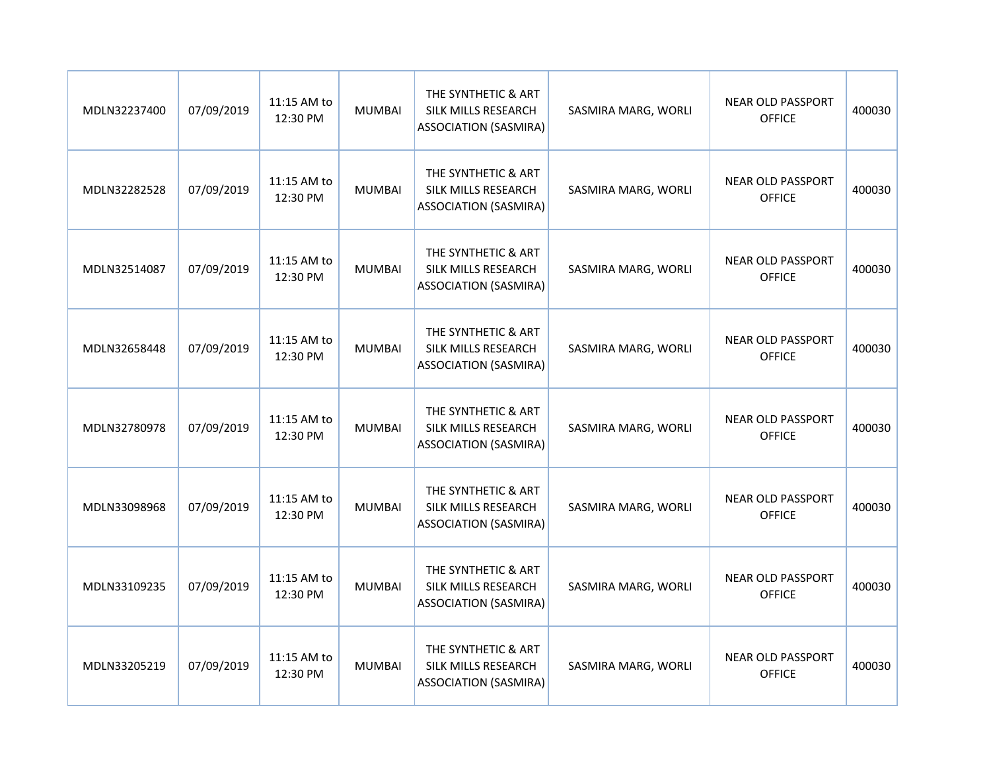| MDLN32237400 | 07/09/2019 | 11:15 AM to<br>12:30 PM | <b>MUMBAI</b> | THE SYNTHETIC & ART<br>SILK MILLS RESEARCH<br><b>ASSOCIATION (SASMIRA)</b> | SASMIRA MARG, WORLI | <b>NEAR OLD PASSPORT</b><br><b>OFFICE</b> | 400030 |
|--------------|------------|-------------------------|---------------|----------------------------------------------------------------------------|---------------------|-------------------------------------------|--------|
| MDLN32282528 | 07/09/2019 | 11:15 AM to<br>12:30 PM | <b>MUMBAI</b> | THE SYNTHETIC & ART<br>SILK MILLS RESEARCH<br><b>ASSOCIATION (SASMIRA)</b> | SASMIRA MARG, WORLI | <b>NEAR OLD PASSPORT</b><br><b>OFFICE</b> | 400030 |
| MDLN32514087 | 07/09/2019 | 11:15 AM to<br>12:30 PM | <b>MUMBAI</b> | THE SYNTHETIC & ART<br>SILK MILLS RESEARCH<br><b>ASSOCIATION (SASMIRA)</b> | SASMIRA MARG, WORLI | <b>NEAR OLD PASSPORT</b><br><b>OFFICE</b> | 400030 |
| MDLN32658448 | 07/09/2019 | 11:15 AM to<br>12:30 PM | <b>MUMBAI</b> | THE SYNTHETIC & ART<br>SILK MILLS RESEARCH<br><b>ASSOCIATION (SASMIRA)</b> | SASMIRA MARG, WORLI | <b>NEAR OLD PASSPORT</b><br><b>OFFICE</b> | 400030 |
| MDLN32780978 | 07/09/2019 | 11:15 AM to<br>12:30 PM | <b>MUMBAI</b> | THE SYNTHETIC & ART<br>SILK MILLS RESEARCH<br><b>ASSOCIATION (SASMIRA)</b> | SASMIRA MARG, WORLI | <b>NEAR OLD PASSPORT</b><br><b>OFFICE</b> | 400030 |
| MDLN33098968 | 07/09/2019 | 11:15 AM to<br>12:30 PM | <b>MUMBAI</b> | THE SYNTHETIC & ART<br>SILK MILLS RESEARCH<br><b>ASSOCIATION (SASMIRA)</b> | SASMIRA MARG, WORLI | <b>NEAR OLD PASSPORT</b><br><b>OFFICE</b> | 400030 |
| MDLN33109235 | 07/09/2019 | 11:15 AM to<br>12:30 PM | <b>MUMBAI</b> | THE SYNTHETIC & ART<br>SILK MILLS RESEARCH<br><b>ASSOCIATION (SASMIRA)</b> | SASMIRA MARG, WORLI | <b>NEAR OLD PASSPORT</b><br><b>OFFICE</b> | 400030 |
| MDLN33205219 | 07/09/2019 | 11:15 AM to<br>12:30 PM | <b>MUMBAI</b> | THE SYNTHETIC & ART<br>SILK MILLS RESEARCH<br><b>ASSOCIATION (SASMIRA)</b> | SASMIRA MARG, WORLI | <b>NEAR OLD PASSPORT</b><br><b>OFFICE</b> | 400030 |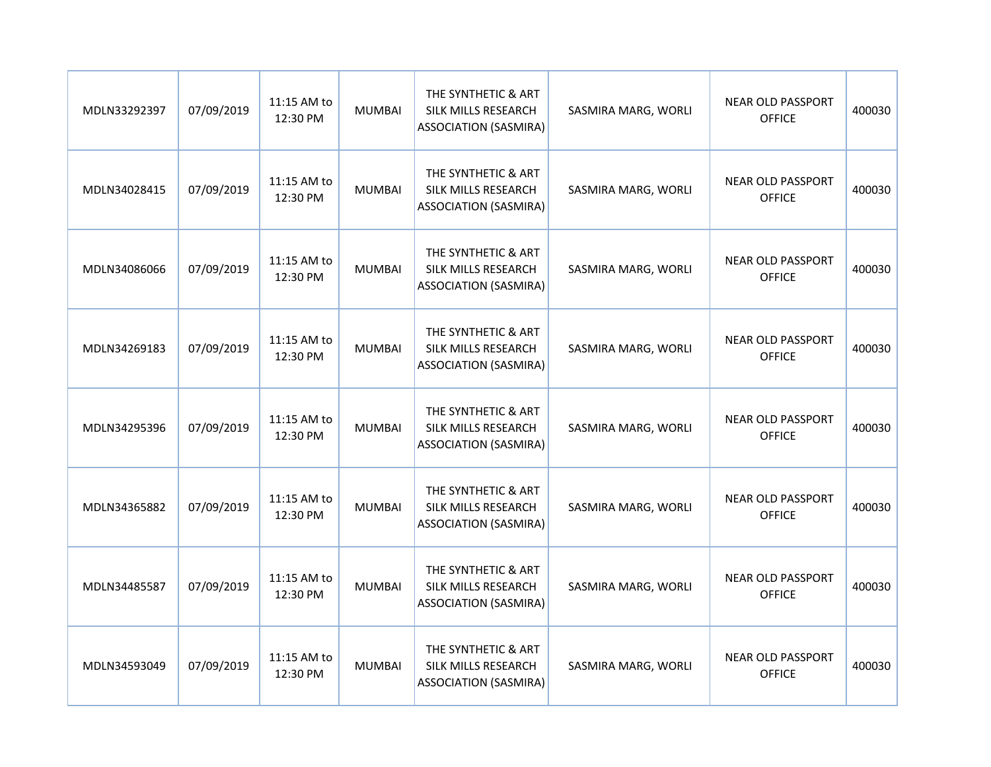| MDLN33292397 | 07/09/2019 | 11:15 AM to<br>12:30 PM | <b>MUMBAI</b> | THE SYNTHETIC & ART<br>SILK MILLS RESEARCH<br><b>ASSOCIATION (SASMIRA)</b> | SASMIRA MARG, WORLI | <b>NEAR OLD PASSPORT</b><br><b>OFFICE</b> | 400030 |
|--------------|------------|-------------------------|---------------|----------------------------------------------------------------------------|---------------------|-------------------------------------------|--------|
| MDLN34028415 | 07/09/2019 | 11:15 AM to<br>12:30 PM | <b>MUMBAI</b> | THE SYNTHETIC & ART<br>SILK MILLS RESEARCH<br><b>ASSOCIATION (SASMIRA)</b> | SASMIRA MARG, WORLI | <b>NEAR OLD PASSPORT</b><br><b>OFFICE</b> | 400030 |
| MDLN34086066 | 07/09/2019 | 11:15 AM to<br>12:30 PM | <b>MUMBAI</b> | THE SYNTHETIC & ART<br>SILK MILLS RESEARCH<br><b>ASSOCIATION (SASMIRA)</b> | SASMIRA MARG, WORLI | <b>NEAR OLD PASSPORT</b><br><b>OFFICE</b> | 400030 |
| MDLN34269183 | 07/09/2019 | 11:15 AM to<br>12:30 PM | <b>MUMBAI</b> | THE SYNTHETIC & ART<br>SILK MILLS RESEARCH<br><b>ASSOCIATION (SASMIRA)</b> | SASMIRA MARG, WORLI | <b>NEAR OLD PASSPORT</b><br><b>OFFICE</b> | 400030 |
| MDLN34295396 | 07/09/2019 | 11:15 AM to<br>12:30 PM | <b>MUMBAI</b> | THE SYNTHETIC & ART<br>SILK MILLS RESEARCH<br><b>ASSOCIATION (SASMIRA)</b> | SASMIRA MARG, WORLI | <b>NEAR OLD PASSPORT</b><br><b>OFFICE</b> | 400030 |
| MDLN34365882 | 07/09/2019 | 11:15 AM to<br>12:30 PM | <b>MUMBAI</b> | THE SYNTHETIC & ART<br>SILK MILLS RESEARCH<br><b>ASSOCIATION (SASMIRA)</b> | SASMIRA MARG, WORLI | <b>NEAR OLD PASSPORT</b><br><b>OFFICE</b> | 400030 |
| MDLN34485587 | 07/09/2019 | 11:15 AM to<br>12:30 PM | <b>MUMBAI</b> | THE SYNTHETIC & ART<br>SILK MILLS RESEARCH<br><b>ASSOCIATION (SASMIRA)</b> | SASMIRA MARG, WORLI | <b>NEAR OLD PASSPORT</b><br><b>OFFICE</b> | 400030 |
| MDLN34593049 | 07/09/2019 | 11:15 AM to<br>12:30 PM | <b>MUMBAI</b> | THE SYNTHETIC & ART<br>SILK MILLS RESEARCH<br><b>ASSOCIATION (SASMIRA)</b> | SASMIRA MARG, WORLI | <b>NEAR OLD PASSPORT</b><br><b>OFFICE</b> | 400030 |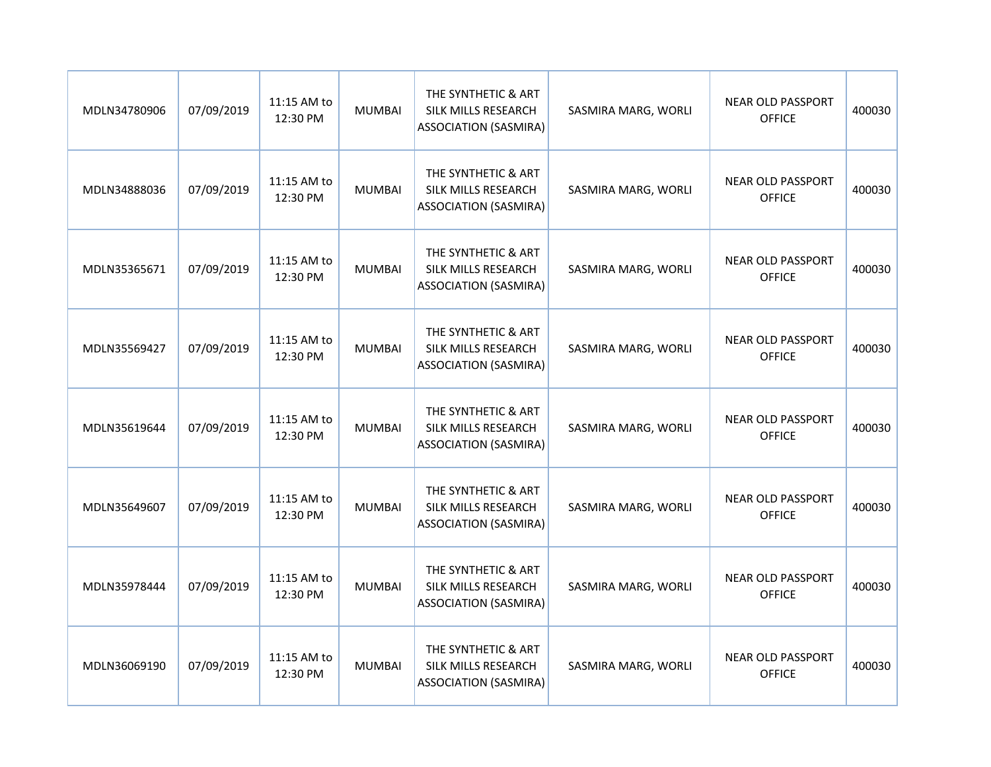| MDLN34780906 | 07/09/2019 | 11:15 AM to<br>12:30 PM | <b>MUMBAI</b> | THE SYNTHETIC & ART<br>SILK MILLS RESEARCH<br><b>ASSOCIATION (SASMIRA)</b> | SASMIRA MARG, WORLI | <b>NEAR OLD PASSPORT</b><br><b>OFFICE</b> | 400030 |
|--------------|------------|-------------------------|---------------|----------------------------------------------------------------------------|---------------------|-------------------------------------------|--------|
| MDLN34888036 | 07/09/2019 | 11:15 AM to<br>12:30 PM | <b>MUMBAI</b> | THE SYNTHETIC & ART<br>SILK MILLS RESEARCH<br><b>ASSOCIATION (SASMIRA)</b> | SASMIRA MARG, WORLI | <b>NEAR OLD PASSPORT</b><br><b>OFFICE</b> | 400030 |
| MDLN35365671 | 07/09/2019 | 11:15 AM to<br>12:30 PM | <b>MUMBAI</b> | THE SYNTHETIC & ART<br>SILK MILLS RESEARCH<br><b>ASSOCIATION (SASMIRA)</b> | SASMIRA MARG, WORLI | <b>NEAR OLD PASSPORT</b><br><b>OFFICE</b> | 400030 |
| MDLN35569427 | 07/09/2019 | 11:15 AM to<br>12:30 PM | <b>MUMBAI</b> | THE SYNTHETIC & ART<br>SILK MILLS RESEARCH<br><b>ASSOCIATION (SASMIRA)</b> | SASMIRA MARG, WORLI | <b>NEAR OLD PASSPORT</b><br><b>OFFICE</b> | 400030 |
| MDLN35619644 | 07/09/2019 | 11:15 AM to<br>12:30 PM | <b>MUMBAI</b> | THE SYNTHETIC & ART<br>SILK MILLS RESEARCH<br><b>ASSOCIATION (SASMIRA)</b> | SASMIRA MARG, WORLI | <b>NEAR OLD PASSPORT</b><br><b>OFFICE</b> | 400030 |
| MDLN35649607 | 07/09/2019 | 11:15 AM to<br>12:30 PM | <b>MUMBAI</b> | THE SYNTHETIC & ART<br>SILK MILLS RESEARCH<br><b>ASSOCIATION (SASMIRA)</b> | SASMIRA MARG, WORLI | <b>NEAR OLD PASSPORT</b><br><b>OFFICE</b> | 400030 |
| MDLN35978444 | 07/09/2019 | 11:15 AM to<br>12:30 PM | <b>MUMBAI</b> | THE SYNTHETIC & ART<br>SILK MILLS RESEARCH<br><b>ASSOCIATION (SASMIRA)</b> | SASMIRA MARG, WORLI | <b>NEAR OLD PASSPORT</b><br><b>OFFICE</b> | 400030 |
| MDLN36069190 | 07/09/2019 | 11:15 AM to<br>12:30 PM | <b>MUMBAI</b> | THE SYNTHETIC & ART<br>SILK MILLS RESEARCH<br><b>ASSOCIATION (SASMIRA)</b> | SASMIRA MARG, WORLI | <b>NEAR OLD PASSPORT</b><br><b>OFFICE</b> | 400030 |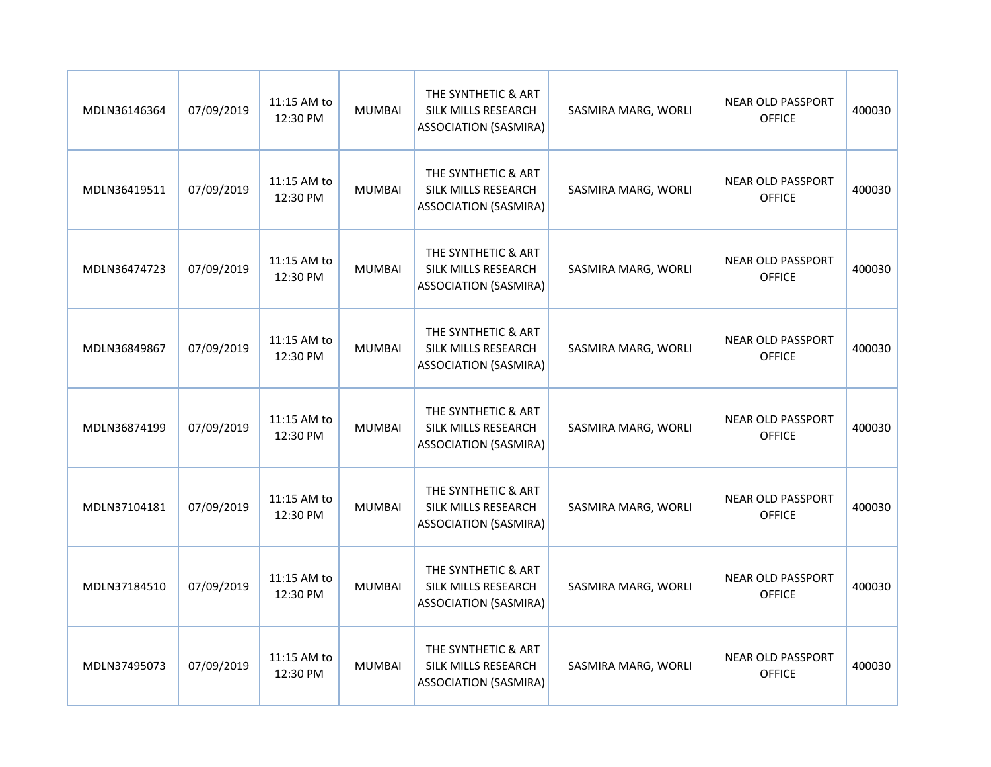| MDLN36146364 | 07/09/2019 | 11:15 AM to<br>12:30 PM | <b>MUMBAI</b> | THE SYNTHETIC & ART<br>SILK MILLS RESEARCH<br><b>ASSOCIATION (SASMIRA)</b> | SASMIRA MARG, WORLI | <b>NEAR OLD PASSPORT</b><br><b>OFFICE</b> | 400030 |
|--------------|------------|-------------------------|---------------|----------------------------------------------------------------------------|---------------------|-------------------------------------------|--------|
| MDLN36419511 | 07/09/2019 | 11:15 AM to<br>12:30 PM | <b>MUMBAI</b> | THE SYNTHETIC & ART<br>SILK MILLS RESEARCH<br><b>ASSOCIATION (SASMIRA)</b> | SASMIRA MARG, WORLI | <b>NEAR OLD PASSPORT</b><br><b>OFFICE</b> | 400030 |
| MDLN36474723 | 07/09/2019 | 11:15 AM to<br>12:30 PM | <b>MUMBAI</b> | THE SYNTHETIC & ART<br>SILK MILLS RESEARCH<br><b>ASSOCIATION (SASMIRA)</b> | SASMIRA MARG, WORLI | <b>NEAR OLD PASSPORT</b><br><b>OFFICE</b> | 400030 |
| MDLN36849867 | 07/09/2019 | 11:15 AM to<br>12:30 PM | <b>MUMBAI</b> | THE SYNTHETIC & ART<br>SILK MILLS RESEARCH<br><b>ASSOCIATION (SASMIRA)</b> | SASMIRA MARG, WORLI | <b>NEAR OLD PASSPORT</b><br><b>OFFICE</b> | 400030 |
| MDLN36874199 | 07/09/2019 | 11:15 AM to<br>12:30 PM | <b>MUMBAI</b> | THE SYNTHETIC & ART<br>SILK MILLS RESEARCH<br><b>ASSOCIATION (SASMIRA)</b> | SASMIRA MARG, WORLI | <b>NEAR OLD PASSPORT</b><br><b>OFFICE</b> | 400030 |
| MDLN37104181 | 07/09/2019 | 11:15 AM to<br>12:30 PM | <b>MUMBAI</b> | THE SYNTHETIC & ART<br>SILK MILLS RESEARCH<br><b>ASSOCIATION (SASMIRA)</b> | SASMIRA MARG, WORLI | <b>NEAR OLD PASSPORT</b><br><b>OFFICE</b> | 400030 |
| MDLN37184510 | 07/09/2019 | 11:15 AM to<br>12:30 PM | <b>MUMBAI</b> | THE SYNTHETIC & ART<br>SILK MILLS RESEARCH<br><b>ASSOCIATION (SASMIRA)</b> | SASMIRA MARG, WORLI | <b>NEAR OLD PASSPORT</b><br><b>OFFICE</b> | 400030 |
| MDLN37495073 | 07/09/2019 | 11:15 AM to<br>12:30 PM | <b>MUMBAI</b> | THE SYNTHETIC & ART<br>SILK MILLS RESEARCH<br><b>ASSOCIATION (SASMIRA)</b> | SASMIRA MARG, WORLI | <b>NEAR OLD PASSPORT</b><br><b>OFFICE</b> | 400030 |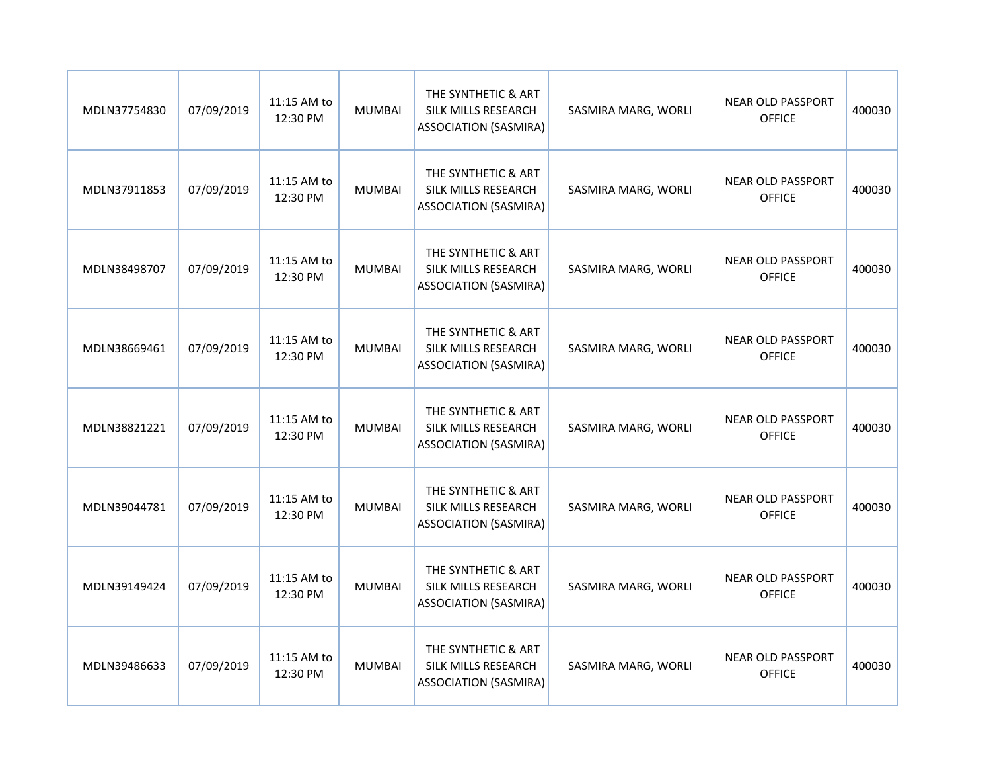| MDLN37754830 | 07/09/2019 | 11:15 AM to<br>12:30 PM | <b>MUMBAI</b> | THE SYNTHETIC & ART<br>SILK MILLS RESEARCH<br><b>ASSOCIATION (SASMIRA)</b> | SASMIRA MARG, WORLI | <b>NEAR OLD PASSPORT</b><br><b>OFFICE</b> | 400030 |
|--------------|------------|-------------------------|---------------|----------------------------------------------------------------------------|---------------------|-------------------------------------------|--------|
| MDLN37911853 | 07/09/2019 | 11:15 AM to<br>12:30 PM | <b>MUMBAI</b> | THE SYNTHETIC & ART<br>SILK MILLS RESEARCH<br><b>ASSOCIATION (SASMIRA)</b> | SASMIRA MARG, WORLI | <b>NEAR OLD PASSPORT</b><br><b>OFFICE</b> | 400030 |
| MDLN38498707 | 07/09/2019 | 11:15 AM to<br>12:30 PM | <b>MUMBAI</b> | THE SYNTHETIC & ART<br>SILK MILLS RESEARCH<br><b>ASSOCIATION (SASMIRA)</b> | SASMIRA MARG, WORLI | <b>NEAR OLD PASSPORT</b><br><b>OFFICE</b> | 400030 |
| MDLN38669461 | 07/09/2019 | 11:15 AM to<br>12:30 PM | <b>MUMBAI</b> | THE SYNTHETIC & ART<br>SILK MILLS RESEARCH<br><b>ASSOCIATION (SASMIRA)</b> | SASMIRA MARG, WORLI | <b>NEAR OLD PASSPORT</b><br><b>OFFICE</b> | 400030 |
| MDLN38821221 | 07/09/2019 | 11:15 AM to<br>12:30 PM | <b>MUMBAI</b> | THE SYNTHETIC & ART<br>SILK MILLS RESEARCH<br><b>ASSOCIATION (SASMIRA)</b> | SASMIRA MARG, WORLI | <b>NEAR OLD PASSPORT</b><br><b>OFFICE</b> | 400030 |
| MDLN39044781 | 07/09/2019 | 11:15 AM to<br>12:30 PM | <b>MUMBAI</b> | THE SYNTHETIC & ART<br>SILK MILLS RESEARCH<br><b>ASSOCIATION (SASMIRA)</b> | SASMIRA MARG, WORLI | <b>NEAR OLD PASSPORT</b><br><b>OFFICE</b> | 400030 |
| MDLN39149424 | 07/09/2019 | 11:15 AM to<br>12:30 PM | <b>MUMBAI</b> | THE SYNTHETIC & ART<br>SILK MILLS RESEARCH<br><b>ASSOCIATION (SASMIRA)</b> | SASMIRA MARG, WORLI | <b>NEAR OLD PASSPORT</b><br><b>OFFICE</b> | 400030 |
| MDLN39486633 | 07/09/2019 | 11:15 AM to<br>12:30 PM | <b>MUMBAI</b> | THE SYNTHETIC & ART<br>SILK MILLS RESEARCH<br><b>ASSOCIATION (SASMIRA)</b> | SASMIRA MARG, WORLI | <b>NEAR OLD PASSPORT</b><br><b>OFFICE</b> | 400030 |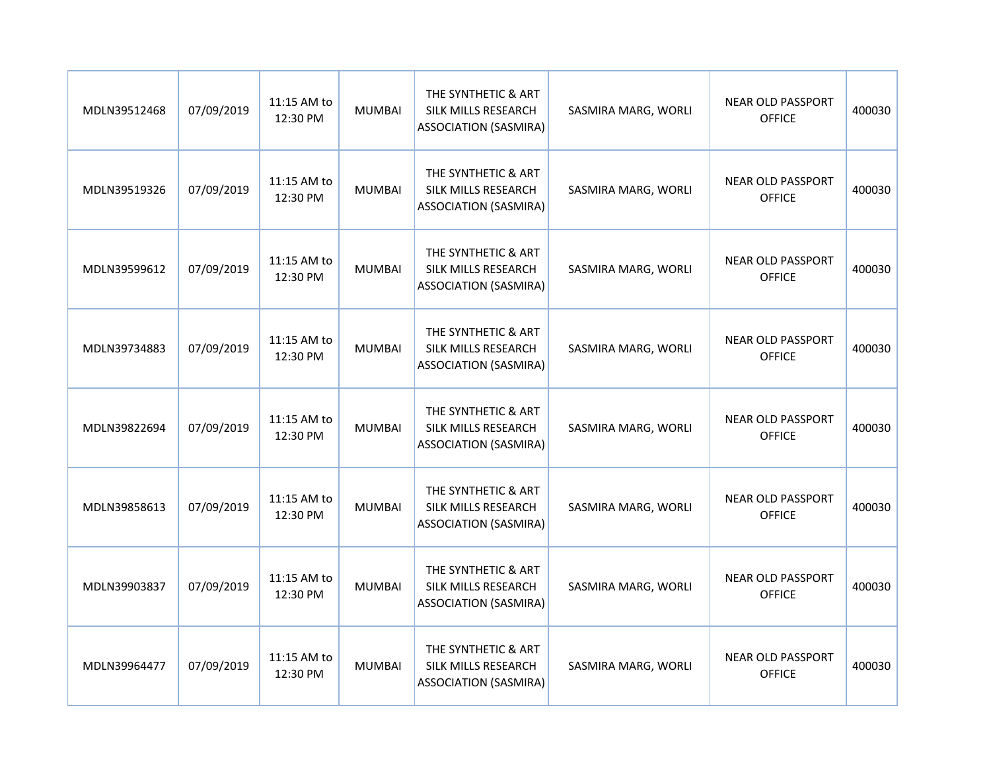| MDLN39512468 | 07/09/2019 | 11:15 AM to<br>12:30 PM | <b>MUMBAI</b> | THE SYNTHETIC & ART<br>SILK MILLS RESEARCH<br><b>ASSOCIATION (SASMIRA)</b> | SASMIRA MARG, WORLI | <b>NEAR OLD PASSPORT</b><br><b>OFFICE</b> | 400030 |
|--------------|------------|-------------------------|---------------|----------------------------------------------------------------------------|---------------------|-------------------------------------------|--------|
| MDLN39519326 | 07/09/2019 | 11:15 AM to<br>12:30 PM | <b>MUMBAI</b> | THE SYNTHETIC & ART<br>SILK MILLS RESEARCH<br><b>ASSOCIATION (SASMIRA)</b> | SASMIRA MARG, WORLI | <b>NEAR OLD PASSPORT</b><br><b>OFFICE</b> | 400030 |
| MDLN39599612 | 07/09/2019 | 11:15 AM to<br>12:30 PM | <b>MUMBAI</b> | THE SYNTHETIC & ART<br>SILK MILLS RESEARCH<br><b>ASSOCIATION (SASMIRA)</b> | SASMIRA MARG, WORLI | <b>NEAR OLD PASSPORT</b><br><b>OFFICE</b> | 400030 |
| MDLN39734883 | 07/09/2019 | 11:15 AM to<br>12:30 PM | <b>MUMBAI</b> | THE SYNTHETIC & ART<br>SILK MILLS RESEARCH<br><b>ASSOCIATION (SASMIRA)</b> | SASMIRA MARG, WORLI | <b>NEAR OLD PASSPORT</b><br><b>OFFICE</b> | 400030 |
| MDLN39822694 | 07/09/2019 | 11:15 AM to<br>12:30 PM | <b>MUMBAI</b> | THE SYNTHETIC & ART<br>SILK MILLS RESEARCH<br><b>ASSOCIATION (SASMIRA)</b> | SASMIRA MARG, WORLI | <b>NEAR OLD PASSPORT</b><br><b>OFFICE</b> | 400030 |
| MDLN39858613 | 07/09/2019 | 11:15 AM to<br>12:30 PM | <b>MUMBAI</b> | THE SYNTHETIC & ART<br>SILK MILLS RESEARCH<br><b>ASSOCIATION (SASMIRA)</b> | SASMIRA MARG, WORLI | <b>NEAR OLD PASSPORT</b><br><b>OFFICE</b> | 400030 |
| MDLN39903837 | 07/09/2019 | 11:15 AM to<br>12:30 PM | <b>MUMBAI</b> | THE SYNTHETIC & ART<br>SILK MILLS RESEARCH<br><b>ASSOCIATION (SASMIRA)</b> | SASMIRA MARG, WORLI | <b>NEAR OLD PASSPORT</b><br><b>OFFICE</b> | 400030 |
| MDLN39964477 | 07/09/2019 | 11:15 AM to<br>12:30 PM | <b>MUMBAI</b> | THE SYNTHETIC & ART<br>SILK MILLS RESEARCH<br><b>ASSOCIATION (SASMIRA)</b> | SASMIRA MARG, WORLI | <b>NEAR OLD PASSPORT</b><br><b>OFFICE</b> | 400030 |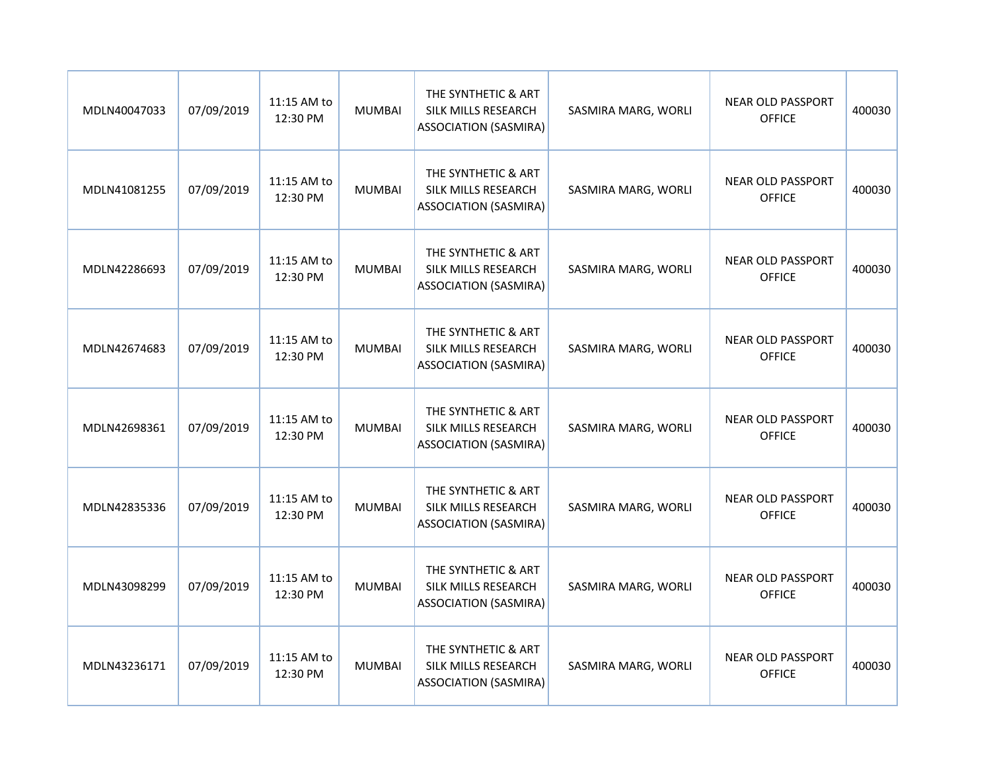| MDLN40047033 | 07/09/2019 | 11:15 AM to<br>12:30 PM | <b>MUMBAI</b> | THE SYNTHETIC & ART<br>SILK MILLS RESEARCH<br><b>ASSOCIATION (SASMIRA)</b> | SASMIRA MARG, WORLI | <b>NEAR OLD PASSPORT</b><br><b>OFFICE</b> | 400030 |
|--------------|------------|-------------------------|---------------|----------------------------------------------------------------------------|---------------------|-------------------------------------------|--------|
| MDLN41081255 | 07/09/2019 | 11:15 AM to<br>12:30 PM | <b>MUMBAI</b> | THE SYNTHETIC & ART<br>SILK MILLS RESEARCH<br><b>ASSOCIATION (SASMIRA)</b> | SASMIRA MARG, WORLI | <b>NEAR OLD PASSPORT</b><br><b>OFFICE</b> | 400030 |
| MDLN42286693 | 07/09/2019 | 11:15 AM to<br>12:30 PM | <b>MUMBAI</b> | THE SYNTHETIC & ART<br>SILK MILLS RESEARCH<br><b>ASSOCIATION (SASMIRA)</b> | SASMIRA MARG, WORLI | <b>NEAR OLD PASSPORT</b><br><b>OFFICE</b> | 400030 |
| MDLN42674683 | 07/09/2019 | 11:15 AM to<br>12:30 PM | <b>MUMBAI</b> | THE SYNTHETIC & ART<br>SILK MILLS RESEARCH<br><b>ASSOCIATION (SASMIRA)</b> | SASMIRA MARG, WORLI | <b>NEAR OLD PASSPORT</b><br><b>OFFICE</b> | 400030 |
| MDLN42698361 | 07/09/2019 | 11:15 AM to<br>12:30 PM | <b>MUMBAI</b> | THE SYNTHETIC & ART<br>SILK MILLS RESEARCH<br><b>ASSOCIATION (SASMIRA)</b> | SASMIRA MARG, WORLI | <b>NEAR OLD PASSPORT</b><br><b>OFFICE</b> | 400030 |
| MDLN42835336 | 07/09/2019 | 11:15 AM to<br>12:30 PM | <b>MUMBAI</b> | THE SYNTHETIC & ART<br>SILK MILLS RESEARCH<br><b>ASSOCIATION (SASMIRA)</b> | SASMIRA MARG, WORLI | <b>NEAR OLD PASSPORT</b><br><b>OFFICE</b> | 400030 |
| MDLN43098299 | 07/09/2019 | 11:15 AM to<br>12:30 PM | <b>MUMBAI</b> | THE SYNTHETIC & ART<br>SILK MILLS RESEARCH<br><b>ASSOCIATION (SASMIRA)</b> | SASMIRA MARG, WORLI | <b>NEAR OLD PASSPORT</b><br><b>OFFICE</b> | 400030 |
| MDLN43236171 | 07/09/2019 | 11:15 AM to<br>12:30 PM | <b>MUMBAI</b> | THE SYNTHETIC & ART<br>SILK MILLS RESEARCH<br><b>ASSOCIATION (SASMIRA)</b> | SASMIRA MARG, WORLI | <b>NEAR OLD PASSPORT</b><br><b>OFFICE</b> | 400030 |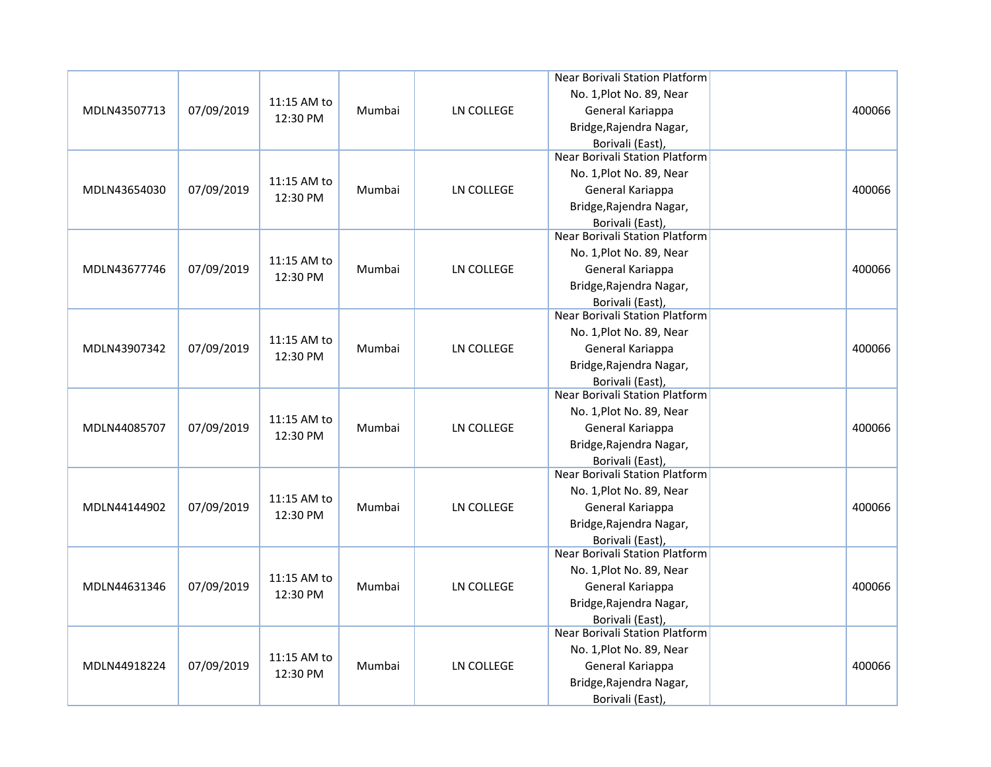|              |            |             |        |                   | Near Borivali Station Platform        |        |
|--------------|------------|-------------|--------|-------------------|---------------------------------------|--------|
|              |            |             |        |                   | No. 1, Plot No. 89, Near              |        |
| MDLN43507713 | 07/09/2019 | 11:15 AM to | Mumbai | LN COLLEGE        | General Kariappa                      | 400066 |
|              |            | 12:30 PM    |        |                   | Bridge, Rajendra Nagar,               |        |
|              |            |             |        |                   | Borivali (East),                      |        |
|              |            |             |        |                   | <b>Near Borivali Station Platform</b> |        |
|              |            | 11:15 AM to |        |                   | No. 1, Plot No. 89, Near              |        |
| MDLN43654030 | 07/09/2019 |             | Mumbai | LN COLLEGE        | General Kariappa                      | 400066 |
|              |            | 12:30 PM    |        |                   | Bridge, Rajendra Nagar,               |        |
|              |            |             |        |                   | Borivali (East),                      |        |
|              |            |             |        |                   | <b>Near Borivali Station Platform</b> |        |
|              |            | 11:15 AM to |        |                   | No. 1, Plot No. 89, Near              |        |
| MDLN43677746 | 07/09/2019 | 12:30 PM    | Mumbai | <b>LN COLLEGE</b> | General Kariappa                      | 400066 |
|              |            |             |        |                   | Bridge, Rajendra Nagar,               |        |
|              |            |             |        |                   | Borivali (East),                      |        |
|              |            |             |        |                   | Near Borivali Station Platform        |        |
|              |            | 11:15 AM to |        |                   | No. 1, Plot No. 89, Near              |        |
| MDLN43907342 | 07/09/2019 | 12:30 PM    | Mumbai | <b>LN COLLEGE</b> | General Kariappa                      | 400066 |
|              |            |             |        |                   | Bridge, Rajendra Nagar,               |        |
|              |            |             |        |                   | Borivali (East),                      |        |
|              |            |             |        |                   | <b>Near Borivali Station Platform</b> |        |
|              |            | 11:15 AM to |        |                   | No. 1, Plot No. 89, Near              |        |
| MDLN44085707 | 07/09/2019 | 12:30 PM    | Mumbai | <b>LN COLLEGE</b> | General Kariappa                      | 400066 |
|              |            |             |        |                   | Bridge, Rajendra Nagar,               |        |
|              |            |             |        |                   | Borivali (East),                      |        |
|              |            |             |        |                   | Near Borivali Station Platform        |        |
|              |            | 11:15 AM to |        |                   | No. 1, Plot No. 89, Near              |        |
| MDLN44144902 | 07/09/2019 | 12:30 PM    | Mumbai | <b>LN COLLEGE</b> | General Kariappa                      | 400066 |
|              |            |             |        |                   | Bridge, Rajendra Nagar,               |        |
|              |            |             |        |                   | Borivali (East),                      |        |
|              |            |             |        |                   | Near Borivali Station Platform        |        |
|              |            | 11:15 AM to |        |                   | No. 1, Plot No. 89, Near              |        |
| MDLN44631346 | 07/09/2019 | 12:30 PM    | Mumbai | <b>LN COLLEGE</b> | General Kariappa                      | 400066 |
|              |            |             |        |                   | Bridge, Rajendra Nagar,               |        |
|              |            |             |        |                   | Borivali (East),                      |        |
|              |            |             |        |                   | <b>Near Borivali Station Platform</b> |        |
|              |            | 11:15 AM to |        |                   | No. 1, Plot No. 89, Near              |        |
| MDLN44918224 | 07/09/2019 | 12:30 PM    | Mumbai | LN COLLEGE        | General Kariappa                      | 400066 |
|              |            |             |        |                   | Bridge, Rajendra Nagar,               |        |
|              |            |             |        |                   | Borivali (East),                      |        |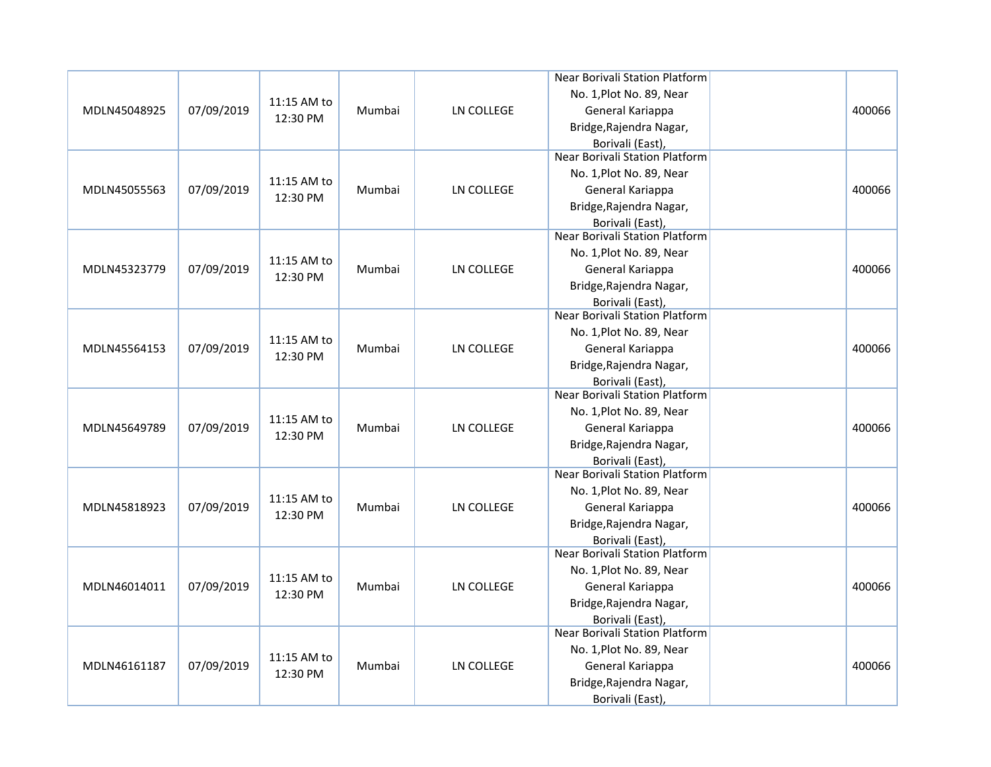|              |            |             |        |                   | Near Borivali Station Platform        |        |
|--------------|------------|-------------|--------|-------------------|---------------------------------------|--------|
|              |            |             |        |                   | No. 1, Plot No. 89, Near              |        |
| MDLN45048925 | 07/09/2019 | 11:15 AM to | Mumbai | LN COLLEGE        | General Kariappa                      | 400066 |
|              |            | 12:30 PM    |        |                   | Bridge, Rajendra Nagar,               |        |
|              |            |             |        |                   | Borivali (East),                      |        |
|              |            |             |        |                   | <b>Near Borivali Station Platform</b> |        |
|              |            | 11:15 AM to |        |                   | No. 1, Plot No. 89, Near              |        |
| MDLN45055563 | 07/09/2019 |             | Mumbai | LN COLLEGE        | General Kariappa                      | 400066 |
|              |            | 12:30 PM    |        |                   | Bridge, Rajendra Nagar,               |        |
|              |            |             |        |                   | Borivali (East),                      |        |
|              |            |             |        |                   | <b>Near Borivali Station Platform</b> |        |
|              |            | 11:15 AM to |        |                   | No. 1, Plot No. 89, Near              |        |
| MDLN45323779 | 07/09/2019 | 12:30 PM    | Mumbai | <b>LN COLLEGE</b> | General Kariappa                      | 400066 |
|              |            |             |        |                   | Bridge, Rajendra Nagar,               |        |
|              |            |             |        |                   | Borivali (East),                      |        |
|              |            |             |        |                   | Near Borivali Station Platform        |        |
|              |            | 11:15 AM to |        |                   | No. 1, Plot No. 89, Near              |        |
| MDLN45564153 | 07/09/2019 | 12:30 PM    | Mumbai | <b>LN COLLEGE</b> | General Kariappa                      | 400066 |
|              |            |             |        |                   | Bridge, Rajendra Nagar,               |        |
|              |            |             |        |                   | Borivali (East),                      |        |
|              |            |             |        |                   | <b>Near Borivali Station Platform</b> |        |
|              |            | 11:15 AM to |        |                   | No. 1, Plot No. 89, Near              |        |
| MDLN45649789 | 07/09/2019 | 12:30 PM    | Mumbai | <b>LN COLLEGE</b> | General Kariappa                      | 400066 |
|              |            |             |        |                   | Bridge, Rajendra Nagar,               |        |
|              |            |             |        |                   | Borivali (East),                      |        |
|              |            |             |        |                   | Near Borivali Station Platform        |        |
|              |            | 11:15 AM to |        |                   | No. 1, Plot No. 89, Near              |        |
| MDLN45818923 | 07/09/2019 | 12:30 PM    | Mumbai | <b>LN COLLEGE</b> | General Kariappa                      | 400066 |
|              |            |             |        |                   | Bridge, Rajendra Nagar,               |        |
|              |            |             |        |                   | Borivali (East),                      |        |
|              |            |             |        |                   | Near Borivali Station Platform        |        |
|              |            | 11:15 AM to |        |                   | No. 1, Plot No. 89, Near              |        |
| MDLN46014011 | 07/09/2019 | 12:30 PM    | Mumbai | <b>LN COLLEGE</b> | General Kariappa                      | 400066 |
|              |            |             |        |                   | Bridge, Rajendra Nagar,               |        |
|              |            |             |        |                   | Borivali (East),                      |        |
|              |            |             |        |                   | <b>Near Borivali Station Platform</b> |        |
|              |            | 11:15 AM to |        |                   | No. 1, Plot No. 89, Near              |        |
| MDLN46161187 | 07/09/2019 | 12:30 PM    | Mumbai | LN COLLEGE        | General Kariappa                      | 400066 |
|              |            |             |        |                   | Bridge, Rajendra Nagar,               |        |
|              |            |             |        |                   | Borivali (East),                      |        |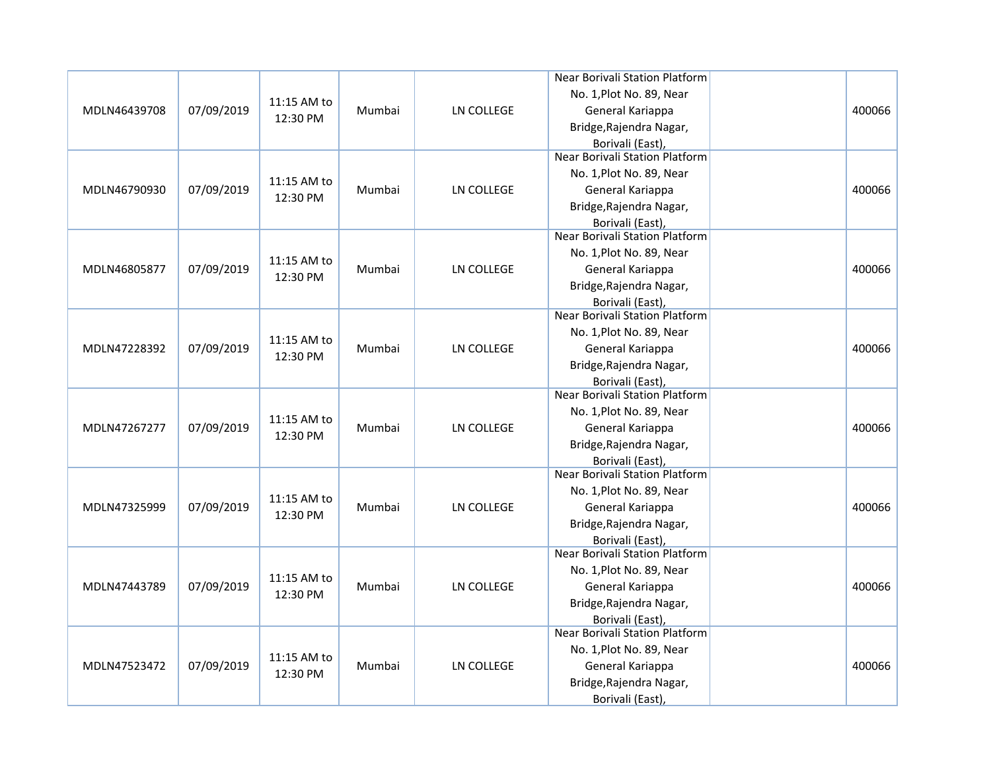|              |            |             |        |                   | Near Borivali Station Platform        |        |
|--------------|------------|-------------|--------|-------------------|---------------------------------------|--------|
|              |            |             |        |                   | No. 1, Plot No. 89, Near              |        |
| MDLN46439708 | 07/09/2019 | 11:15 AM to | Mumbai | LN COLLEGE        | General Kariappa                      | 400066 |
|              |            | 12:30 PM    |        |                   | Bridge, Rajendra Nagar,               |        |
|              |            |             |        |                   | Borivali (East),                      |        |
|              |            |             |        |                   | <b>Near Borivali Station Platform</b> |        |
|              |            | 11:15 AM to |        |                   | No. 1, Plot No. 89, Near              |        |
| MDLN46790930 | 07/09/2019 |             | Mumbai | LN COLLEGE        | General Kariappa                      | 400066 |
|              |            | 12:30 PM    |        |                   | Bridge, Rajendra Nagar,               |        |
|              |            |             |        |                   | Borivali (East),                      |        |
|              |            |             |        |                   | <b>Near Borivali Station Platform</b> |        |
|              |            | 11:15 AM to |        |                   | No. 1, Plot No. 89, Near              |        |
| MDLN46805877 | 07/09/2019 | 12:30 PM    | Mumbai | <b>LN COLLEGE</b> | General Kariappa                      | 400066 |
|              |            |             |        |                   | Bridge, Rajendra Nagar,               |        |
|              |            |             |        |                   | Borivali (East),                      |        |
|              |            |             |        |                   | Near Borivali Station Platform        |        |
|              |            | 11:15 AM to |        |                   | No. 1, Plot No. 89, Near              |        |
| MDLN47228392 | 07/09/2019 | 12:30 PM    | Mumbai | <b>LN COLLEGE</b> | General Kariappa                      | 400066 |
|              |            |             |        |                   | Bridge, Rajendra Nagar,               |        |
|              |            |             |        |                   | Borivali (East),                      |        |
|              |            |             |        |                   | <b>Near Borivali Station Platform</b> |        |
|              |            | 11:15 AM to |        |                   | No. 1, Plot No. 89, Near              |        |
| MDLN47267277 | 07/09/2019 | 12:30 PM    | Mumbai | <b>LN COLLEGE</b> | General Kariappa                      | 400066 |
|              |            |             |        |                   | Bridge, Rajendra Nagar,               |        |
|              |            |             |        |                   | Borivali (East),                      |        |
|              |            |             |        |                   | Near Borivali Station Platform        |        |
|              |            | 11:15 AM to |        |                   | No. 1, Plot No. 89, Near              |        |
| MDLN47325999 | 07/09/2019 | 12:30 PM    | Mumbai | <b>LN COLLEGE</b> | General Kariappa                      | 400066 |
|              |            |             |        |                   | Bridge, Rajendra Nagar,               |        |
|              |            |             |        |                   | Borivali (East),                      |        |
|              |            |             |        |                   | Near Borivali Station Platform        |        |
|              |            | 11:15 AM to |        |                   | No. 1, Plot No. 89, Near              |        |
| MDLN47443789 | 07/09/2019 | 12:30 PM    | Mumbai | <b>LN COLLEGE</b> | General Kariappa                      | 400066 |
|              |            |             |        |                   | Bridge, Rajendra Nagar,               |        |
|              |            |             |        |                   | Borivali (East),                      |        |
|              |            |             |        |                   | <b>Near Borivali Station Platform</b> |        |
|              |            | 11:15 AM to |        |                   | No. 1, Plot No. 89, Near              |        |
| MDLN47523472 | 07/09/2019 | 12:30 PM    | Mumbai | LN COLLEGE        | General Kariappa                      | 400066 |
|              |            |             |        |                   | Bridge, Rajendra Nagar,               |        |
|              |            |             |        |                   | Borivali (East),                      |        |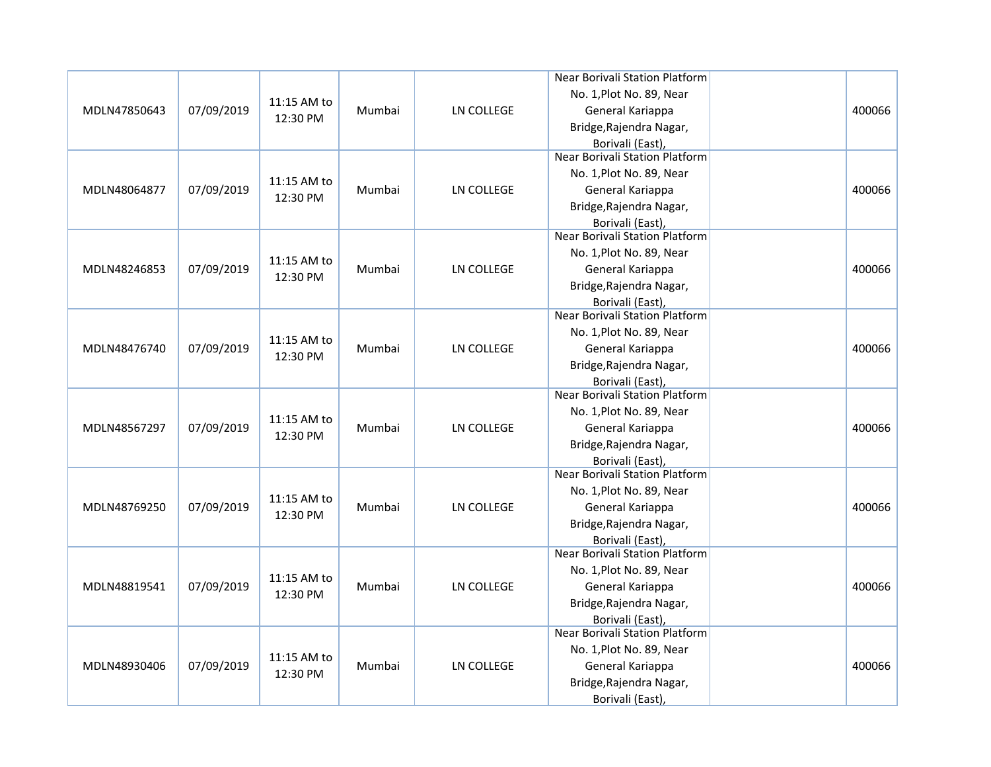|              |            |             |        |                   | Near Borivali Station Platform        |        |
|--------------|------------|-------------|--------|-------------------|---------------------------------------|--------|
|              |            |             |        |                   | No. 1, Plot No. 89, Near              |        |
| MDLN47850643 | 07/09/2019 | 11:15 AM to | Mumbai | LN COLLEGE        | General Kariappa                      | 400066 |
|              |            | 12:30 PM    |        |                   | Bridge, Rajendra Nagar,               |        |
|              |            |             |        |                   | Borivali (East),                      |        |
|              |            |             |        |                   | <b>Near Borivali Station Platform</b> |        |
|              |            |             |        |                   | No. 1, Plot No. 89, Near              |        |
| MDLN48064877 | 07/09/2019 | 11:15 AM to | Mumbai | LN COLLEGE        | General Kariappa                      | 400066 |
|              |            | 12:30 PM    |        |                   | Bridge, Rajendra Nagar,               |        |
|              |            |             |        |                   | Borivali (East),                      |        |
|              |            |             |        |                   | <b>Near Borivali Station Platform</b> |        |
|              |            | 11:15 AM to |        |                   | No. 1, Plot No. 89, Near              |        |
| MDLN48246853 | 07/09/2019 |             | Mumbai | <b>LN COLLEGE</b> | General Kariappa                      | 400066 |
|              |            | 12:30 PM    |        |                   | Bridge, Rajendra Nagar,               |        |
|              |            |             |        |                   | Borivali (East),                      |        |
|              |            |             |        |                   | Near Borivali Station Platform        |        |
|              |            | 11:15 AM to |        |                   | No. 1, Plot No. 89, Near              |        |
| MDLN48476740 | 07/09/2019 | 12:30 PM    | Mumbai | <b>LN COLLEGE</b> | General Kariappa                      | 400066 |
|              |            |             |        |                   | Bridge, Rajendra Nagar,               |        |
|              |            |             |        |                   | Borivali (East),                      |        |
|              |            |             |        |                   | <b>Near Borivali Station Platform</b> |        |
|              |            | 11:15 AM to |        |                   | No. 1, Plot No. 89, Near              |        |
| MDLN48567297 | 07/09/2019 | 12:30 PM    | Mumbai | <b>LN COLLEGE</b> | General Kariappa                      | 400066 |
|              |            |             |        |                   | Bridge, Rajendra Nagar,               |        |
|              |            |             |        |                   | Borivali (East),                      |        |
|              |            |             |        |                   | Near Borivali Station Platform        |        |
|              |            | 11:15 AM to |        |                   | No. 1, Plot No. 89, Near              |        |
| MDLN48769250 | 07/09/2019 | 12:30 PM    | Mumbai | <b>LN COLLEGE</b> | General Kariappa                      | 400066 |
|              |            |             |        |                   | Bridge, Rajendra Nagar,               |        |
|              |            |             |        |                   | Borivali (East),                      |        |
|              |            |             |        |                   | Near Borivali Station Platform        |        |
|              |            | 11:15 AM to |        |                   | No. 1, Plot No. 89, Near              |        |
| MDLN48819541 | 07/09/2019 | 12:30 PM    | Mumbai | <b>LN COLLEGE</b> | General Kariappa                      | 400066 |
|              |            |             |        |                   | Bridge, Rajendra Nagar,               |        |
|              |            |             |        |                   | Borivali (East),                      |        |
|              |            |             |        |                   | <b>Near Borivali Station Platform</b> |        |
|              |            | 11:15 AM to |        |                   | No. 1, Plot No. 89, Near              |        |
| MDLN48930406 | 07/09/2019 | 12:30 PM    | Mumbai | LN COLLEGE        | General Kariappa                      | 400066 |
|              |            |             |        |                   | Bridge, Rajendra Nagar,               |        |
|              |            |             |        |                   | Borivali (East),                      |        |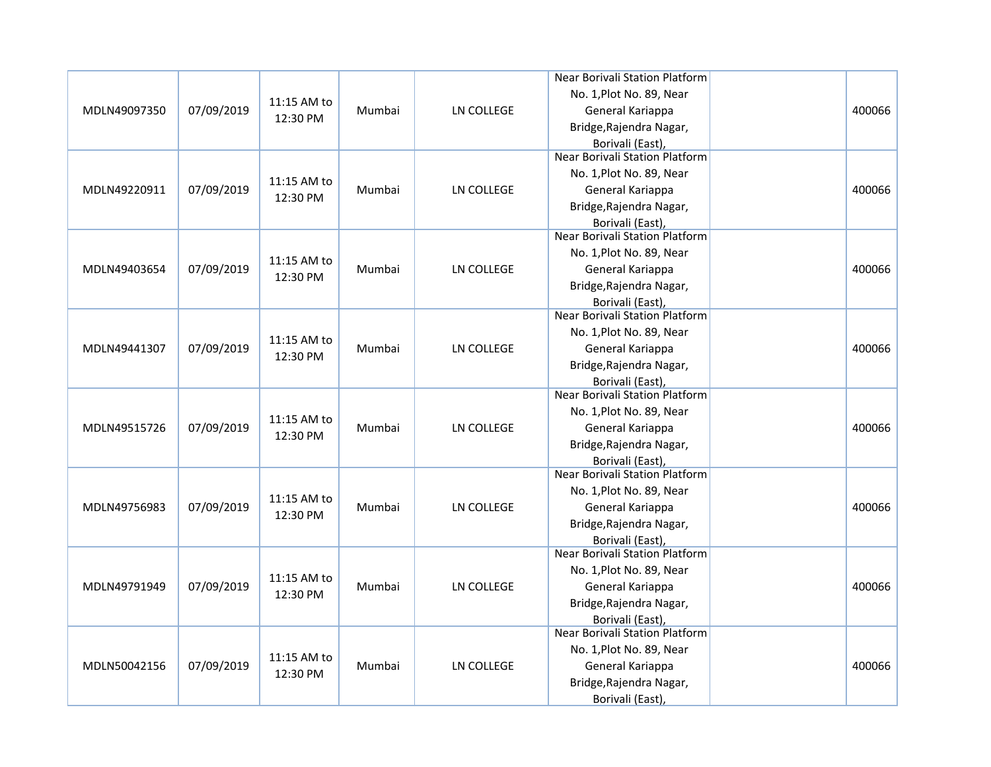|              |            |             |        |                   | Near Borivali Station Platform        |        |
|--------------|------------|-------------|--------|-------------------|---------------------------------------|--------|
|              |            |             |        |                   | No. 1, Plot No. 89, Near              |        |
| MDLN49097350 | 07/09/2019 | 11:15 AM to | Mumbai | LN COLLEGE        | General Kariappa                      | 400066 |
|              |            | 12:30 PM    |        |                   | Bridge, Rajendra Nagar,               |        |
|              |            |             |        |                   | Borivali (East),                      |        |
|              |            |             |        |                   | <b>Near Borivali Station Platform</b> |        |
|              |            | 11:15 AM to |        |                   | No. 1, Plot No. 89, Near              |        |
| MDLN49220911 | 07/09/2019 |             | Mumbai | LN COLLEGE        | General Kariappa                      | 400066 |
|              |            | 12:30 PM    |        |                   | Bridge, Rajendra Nagar,               |        |
|              |            |             |        |                   | Borivali (East),                      |        |
|              |            |             |        |                   | <b>Near Borivali Station Platform</b> |        |
|              |            | 11:15 AM to |        |                   | No. 1, Plot No. 89, Near              |        |
| MDLN49403654 | 07/09/2019 | 12:30 PM    | Mumbai | <b>LN COLLEGE</b> | General Kariappa                      | 400066 |
|              |            |             |        |                   | Bridge, Rajendra Nagar,               |        |
|              |            |             |        |                   | Borivali (East),                      |        |
|              |            |             |        |                   | Near Borivali Station Platform        |        |
|              |            | 11:15 AM to |        |                   | No. 1, Plot No. 89, Near              |        |
| MDLN49441307 | 07/09/2019 | 12:30 PM    | Mumbai | <b>LN COLLEGE</b> | General Kariappa                      | 400066 |
|              |            |             |        |                   | Bridge, Rajendra Nagar,               |        |
|              |            |             |        |                   | Borivali (East),                      |        |
|              |            |             |        |                   | <b>Near Borivali Station Platform</b> |        |
|              |            | 11:15 AM to |        |                   | No. 1, Plot No. 89, Near              |        |
| MDLN49515726 | 07/09/2019 | 12:30 PM    | Mumbai | <b>LN COLLEGE</b> | General Kariappa                      | 400066 |
|              |            |             |        |                   | Bridge, Rajendra Nagar,               |        |
|              |            |             |        |                   | Borivali (East),                      |        |
|              |            |             |        |                   | Near Borivali Station Platform        |        |
|              |            | 11:15 AM to |        |                   | No. 1, Plot No. 89, Near              |        |
| MDLN49756983 | 07/09/2019 | 12:30 PM    | Mumbai | <b>LN COLLEGE</b> | General Kariappa                      | 400066 |
|              |            |             |        |                   | Bridge, Rajendra Nagar,               |        |
|              |            |             |        |                   | Borivali (East),                      |        |
|              |            |             |        |                   | Near Borivali Station Platform        |        |
|              |            | 11:15 AM to |        |                   | No. 1, Plot No. 89, Near              |        |
| MDLN49791949 | 07/09/2019 | 12:30 PM    | Mumbai | <b>LN COLLEGE</b> | General Kariappa                      | 400066 |
|              |            |             |        |                   | Bridge, Rajendra Nagar,               |        |
|              |            |             |        |                   | Borivali (East),                      |        |
|              |            |             |        |                   | <b>Near Borivali Station Platform</b> |        |
|              |            | 11:15 AM to |        |                   | No. 1, Plot No. 89, Near              |        |
| MDLN50042156 | 07/09/2019 | 12:30 PM    | Mumbai | LN COLLEGE        | General Kariappa                      | 400066 |
|              |            |             |        |                   | Bridge, Rajendra Nagar,               |        |
|              |            |             |        |                   | Borivali (East),                      |        |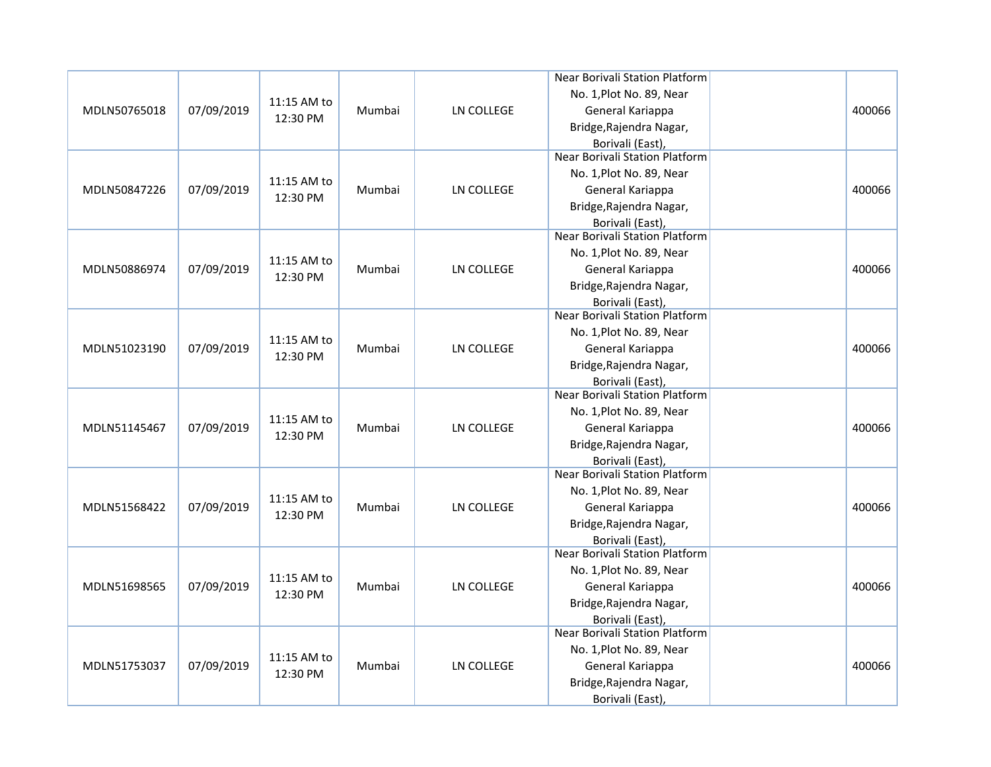|              |            |             |        |                   | Near Borivali Station Platform                            |        |
|--------------|------------|-------------|--------|-------------------|-----------------------------------------------------------|--------|
|              |            |             |        |                   | No. 1, Plot No. 89, Near                                  |        |
| MDLN50765018 | 07/09/2019 | 11:15 AM to | Mumbai | LN COLLEGE        | General Kariappa                                          | 400066 |
|              |            | 12:30 PM    |        |                   | Bridge, Rajendra Nagar,                                   |        |
|              |            |             |        |                   | Borivali (East),                                          |        |
|              |            |             |        |                   | <b>Near Borivali Station Platform</b>                     |        |
|              |            |             |        |                   | No. 1, Plot No. 89, Near                                  |        |
| MDLN50847226 | 07/09/2019 | 11:15 AM to | Mumbai | LN COLLEGE        | General Kariappa                                          | 400066 |
|              |            | 12:30 PM    |        |                   | Bridge, Rajendra Nagar,                                   |        |
|              |            |             |        |                   | Borivali (East),                                          |        |
|              |            |             |        |                   | <b>Near Borivali Station Platform</b>                     |        |
|              |            | 11:15 AM to |        |                   | No. 1, Plot No. 89, Near                                  |        |
| MDLN50886974 | 07/09/2019 | 12:30 PM    | Mumbai | LN COLLEGE        | General Kariappa                                          | 400066 |
|              |            |             |        |                   | Bridge, Rajendra Nagar,                                   |        |
|              |            |             |        |                   | Borivali (East),                                          |        |
|              |            |             |        |                   | Near Borivali Station Platform                            |        |
|              |            | 11:15 AM to |        |                   | No. 1, Plot No. 89, Near                                  |        |
| MDLN51023190 | 07/09/2019 | 12:30 PM    | Mumbai | LN COLLEGE        | General Kariappa                                          | 400066 |
|              |            |             |        |                   | Bridge, Rajendra Nagar,                                   |        |
|              |            |             |        |                   | Borivali (East),                                          |        |
|              |            |             |        |                   | <b>Near Borivali Station Platform</b>                     |        |
|              |            | 11:15 AM to |        |                   | No. 1, Plot No. 89, Near                                  |        |
| MDLN51145467 | 07/09/2019 | 12:30 PM    | Mumbai | LN COLLEGE        | General Kariappa                                          | 400066 |
|              |            |             |        |                   | Bridge, Rajendra Nagar,                                   |        |
|              |            |             |        |                   | Borivali (East),                                          |        |
|              |            |             |        |                   | <b>Near Borivali Station Platform</b>                     |        |
|              |            | 11:15 AM to |        |                   | No. 1, Plot No. 89, Near                                  |        |
| MDLN51568422 | 07/09/2019 | 12:30 PM    | Mumbai | LN COLLEGE        | General Kariappa                                          | 400066 |
|              |            |             |        |                   | Bridge, Rajendra Nagar,                                   |        |
|              |            |             |        |                   | Borivali (East),                                          |        |
|              |            |             |        |                   | Near Borivali Station Platform                            |        |
|              |            | 11:15 AM to |        |                   | No. 1, Plot No. 89, Near                                  |        |
| MDLN51698565 | 07/09/2019 | 12:30 PM    | Mumbai | <b>LN COLLEGE</b> | General Kariappa                                          | 400066 |
|              |            |             |        |                   | Bridge, Rajendra Nagar,                                   |        |
|              |            |             |        |                   | Borivali (East),<br><b>Near Borivali Station Platform</b> |        |
|              |            |             |        |                   |                                                           |        |
|              | 07/09/2019 | 11:15 AM to |        |                   | No. 1, Plot No. 89, Near                                  |        |
| MDLN51753037 |            | 12:30 PM    | Mumbai | <b>LN COLLEGE</b> | General Kariappa                                          | 400066 |
|              |            |             |        |                   | Bridge, Rajendra Nagar,                                   |        |
|              |            |             |        |                   | Borivali (East),                                          |        |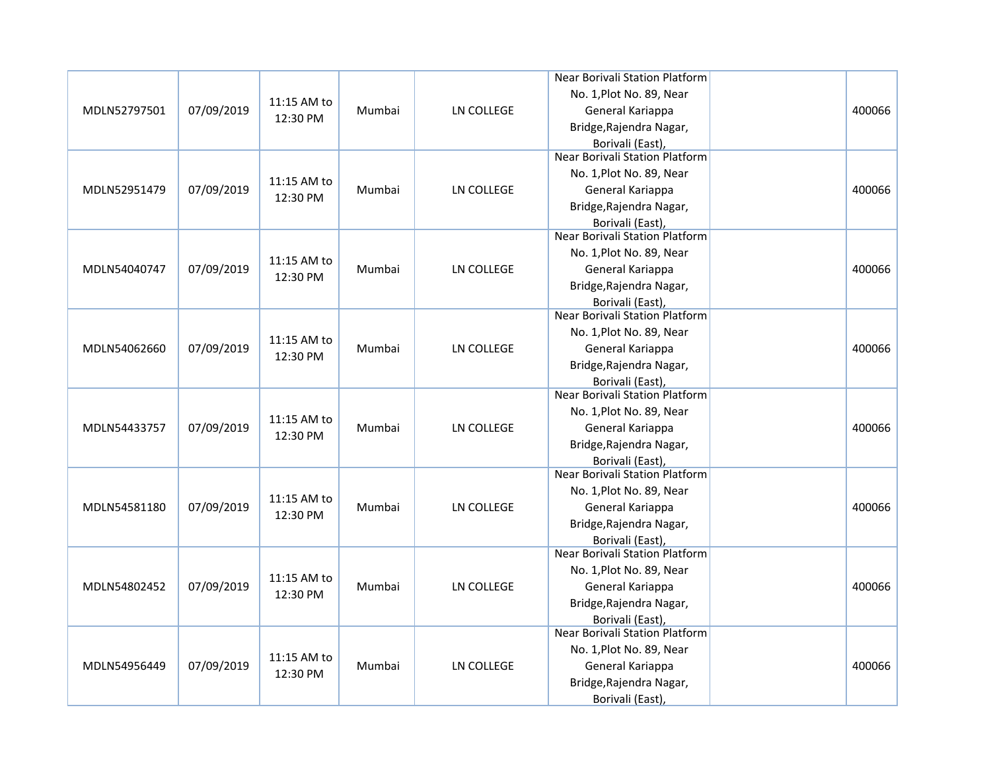|              |            |             |        |                   | Near Borivali Station Platform        |        |
|--------------|------------|-------------|--------|-------------------|---------------------------------------|--------|
|              |            |             |        |                   | No. 1, Plot No. 89, Near              |        |
| MDLN52797501 | 07/09/2019 | 11:15 AM to | Mumbai | LN COLLEGE        | General Kariappa                      | 400066 |
|              |            | 12:30 PM    |        |                   | Bridge, Rajendra Nagar,               |        |
|              |            |             |        |                   | Borivali (East),                      |        |
|              |            |             |        |                   | <b>Near Borivali Station Platform</b> |        |
|              |            | 11:15 AM to |        |                   | No. 1, Plot No. 89, Near              |        |
| MDLN52951479 | 07/09/2019 |             | Mumbai | LN COLLEGE        | General Kariappa                      | 400066 |
|              |            | 12:30 PM    |        |                   | Bridge, Rajendra Nagar,               |        |
|              |            |             |        |                   | Borivali (East),                      |        |
|              |            |             |        |                   | <b>Near Borivali Station Platform</b> |        |
|              |            | 11:15 AM to |        |                   | No. 1, Plot No. 89, Near              |        |
| MDLN54040747 | 07/09/2019 | 12:30 PM    | Mumbai | <b>LN COLLEGE</b> | General Kariappa                      | 400066 |
|              |            |             |        |                   | Bridge, Rajendra Nagar,               |        |
|              |            |             |        |                   | Borivali (East),                      |        |
|              |            |             |        |                   | Near Borivali Station Platform        |        |
|              |            | 11:15 AM to |        |                   | No. 1, Plot No. 89, Near              |        |
| MDLN54062660 | 07/09/2019 | 12:30 PM    | Mumbai | <b>LN COLLEGE</b> | General Kariappa                      | 400066 |
|              |            |             |        |                   | Bridge, Rajendra Nagar,               |        |
|              |            |             |        |                   | Borivali (East),                      |        |
|              |            |             |        |                   | <b>Near Borivali Station Platform</b> |        |
|              |            | 11:15 AM to |        |                   | No. 1, Plot No. 89, Near              |        |
| MDLN54433757 | 07/09/2019 | 12:30 PM    | Mumbai | <b>LN COLLEGE</b> | General Kariappa                      | 400066 |
|              |            |             |        |                   | Bridge, Rajendra Nagar,               |        |
|              |            |             |        |                   | Borivali (East),                      |        |
|              |            |             |        |                   | Near Borivali Station Platform        |        |
|              |            | 11:15 AM to |        |                   | No. 1, Plot No. 89, Near              |        |
| MDLN54581180 | 07/09/2019 | 12:30 PM    | Mumbai | <b>LN COLLEGE</b> | General Kariappa                      | 400066 |
|              |            |             |        |                   | Bridge, Rajendra Nagar,               |        |
|              |            |             |        |                   | Borivali (East),                      |        |
|              |            |             |        |                   | Near Borivali Station Platform        |        |
|              |            | 11:15 AM to |        |                   | No. 1, Plot No. 89, Near              |        |
| MDLN54802452 | 07/09/2019 | 12:30 PM    | Mumbai | <b>LN COLLEGE</b> | General Kariappa                      | 400066 |
|              |            |             |        |                   | Bridge, Rajendra Nagar,               |        |
|              |            |             |        |                   | Borivali (East),                      |        |
|              |            |             |        |                   | <b>Near Borivali Station Platform</b> |        |
|              |            | 11:15 AM to |        |                   | No. 1, Plot No. 89, Near              |        |
| MDLN54956449 | 07/09/2019 | 12:30 PM    | Mumbai | LN COLLEGE        | General Kariappa                      | 400066 |
|              |            |             |        |                   | Bridge, Rajendra Nagar,               |        |
|              |            |             |        |                   | Borivali (East),                      |        |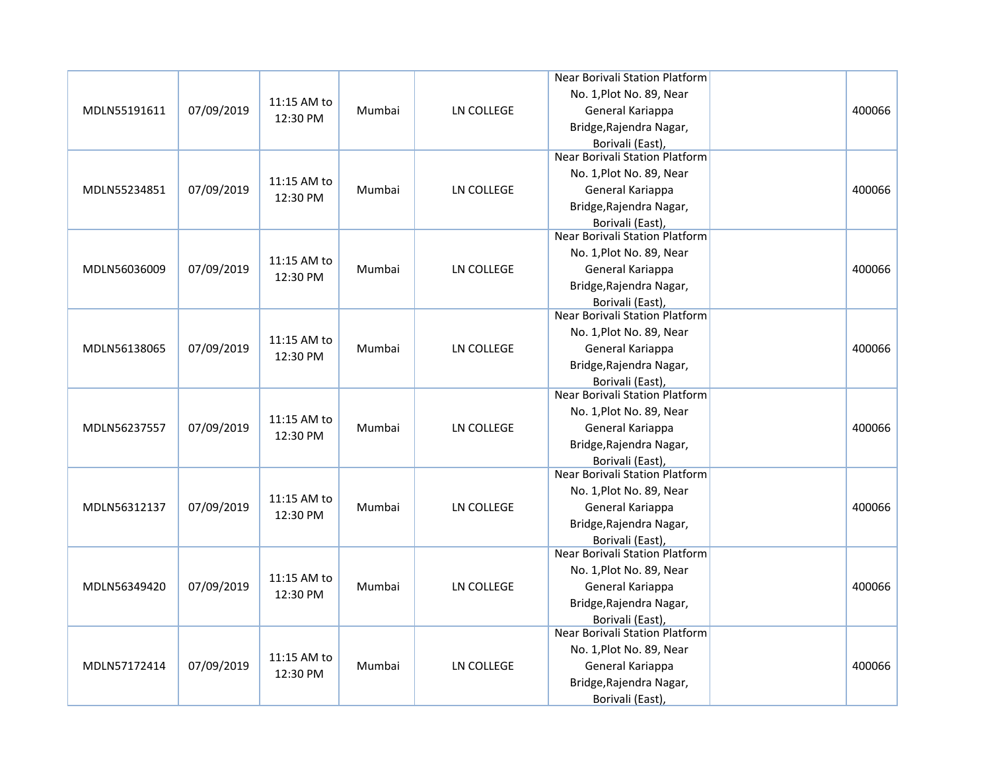|              |            |             |        |                   | Near Borivali Station Platform        |        |
|--------------|------------|-------------|--------|-------------------|---------------------------------------|--------|
|              |            |             |        |                   | No. 1, Plot No. 89, Near              |        |
| MDLN55191611 | 07/09/2019 | 11:15 AM to | Mumbai | LN COLLEGE        | General Kariappa                      | 400066 |
|              |            | 12:30 PM    |        |                   | Bridge, Rajendra Nagar,               |        |
|              |            |             |        |                   | Borivali (East),                      |        |
|              |            |             |        |                   | <b>Near Borivali Station Platform</b> |        |
|              |            | 11:15 AM to |        |                   | No. 1, Plot No. 89, Near              |        |
| MDLN55234851 | 07/09/2019 |             | Mumbai | LN COLLEGE        | General Kariappa                      | 400066 |
|              |            | 12:30 PM    |        |                   | Bridge, Rajendra Nagar,               |        |
|              |            |             |        |                   | Borivali (East),                      |        |
|              |            |             |        |                   | <b>Near Borivali Station Platform</b> |        |
|              |            | 11:15 AM to |        |                   | No. 1, Plot No. 89, Near              |        |
| MDLN56036009 | 07/09/2019 | 12:30 PM    | Mumbai | <b>LN COLLEGE</b> | General Kariappa                      | 400066 |
|              |            |             |        |                   | Bridge, Rajendra Nagar,               |        |
|              |            |             |        |                   | Borivali (East),                      |        |
|              |            |             |        |                   | Near Borivali Station Platform        |        |
|              |            | 11:15 AM to |        |                   | No. 1, Plot No. 89, Near              |        |
| MDLN56138065 | 07/09/2019 | 12:30 PM    | Mumbai | <b>LN COLLEGE</b> | General Kariappa                      | 400066 |
|              |            |             |        |                   | Bridge, Rajendra Nagar,               |        |
|              |            |             |        |                   | Borivali (East),                      |        |
|              |            |             |        |                   | <b>Near Borivali Station Platform</b> |        |
|              |            | 11:15 AM to |        |                   | No. 1, Plot No. 89, Near              |        |
| MDLN56237557 | 07/09/2019 | 12:30 PM    | Mumbai | <b>LN COLLEGE</b> | General Kariappa                      | 400066 |
|              |            |             |        |                   | Bridge, Rajendra Nagar,               |        |
|              |            |             |        |                   | Borivali (East),                      |        |
|              |            |             |        |                   | Near Borivali Station Platform        |        |
|              |            | 11:15 AM to |        |                   | No. 1, Plot No. 89, Near              |        |
| MDLN56312137 | 07/09/2019 | 12:30 PM    | Mumbai | <b>LN COLLEGE</b> | General Kariappa                      | 400066 |
|              |            |             |        |                   | Bridge, Rajendra Nagar,               |        |
|              |            |             |        |                   | Borivali (East),                      |        |
|              |            |             |        |                   | Near Borivali Station Platform        |        |
|              |            | 11:15 AM to |        |                   | No. 1, Plot No. 89, Near              |        |
| MDLN56349420 | 07/09/2019 | 12:30 PM    | Mumbai | <b>LN COLLEGE</b> | General Kariappa                      | 400066 |
|              |            |             |        |                   | Bridge, Rajendra Nagar,               |        |
|              |            |             |        |                   | Borivali (East),                      |        |
|              |            |             |        |                   | <b>Near Borivali Station Platform</b> |        |
|              |            | 11:15 AM to |        |                   | No. 1, Plot No. 89, Near              |        |
| MDLN57172414 | 07/09/2019 | 12:30 PM    | Mumbai | LN COLLEGE        | General Kariappa                      | 400066 |
|              |            |             |        |                   | Bridge, Rajendra Nagar,               |        |
|              |            |             |        |                   | Borivali (East),                      |        |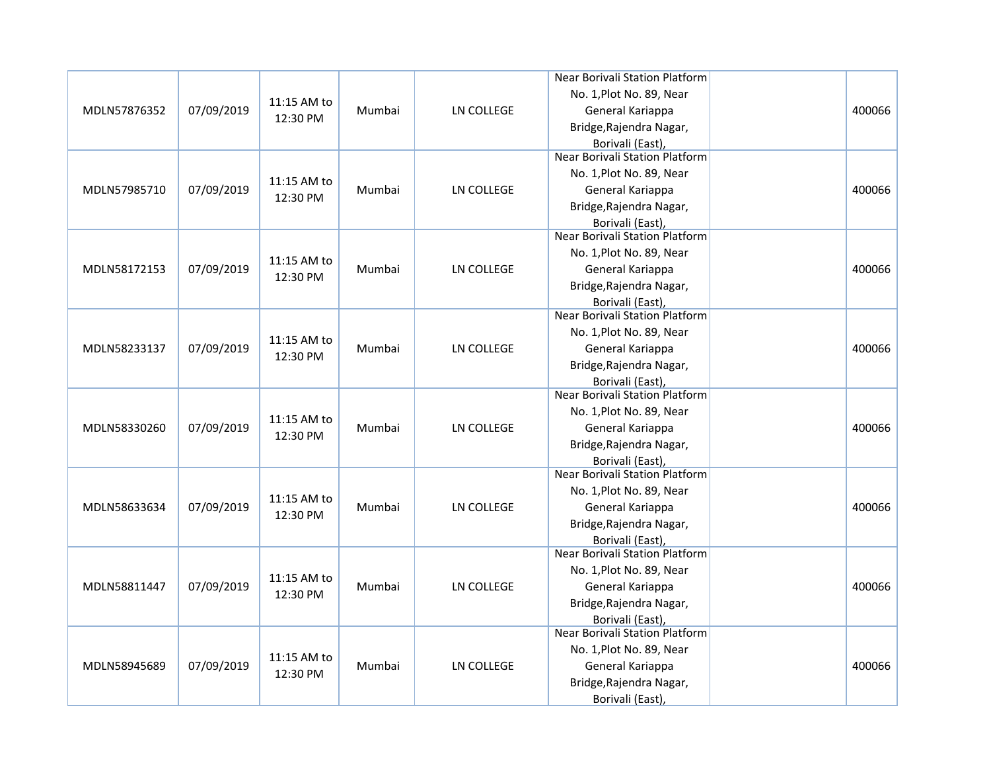|              |            |             |        |                   | Near Borivali Station Platform                            |        |
|--------------|------------|-------------|--------|-------------------|-----------------------------------------------------------|--------|
|              |            |             |        |                   | No. 1, Plot No. 89, Near                                  |        |
| MDLN57876352 | 07/09/2019 | 11:15 AM to | Mumbai | LN COLLEGE        | General Kariappa                                          | 400066 |
|              |            | 12:30 PM    |        |                   | Bridge, Rajendra Nagar,                                   |        |
|              |            |             |        |                   | Borivali (East),                                          |        |
|              |            |             |        |                   | <b>Near Borivali Station Platform</b>                     |        |
|              |            |             |        |                   | No. 1, Plot No. 89, Near                                  |        |
| MDLN57985710 | 07/09/2019 | 11:15 AM to | Mumbai | LN COLLEGE        | General Kariappa                                          | 400066 |
|              |            | 12:30 PM    |        |                   | Bridge, Rajendra Nagar,                                   |        |
|              |            |             |        |                   | Borivali (East),                                          |        |
|              |            |             |        |                   | <b>Near Borivali Station Platform</b>                     |        |
|              |            | 11:15 AM to |        |                   | No. 1, Plot No. 89, Near                                  |        |
| MDLN58172153 | 07/09/2019 |             | Mumbai | <b>LN COLLEGE</b> | General Kariappa                                          | 400066 |
|              |            | 12:30 PM    |        |                   | Bridge, Rajendra Nagar,                                   |        |
|              |            |             |        |                   | Borivali (East),                                          |        |
|              |            |             |        |                   | Near Borivali Station Platform                            |        |
|              |            | 11:15 AM to |        |                   | No. 1, Plot No. 89, Near                                  |        |
| MDLN58233137 | 07/09/2019 | 12:30 PM    | Mumbai | <b>LN COLLEGE</b> | General Kariappa                                          | 400066 |
|              |            |             |        |                   | Bridge, Rajendra Nagar,                                   |        |
|              |            |             |        |                   | Borivali (East),                                          |        |
|              |            |             |        |                   | <b>Near Borivali Station Platform</b>                     |        |
|              |            | 11:15 AM to |        |                   | No. 1, Plot No. 89, Near                                  |        |
| MDLN58330260 | 07/09/2019 | 12:30 PM    | Mumbai | <b>LN COLLEGE</b> | General Kariappa                                          | 400066 |
|              |            |             |        |                   | Bridge, Rajendra Nagar,                                   |        |
|              |            |             |        |                   | Borivali (East),                                          |        |
|              |            |             |        |                   | Near Borivali Station Platform                            |        |
|              |            | 11:15 AM to |        |                   | No. 1, Plot No. 89, Near                                  |        |
| MDLN58633634 | 07/09/2019 | 12:30 PM    | Mumbai | <b>LN COLLEGE</b> | General Kariappa                                          | 400066 |
|              |            |             |        |                   | Bridge, Rajendra Nagar,                                   |        |
|              |            |             |        |                   | Borivali (East),                                          |        |
|              |            |             |        |                   | Near Borivali Station Platform                            |        |
|              |            | 11:15 AM to |        |                   | No. 1, Plot No. 89, Near                                  |        |
| MDLN58811447 | 07/09/2019 | 12:30 PM    | Mumbai | <b>LN COLLEGE</b> | General Kariappa                                          | 400066 |
|              |            |             |        |                   | Bridge, Rajendra Nagar,                                   |        |
|              |            |             |        |                   | Borivali (East),<br><b>Near Borivali Station Platform</b> |        |
|              |            |             |        |                   |                                                           |        |
|              |            | 11:15 AM to |        |                   | No. 1, Plot No. 89, Near                                  |        |
| MDLN58945689 | 07/09/2019 | 12:30 PM    | Mumbai | LN COLLEGE        | General Kariappa                                          | 400066 |
|              |            |             |        |                   | Bridge, Rajendra Nagar,                                   |        |
|              |            |             |        |                   | Borivali (East),                                          |        |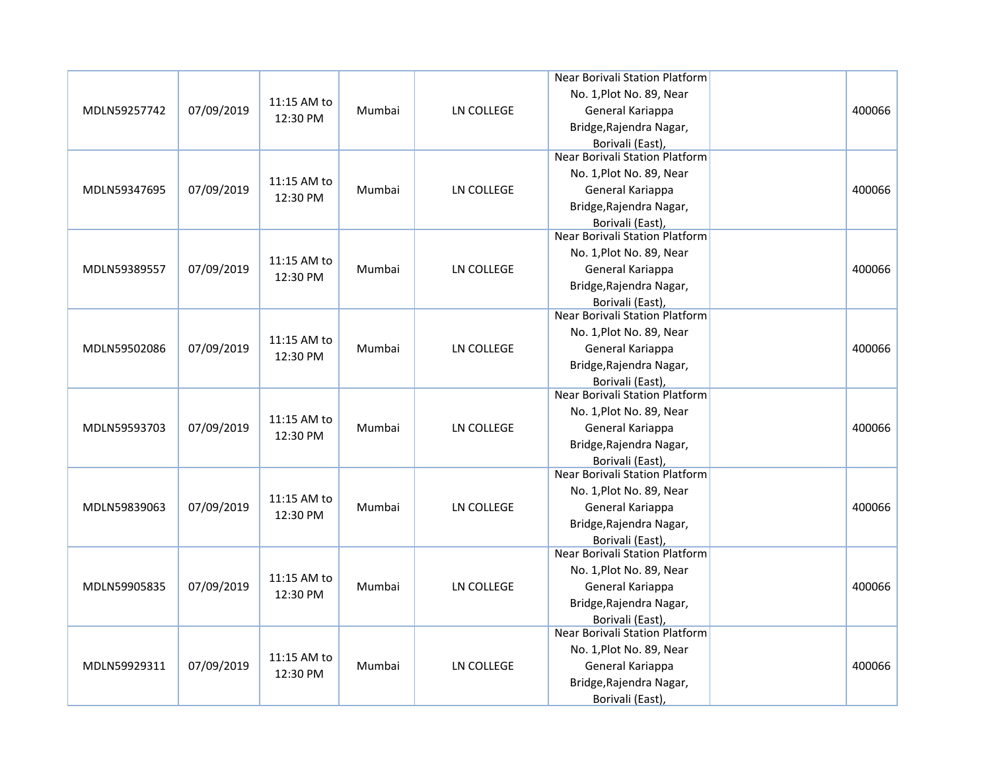|              |            |             |        |                   | Near Borivali Station Platform                            |        |
|--------------|------------|-------------|--------|-------------------|-----------------------------------------------------------|--------|
|              |            |             |        |                   | No. 1, Plot No. 89, Near                                  |        |
| MDLN59257742 | 07/09/2019 | 11:15 AM to | Mumbai | LN COLLEGE        | General Kariappa                                          | 400066 |
|              |            | 12:30 PM    |        |                   | Bridge, Rajendra Nagar,                                   |        |
|              |            |             |        |                   | Borivali (East),                                          |        |
|              |            |             |        |                   | <b>Near Borivali Station Platform</b>                     |        |
|              |            |             |        |                   | No. 1, Plot No. 89, Near                                  |        |
| MDLN59347695 | 07/09/2019 | 11:15 AM to | Mumbai | LN COLLEGE        | General Kariappa                                          | 400066 |
|              |            | 12:30 PM    |        |                   | Bridge, Rajendra Nagar,                                   |        |
|              |            |             |        |                   | Borivali (East),                                          |        |
|              |            |             |        |                   | <b>Near Borivali Station Platform</b>                     |        |
|              |            | 11:15 AM to |        |                   | No. 1, Plot No. 89, Near                                  |        |
| MDLN59389557 | 07/09/2019 | 12:30 PM    | Mumbai | LN COLLEGE        | General Kariappa                                          | 400066 |
|              |            |             |        |                   | Bridge, Rajendra Nagar,                                   |        |
|              |            |             |        |                   | Borivali (East),                                          |        |
|              |            |             |        |                   | Near Borivali Station Platform                            |        |
|              |            | 11:15 AM to |        |                   | No. 1, Plot No. 89, Near                                  |        |
| MDLN59502086 | 07/09/2019 | 12:30 PM    | Mumbai | LN COLLEGE        | General Kariappa                                          | 400066 |
|              |            |             |        |                   | Bridge, Rajendra Nagar,                                   |        |
|              |            |             |        |                   | Borivali (East),                                          |        |
|              |            |             |        |                   | <b>Near Borivali Station Platform</b>                     |        |
|              |            | 11:15 AM to |        |                   | No. 1, Plot No. 89, Near                                  |        |
| MDLN59593703 | 07/09/2019 | 12:30 PM    | Mumbai | LN COLLEGE        | General Kariappa                                          | 400066 |
|              |            |             |        |                   | Bridge, Rajendra Nagar,                                   |        |
|              |            |             |        |                   | Borivali (East),                                          |        |
|              |            |             |        |                   | <b>Near Borivali Station Platform</b>                     |        |
|              |            | 11:15 AM to |        |                   | No. 1, Plot No. 89, Near                                  |        |
| MDLN59839063 | 07/09/2019 | 12:30 PM    | Mumbai | LN COLLEGE        | General Kariappa                                          | 400066 |
|              |            |             |        |                   | Bridge, Rajendra Nagar,                                   |        |
|              |            |             |        |                   | Borivali (East),                                          |        |
|              |            |             |        |                   | Near Borivali Station Platform                            |        |
|              |            | 11:15 AM to |        |                   | No. 1, Plot No. 89, Near                                  |        |
| MDLN59905835 | 07/09/2019 | 12:30 PM    | Mumbai | <b>LN COLLEGE</b> | General Kariappa                                          | 400066 |
|              |            |             |        |                   | Bridge, Rajendra Nagar,                                   |        |
|              |            |             |        |                   | Borivali (East),<br><b>Near Borivali Station Platform</b> |        |
|              |            |             |        |                   |                                                           |        |
|              |            | 11:15 AM to |        |                   | No. 1, Plot No. 89, Near                                  |        |
| MDLN59929311 | 07/09/2019 | 12:30 PM    | Mumbai | <b>LN COLLEGE</b> | General Kariappa                                          | 400066 |
|              |            |             |        |                   | Bridge, Rajendra Nagar,                                   |        |
|              |            |             |        |                   | Borivali (East),                                          |        |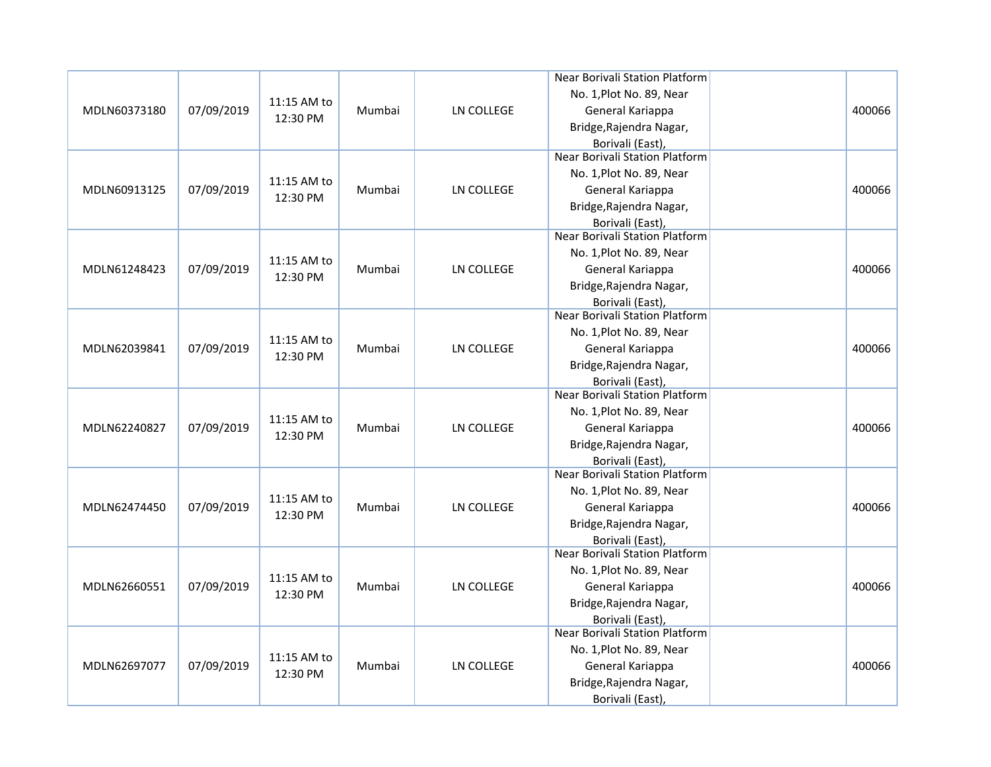|              |            |             |        |                   | Near Borivali Station Platform                            |        |
|--------------|------------|-------------|--------|-------------------|-----------------------------------------------------------|--------|
|              |            |             |        |                   | No. 1, Plot No. 89, Near                                  |        |
| MDLN60373180 | 07/09/2019 | 11:15 AM to | Mumbai | LN COLLEGE        | General Kariappa                                          | 400066 |
|              |            | 12:30 PM    |        |                   | Bridge, Rajendra Nagar,                                   |        |
|              |            |             |        |                   | Borivali (East),                                          |        |
|              |            |             |        |                   | <b>Near Borivali Station Platform</b>                     |        |
|              |            |             |        |                   | No. 1, Plot No. 89, Near                                  |        |
| MDLN60913125 | 07/09/2019 | 11:15 AM to | Mumbai | <b>LN COLLEGE</b> | General Kariappa                                          | 400066 |
|              |            | 12:30 PM    |        |                   | Bridge, Rajendra Nagar,                                   |        |
|              |            |             |        |                   | Borivali (East),                                          |        |
|              |            |             |        |                   | <b>Near Borivali Station Platform</b>                     |        |
|              |            | 11:15 AM to |        |                   | No. 1, Plot No. 89, Near                                  |        |
| MDLN61248423 | 07/09/2019 |             | Mumbai | <b>LN COLLEGE</b> | General Kariappa                                          | 400066 |
|              |            | 12:30 PM    |        |                   | Bridge, Rajendra Nagar,                                   |        |
|              |            |             |        |                   | Borivali (East),                                          |        |
|              |            |             |        |                   | Near Borivali Station Platform                            |        |
|              |            | 11:15 AM to |        |                   | No. 1, Plot No. 89, Near                                  |        |
| MDLN62039841 | 07/09/2019 | 12:30 PM    | Mumbai | LN COLLEGE        | General Kariappa                                          | 400066 |
|              |            |             |        |                   | Bridge, Rajendra Nagar,                                   |        |
|              |            |             |        |                   | Borivali (East),                                          |        |
|              |            |             |        |                   | <b>Near Borivali Station Platform</b>                     |        |
|              |            | 11:15 AM to |        |                   | No. 1, Plot No. 89, Near                                  |        |
| MDLN62240827 | 07/09/2019 | 12:30 PM    | Mumbai | LN COLLEGE        | General Kariappa                                          | 400066 |
|              |            |             |        |                   | Bridge, Rajendra Nagar,                                   |        |
|              |            |             |        |                   | Borivali (East),                                          |        |
|              |            |             |        |                   | <b>Near Borivali Station Platform</b>                     |        |
|              |            | 11:15 AM to |        |                   | No. 1, Plot No. 89, Near                                  |        |
| MDLN62474450 | 07/09/2019 | 12:30 PM    | Mumbai | LN COLLEGE        | General Kariappa                                          | 400066 |
|              |            |             |        |                   | Bridge, Rajendra Nagar,                                   |        |
|              |            |             |        |                   | Borivali (East),                                          |        |
|              |            |             |        |                   | Near Borivali Station Platform                            |        |
|              |            | 11:15 AM to |        |                   | No. 1, Plot No. 89, Near                                  |        |
| MDLN62660551 | 07/09/2019 | 12:30 PM    | Mumbai | <b>LN COLLEGE</b> | General Kariappa                                          | 400066 |
|              |            |             |        |                   | Bridge, Rajendra Nagar,                                   |        |
|              |            |             |        |                   | Borivali (East),<br><b>Near Borivali Station Platform</b> |        |
|              |            |             |        |                   |                                                           |        |
|              | 07/09/2019 | 11:15 AM to |        | <b>LN COLLEGE</b> | No. 1, Plot No. 89, Near                                  | 400066 |
| MDLN62697077 |            | 12:30 PM    | Mumbai |                   | General Kariappa                                          |        |
|              |            |             |        |                   | Bridge, Rajendra Nagar,                                   |        |
|              |            |             |        |                   | Borivali (East),                                          |        |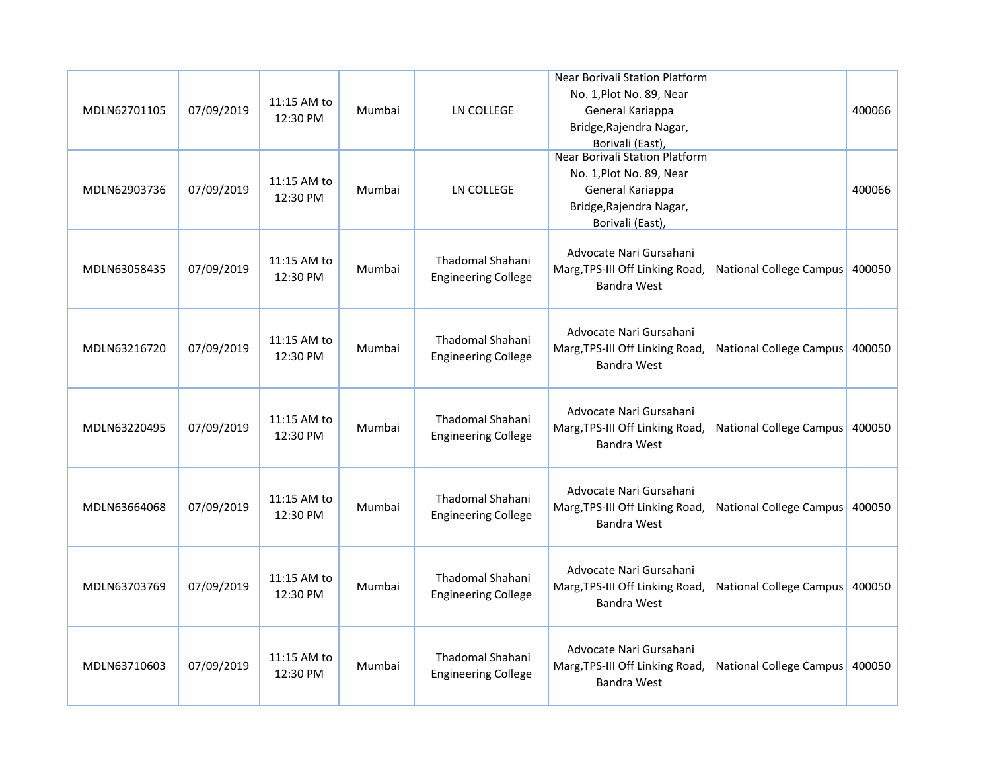|              |            |                         |        |                                                       | Near Borivali Station Platform                                                   |                                |        |
|--------------|------------|-------------------------|--------|-------------------------------------------------------|----------------------------------------------------------------------------------|--------------------------------|--------|
| MDLN62701105 | 07/09/2019 | 11:15 AM to             | Mumbai | LN COLLEGE                                            | No. 1, Plot No. 89, Near<br>General Kariappa                                     |                                | 400066 |
|              |            | 12:30 PM                |        |                                                       | Bridge, Rajendra Nagar,                                                          |                                |        |
|              |            |                         |        |                                                       | Borivali (East),                                                                 |                                |        |
|              |            |                         |        |                                                       | Near Borivali Station Platform                                                   |                                |        |
|              |            | 11:15 AM to             |        |                                                       | No. 1, Plot No. 89, Near                                                         |                                |        |
| MDLN62903736 | 07/09/2019 | 12:30 PM                | Mumbai | <b>LN COLLEGE</b>                                     | General Kariappa                                                                 |                                | 400066 |
|              |            |                         |        |                                                       | Bridge, Rajendra Nagar,                                                          |                                |        |
|              |            |                         |        |                                                       | Borivali (East),                                                                 |                                |        |
| MDLN63058435 | 07/09/2019 | 11:15 AM to<br>12:30 PM | Mumbai | <b>Thadomal Shahani</b><br><b>Engineering College</b> | Advocate Nari Gursahani<br>Marg, TPS-III Off Linking Road,<br><b>Bandra West</b> | National College Campus 400050 |        |
| MDLN63216720 | 07/09/2019 | 11:15 AM to<br>12:30 PM | Mumbai | Thadomal Shahani<br><b>Engineering College</b>        | Advocate Nari Gursahani<br>Marg, TPS-III Off Linking Road,<br><b>Bandra West</b> | National College Campus 400050 |        |
| MDLN63220495 | 07/09/2019 | 11:15 AM to<br>12:30 PM | Mumbai | Thadomal Shahani<br><b>Engineering College</b>        | Advocate Nari Gursahani<br>Marg, TPS-III Off Linking Road,<br><b>Bandra West</b> | <b>National College Campus</b> | 400050 |
| MDLN63664068 | 07/09/2019 | 11:15 AM to<br>12:30 PM | Mumbai | Thadomal Shahani<br><b>Engineering College</b>        | Advocate Nari Gursahani<br>Marg, TPS-III Off Linking Road,<br><b>Bandra West</b> | National College Campus 400050 |        |
| MDLN63703769 | 07/09/2019 | 11:15 AM to<br>12:30 PM | Mumbai | Thadomal Shahani<br><b>Engineering College</b>        | Advocate Nari Gursahani<br>Marg, TPS-III Off Linking Road,<br><b>Bandra West</b> | National College Campus        | 400050 |
| MDLN63710603 | 07/09/2019 | 11:15 AM to<br>12:30 PM | Mumbai | Thadomal Shahani<br><b>Engineering College</b>        | Advocate Nari Gursahani<br>Marg, TPS-III Off Linking Road,<br><b>Bandra West</b> | <b>National College Campus</b> | 400050 |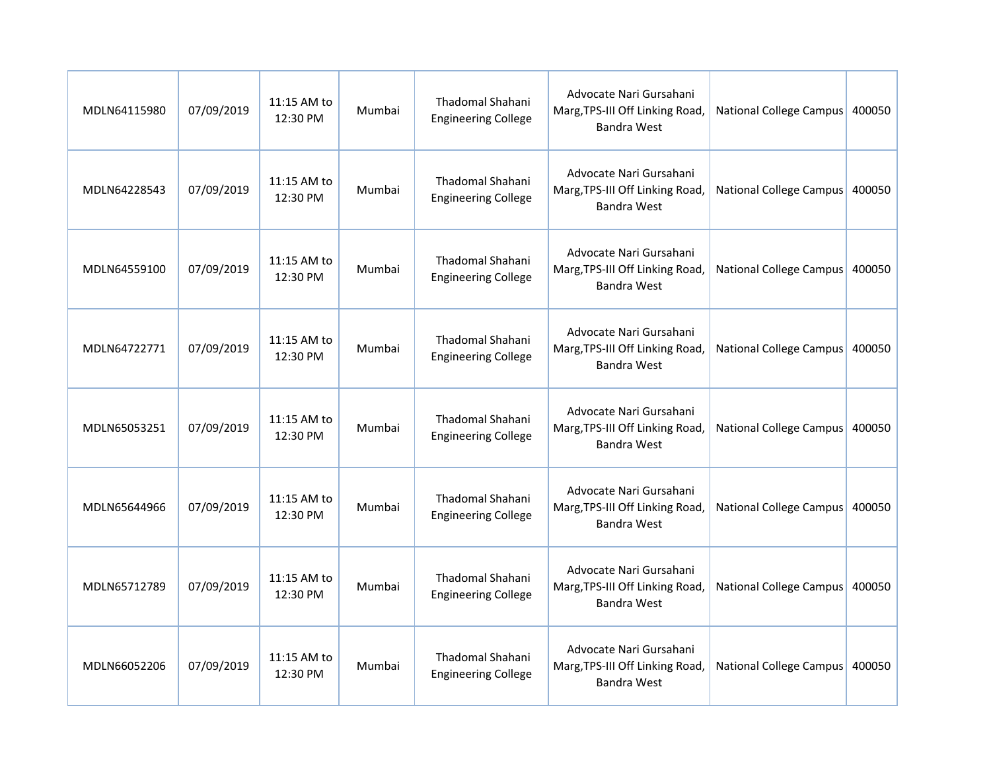| MDLN64115980 | 07/09/2019 | 11:15 AM to<br>12:30 PM | Mumbai | <b>Thadomal Shahani</b><br><b>Engineering College</b> | Advocate Nari Gursahani<br>Marg, TPS-III Off Linking Road,<br><b>Bandra West</b> | National College Campus        | 400050 |
|--------------|------------|-------------------------|--------|-------------------------------------------------------|----------------------------------------------------------------------------------|--------------------------------|--------|
| MDLN64228543 | 07/09/2019 | 11:15 AM to<br>12:30 PM | Mumbai | <b>Thadomal Shahani</b><br><b>Engineering College</b> | Advocate Nari Gursahani<br>Marg, TPS-III Off Linking Road,<br><b>Bandra West</b> | National College Campus        | 400050 |
| MDLN64559100 | 07/09/2019 | 11:15 AM to<br>12:30 PM | Mumbai | <b>Thadomal Shahani</b><br><b>Engineering College</b> | Advocate Nari Gursahani<br>Marg, TPS-III Off Linking Road,<br><b>Bandra West</b> | National College Campus        | 400050 |
| MDLN64722771 | 07/09/2019 | 11:15 AM to<br>12:30 PM | Mumbai | <b>Thadomal Shahani</b><br><b>Engineering College</b> | Advocate Nari Gursahani<br>Marg, TPS-III Off Linking Road,<br><b>Bandra West</b> | National College Campus        | 400050 |
| MDLN65053251 | 07/09/2019 | 11:15 AM to<br>12:30 PM | Mumbai | Thadomal Shahani<br><b>Engineering College</b>        | Advocate Nari Gursahani<br>Marg, TPS-III Off Linking Road,<br><b>Bandra West</b> | <b>National College Campus</b> | 400050 |
| MDLN65644966 | 07/09/2019 | 11:15 AM to<br>12:30 PM | Mumbai | Thadomal Shahani<br><b>Engineering College</b>        | Advocate Nari Gursahani<br>Marg, TPS-III Off Linking Road,<br><b>Bandra West</b> | National College Campus 400050 |        |
| MDLN65712789 | 07/09/2019 | 11:15 AM to<br>12:30 PM | Mumbai | <b>Thadomal Shahani</b><br><b>Engineering College</b> | Advocate Nari Gursahani<br>Marg, TPS-III Off Linking Road,<br><b>Bandra West</b> | National College Campus        | 400050 |
| MDLN66052206 | 07/09/2019 | 11:15 AM to<br>12:30 PM | Mumbai | Thadomal Shahani<br><b>Engineering College</b>        | Advocate Nari Gursahani<br>Marg, TPS-III Off Linking Road,<br><b>Bandra West</b> | National College Campus        | 400050 |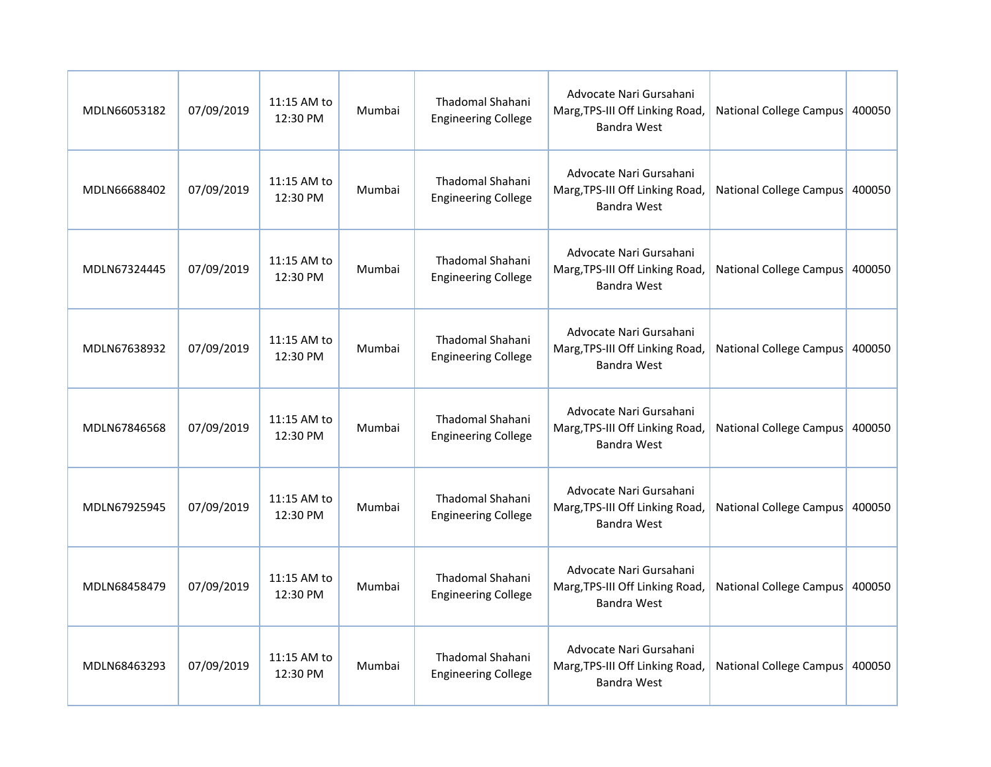| MDLN66053182 | 07/09/2019 | 11:15 AM to<br>12:30 PM | Mumbai | Thadomal Shahani<br><b>Engineering College</b>        | Advocate Nari Gursahani<br>Marg, TPS-III Off Linking Road,<br><b>Bandra West</b> | National College Campus        | 400050 |
|--------------|------------|-------------------------|--------|-------------------------------------------------------|----------------------------------------------------------------------------------|--------------------------------|--------|
| MDLN66688402 | 07/09/2019 | 11:15 AM to<br>12:30 PM | Mumbai | Thadomal Shahani<br><b>Engineering College</b>        | Advocate Nari Gursahani<br>Marg, TPS-III Off Linking Road,<br><b>Bandra West</b> | National College Campus        | 400050 |
| MDLN67324445 | 07/09/2019 | 11:15 AM to<br>12:30 PM | Mumbai | <b>Thadomal Shahani</b><br><b>Engineering College</b> | Advocate Nari Gursahani<br>Marg, TPS-III Off Linking Road,<br><b>Bandra West</b> | National College Campus        | 400050 |
| MDLN67638932 | 07/09/2019 | 11:15 AM to<br>12:30 PM | Mumbai | <b>Thadomal Shahani</b><br><b>Engineering College</b> | Advocate Nari Gursahani<br>Marg, TPS-III Off Linking Road,<br><b>Bandra West</b> | National College Campus        | 400050 |
| MDLN67846568 | 07/09/2019 | 11:15 AM to<br>12:30 PM | Mumbai | Thadomal Shahani<br><b>Engineering College</b>        | Advocate Nari Gursahani<br>Marg, TPS-III Off Linking Road,<br><b>Bandra West</b> | <b>National College Campus</b> | 400050 |
| MDLN67925945 | 07/09/2019 | 11:15 AM to<br>12:30 PM | Mumbai | <b>Thadomal Shahani</b><br><b>Engineering College</b> | Advocate Nari Gursahani<br>Marg, TPS-III Off Linking Road,<br><b>Bandra West</b> | National College Campus 400050 |        |
| MDLN68458479 | 07/09/2019 | 11:15 AM to<br>12:30 PM | Mumbai | Thadomal Shahani<br><b>Engineering College</b>        | Advocate Nari Gursahani<br>Marg, TPS-III Off Linking Road,<br><b>Bandra West</b> | National College Campus        | 400050 |
| MDLN68463293 | 07/09/2019 | 11:15 AM to<br>12:30 PM | Mumbai | Thadomal Shahani<br><b>Engineering College</b>        | Advocate Nari Gursahani<br>Marg, TPS-III Off Linking Road,<br><b>Bandra West</b> | National College Campus        | 400050 |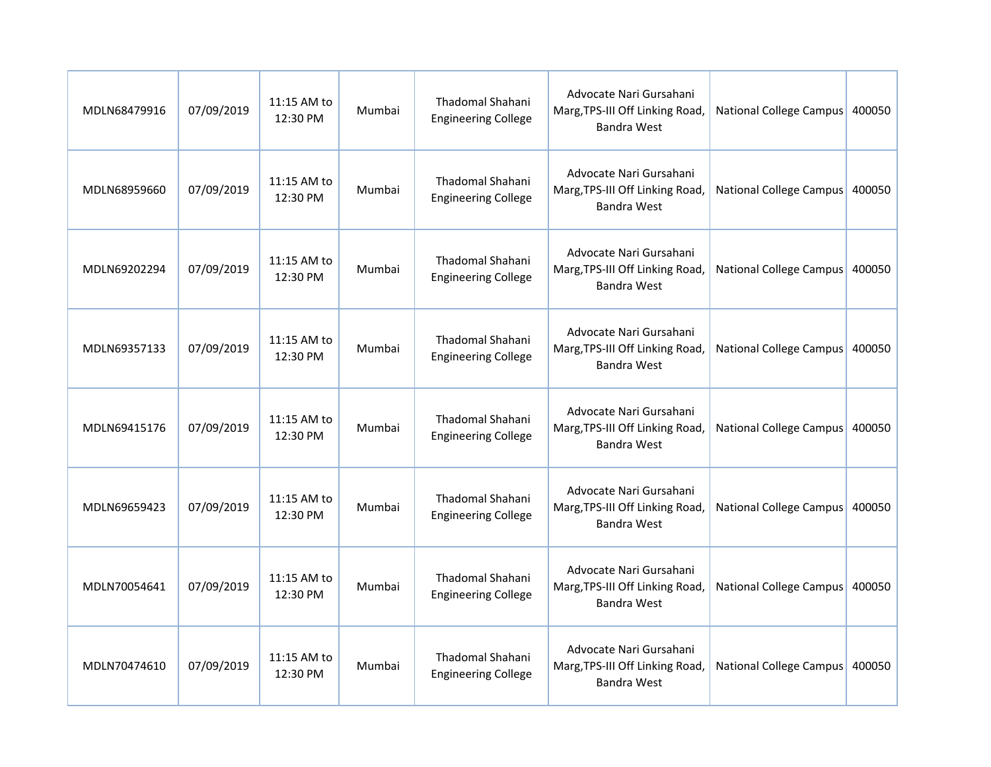| MDLN68479916 | 07/09/2019 | 11:15 AM to<br>12:30 PM | Mumbai | Thadomal Shahani<br><b>Engineering College</b>        | Advocate Nari Gursahani<br>Marg, TPS-III Off Linking Road,<br><b>Bandra West</b> | National College Campus        | 400050 |
|--------------|------------|-------------------------|--------|-------------------------------------------------------|----------------------------------------------------------------------------------|--------------------------------|--------|
| MDLN68959660 | 07/09/2019 | 11:15 AM to<br>12:30 PM | Mumbai | Thadomal Shahani<br><b>Engineering College</b>        | Advocate Nari Gursahani<br>Marg, TPS-III Off Linking Road,<br><b>Bandra West</b> | National College Campus        | 400050 |
| MDLN69202294 | 07/09/2019 | 11:15 AM to<br>12:30 PM | Mumbai | <b>Thadomal Shahani</b><br><b>Engineering College</b> | Advocate Nari Gursahani<br>Marg, TPS-III Off Linking Road,<br><b>Bandra West</b> | National College Campus        | 400050 |
| MDLN69357133 | 07/09/2019 | 11:15 AM to<br>12:30 PM | Mumbai | <b>Thadomal Shahani</b><br><b>Engineering College</b> | Advocate Nari Gursahani<br>Marg, TPS-III Off Linking Road,<br><b>Bandra West</b> | National College Campus        | 400050 |
| MDLN69415176 | 07/09/2019 | 11:15 AM to<br>12:30 PM | Mumbai | Thadomal Shahani<br><b>Engineering College</b>        | Advocate Nari Gursahani<br>Marg, TPS-III Off Linking Road,<br><b>Bandra West</b> | <b>National College Campus</b> | 400050 |
| MDLN69659423 | 07/09/2019 | 11:15 AM to<br>12:30 PM | Mumbai | <b>Thadomal Shahani</b><br><b>Engineering College</b> | Advocate Nari Gursahani<br>Marg, TPS-III Off Linking Road,<br><b>Bandra West</b> | National College Campus 400050 |        |
| MDLN70054641 | 07/09/2019 | 11:15 AM to<br>12:30 PM | Mumbai | Thadomal Shahani<br><b>Engineering College</b>        | Advocate Nari Gursahani<br>Marg, TPS-III Off Linking Road,<br><b>Bandra West</b> | National College Campus        | 400050 |
| MDLN70474610 | 07/09/2019 | 11:15 AM to<br>12:30 PM | Mumbai | Thadomal Shahani<br><b>Engineering College</b>        | Advocate Nari Gursahani<br>Marg, TPS-III Off Linking Road,<br><b>Bandra West</b> | National College Campus        | 400050 |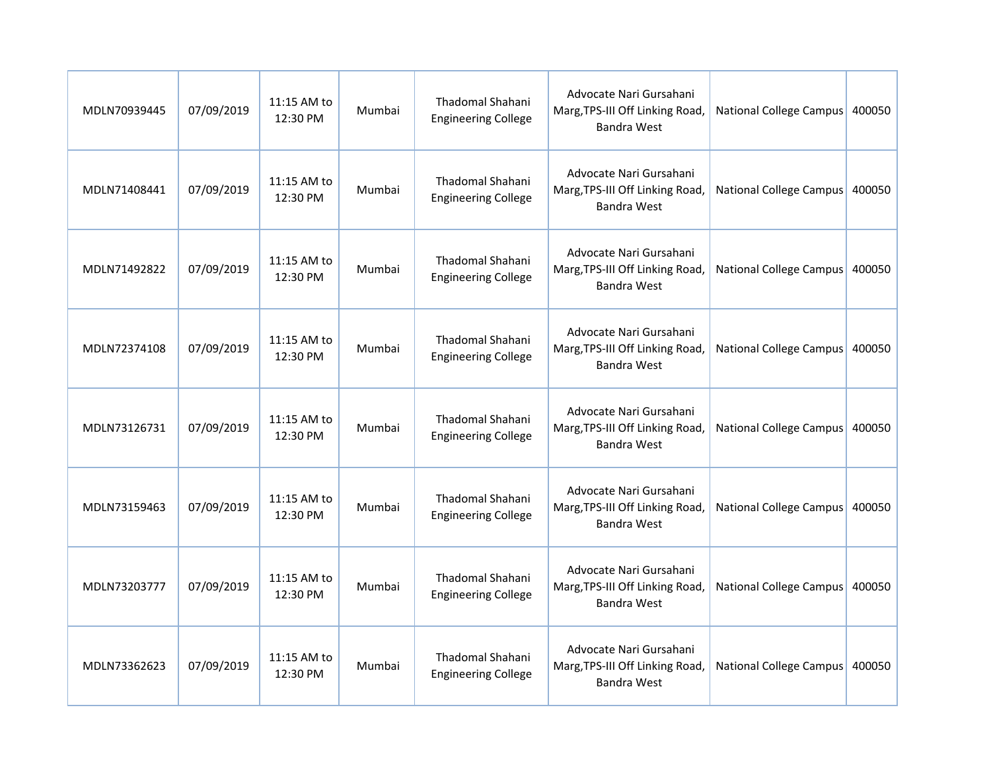| MDLN70939445 | 07/09/2019 | 11:15 AM to<br>12:30 PM | Mumbai | Thadomal Shahani<br><b>Engineering College</b>        | Advocate Nari Gursahani<br>Marg, TPS-III Off Linking Road,<br><b>Bandra West</b> | National College Campus        | 400050 |
|--------------|------------|-------------------------|--------|-------------------------------------------------------|----------------------------------------------------------------------------------|--------------------------------|--------|
| MDLN71408441 | 07/09/2019 | 11:15 AM to<br>12:30 PM | Mumbai | Thadomal Shahani<br><b>Engineering College</b>        | Advocate Nari Gursahani<br>Marg, TPS-III Off Linking Road,<br><b>Bandra West</b> | National College Campus        | 400050 |
| MDLN71492822 | 07/09/2019 | 11:15 AM to<br>12:30 PM | Mumbai | <b>Thadomal Shahani</b><br><b>Engineering College</b> | Advocate Nari Gursahani<br>Marg, TPS-III Off Linking Road,<br><b>Bandra West</b> | National College Campus        | 400050 |
| MDLN72374108 | 07/09/2019 | 11:15 AM to<br>12:30 PM | Mumbai | <b>Thadomal Shahani</b><br><b>Engineering College</b> | Advocate Nari Gursahani<br>Marg, TPS-III Off Linking Road,<br><b>Bandra West</b> | National College Campus        | 400050 |
| MDLN73126731 | 07/09/2019 | 11:15 AM to<br>12:30 PM | Mumbai | Thadomal Shahani<br><b>Engineering College</b>        | Advocate Nari Gursahani<br>Marg, TPS-III Off Linking Road,<br><b>Bandra West</b> | <b>National College Campus</b> | 400050 |
| MDLN73159463 | 07/09/2019 | 11:15 AM to<br>12:30 PM | Mumbai | <b>Thadomal Shahani</b><br><b>Engineering College</b> | Advocate Nari Gursahani<br>Marg, TPS-III Off Linking Road,<br><b>Bandra West</b> | National College Campus 400050 |        |
| MDLN73203777 | 07/09/2019 | 11:15 AM to<br>12:30 PM | Mumbai | Thadomal Shahani<br><b>Engineering College</b>        | Advocate Nari Gursahani<br>Marg, TPS-III Off Linking Road,<br><b>Bandra West</b> | National College Campus        | 400050 |
| MDLN73362623 | 07/09/2019 | 11:15 AM to<br>12:30 PM | Mumbai | Thadomal Shahani<br><b>Engineering College</b>        | Advocate Nari Gursahani<br>Marg, TPS-III Off Linking Road,<br><b>Bandra West</b> | National College Campus        | 400050 |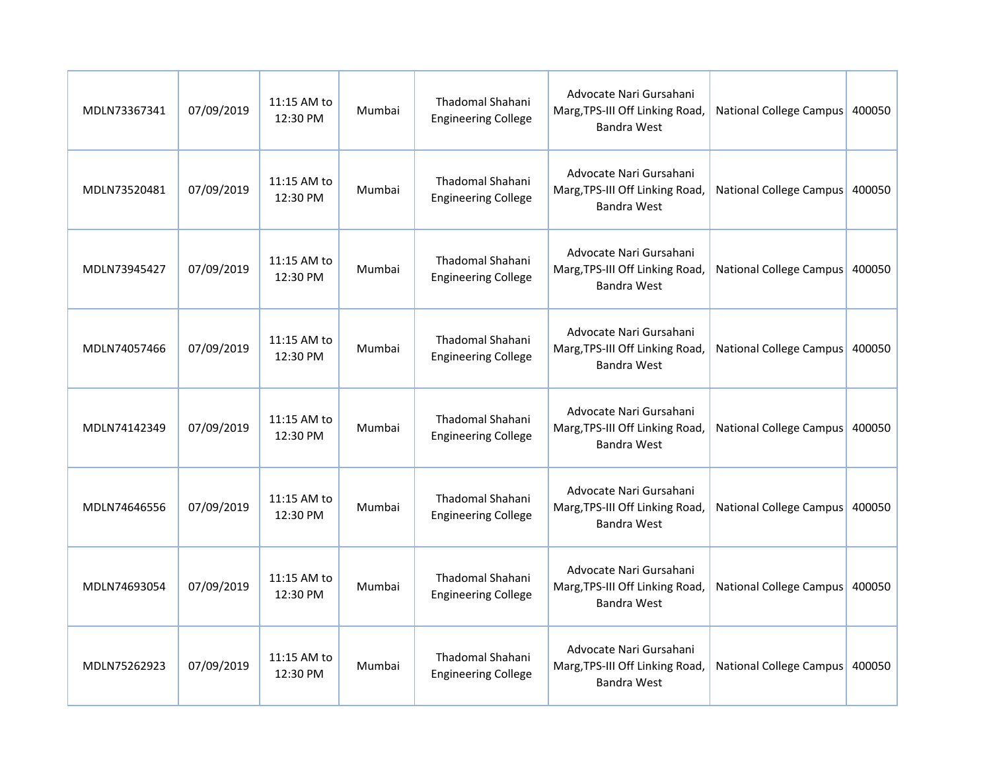| MDLN73367341 | 07/09/2019 | 11:15 AM to<br>12:30 PM | Mumbai | Thadomal Shahani<br><b>Engineering College</b>        | Advocate Nari Gursahani<br>Marg, TPS-III Off Linking Road,<br><b>Bandra West</b> | National College Campus        | 400050 |
|--------------|------------|-------------------------|--------|-------------------------------------------------------|----------------------------------------------------------------------------------|--------------------------------|--------|
| MDLN73520481 | 07/09/2019 | 11:15 AM to<br>12:30 PM | Mumbai | Thadomal Shahani<br><b>Engineering College</b>        | Advocate Nari Gursahani<br>Marg, TPS-III Off Linking Road,<br><b>Bandra West</b> | National College Campus        | 400050 |
| MDLN73945427 | 07/09/2019 | 11:15 AM to<br>12:30 PM | Mumbai | <b>Thadomal Shahani</b><br><b>Engineering College</b> | Advocate Nari Gursahani<br>Marg, TPS-III Off Linking Road,<br><b>Bandra West</b> | National College Campus        | 400050 |
| MDLN74057466 | 07/09/2019 | 11:15 AM to<br>12:30 PM | Mumbai | <b>Thadomal Shahani</b><br><b>Engineering College</b> | Advocate Nari Gursahani<br>Marg, TPS-III Off Linking Road,<br><b>Bandra West</b> | National College Campus        | 400050 |
| MDLN74142349 | 07/09/2019 | 11:15 AM to<br>12:30 PM | Mumbai | Thadomal Shahani<br><b>Engineering College</b>        | Advocate Nari Gursahani<br>Marg, TPS-III Off Linking Road,<br><b>Bandra West</b> | <b>National College Campus</b> | 400050 |
| MDLN74646556 | 07/09/2019 | 11:15 AM to<br>12:30 PM | Mumbai | <b>Thadomal Shahani</b><br><b>Engineering College</b> | Advocate Nari Gursahani<br>Marg, TPS-III Off Linking Road,<br><b>Bandra West</b> | National College Campus 400050 |        |
| MDLN74693054 | 07/09/2019 | 11:15 AM to<br>12:30 PM | Mumbai | Thadomal Shahani<br><b>Engineering College</b>        | Advocate Nari Gursahani<br>Marg, TPS-III Off Linking Road,<br><b>Bandra West</b> | National College Campus        | 400050 |
| MDLN75262923 | 07/09/2019 | 11:15 AM to<br>12:30 PM | Mumbai | Thadomal Shahani<br><b>Engineering College</b>        | Advocate Nari Gursahani<br>Marg, TPS-III Off Linking Road,<br><b>Bandra West</b> | National College Campus        | 400050 |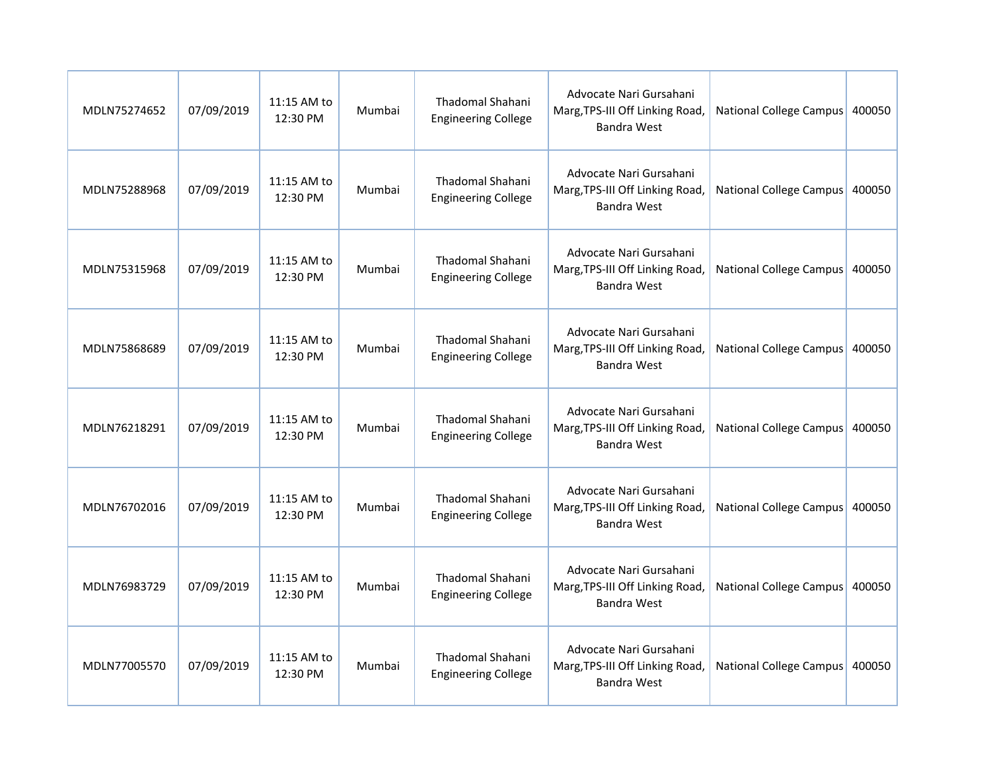| MDLN75274652 | 07/09/2019 | 11:15 AM to<br>12:30 PM | Mumbai | Thadomal Shahani<br><b>Engineering College</b>        | Advocate Nari Gursahani<br>Marg, TPS-III Off Linking Road,<br><b>Bandra West</b> | National College Campus        | 400050 |
|--------------|------------|-------------------------|--------|-------------------------------------------------------|----------------------------------------------------------------------------------|--------------------------------|--------|
| MDLN75288968 | 07/09/2019 | 11:15 AM to<br>12:30 PM | Mumbai | Thadomal Shahani<br><b>Engineering College</b>        | Advocate Nari Gursahani<br>Marg, TPS-III Off Linking Road,<br><b>Bandra West</b> | National College Campus        | 400050 |
| MDLN75315968 | 07/09/2019 | 11:15 AM to<br>12:30 PM | Mumbai | <b>Thadomal Shahani</b><br><b>Engineering College</b> | Advocate Nari Gursahani<br>Marg, TPS-III Off Linking Road,<br><b>Bandra West</b> | National College Campus        | 400050 |
| MDLN75868689 | 07/09/2019 | 11:15 AM to<br>12:30 PM | Mumbai | <b>Thadomal Shahani</b><br><b>Engineering College</b> | Advocate Nari Gursahani<br>Marg, TPS-III Off Linking Road,<br><b>Bandra West</b> | National College Campus        | 400050 |
| MDLN76218291 | 07/09/2019 | 11:15 AM to<br>12:30 PM | Mumbai | Thadomal Shahani<br><b>Engineering College</b>        | Advocate Nari Gursahani<br>Marg, TPS-III Off Linking Road,<br><b>Bandra West</b> | <b>National College Campus</b> | 400050 |
| MDLN76702016 | 07/09/2019 | 11:15 AM to<br>12:30 PM | Mumbai | <b>Thadomal Shahani</b><br><b>Engineering College</b> | Advocate Nari Gursahani<br>Marg, TPS-III Off Linking Road,<br><b>Bandra West</b> | National College Campus 400050 |        |
| MDLN76983729 | 07/09/2019 | 11:15 AM to<br>12:30 PM | Mumbai | Thadomal Shahani<br><b>Engineering College</b>        | Advocate Nari Gursahani<br>Marg, TPS-III Off Linking Road,<br><b>Bandra West</b> | National College Campus        | 400050 |
| MDLN77005570 | 07/09/2019 | 11:15 AM to<br>12:30 PM | Mumbai | Thadomal Shahani<br><b>Engineering College</b>        | Advocate Nari Gursahani<br>Marg, TPS-III Off Linking Road,<br><b>Bandra West</b> | National College Campus        | 400050 |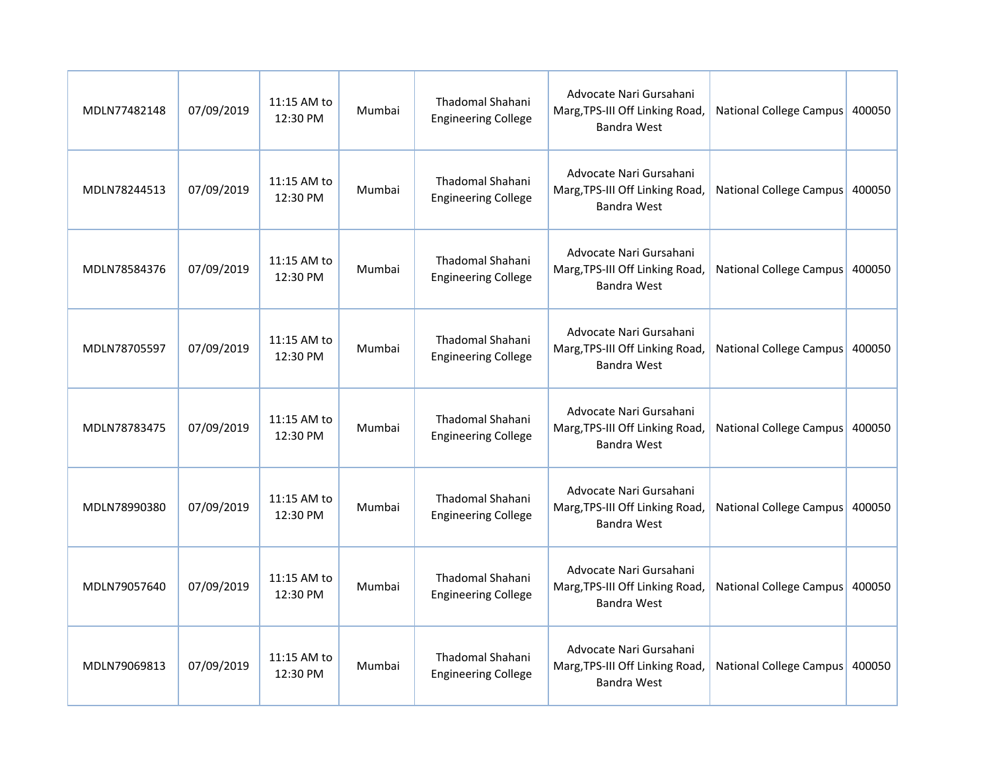| MDLN77482148 | 07/09/2019 | 11:15 AM to<br>12:30 PM | Mumbai | Thadomal Shahani<br><b>Engineering College</b>        | Advocate Nari Gursahani<br>Marg, TPS-III Off Linking Road,<br><b>Bandra West</b> | National College Campus        | 400050 |
|--------------|------------|-------------------------|--------|-------------------------------------------------------|----------------------------------------------------------------------------------|--------------------------------|--------|
| MDLN78244513 | 07/09/2019 | 11:15 AM to<br>12:30 PM | Mumbai | Thadomal Shahani<br><b>Engineering College</b>        | Advocate Nari Gursahani<br>Marg, TPS-III Off Linking Road,<br><b>Bandra West</b> | National College Campus        | 400050 |
| MDLN78584376 | 07/09/2019 | 11:15 AM to<br>12:30 PM | Mumbai | <b>Thadomal Shahani</b><br><b>Engineering College</b> | Advocate Nari Gursahani<br>Marg, TPS-III Off Linking Road,<br><b>Bandra West</b> | National College Campus        | 400050 |
| MDLN78705597 | 07/09/2019 | 11:15 AM to<br>12:30 PM | Mumbai | <b>Thadomal Shahani</b><br><b>Engineering College</b> | Advocate Nari Gursahani<br>Marg, TPS-III Off Linking Road,<br><b>Bandra West</b> | National College Campus        | 400050 |
| MDLN78783475 | 07/09/2019 | 11:15 AM to<br>12:30 PM | Mumbai | Thadomal Shahani<br><b>Engineering College</b>        | Advocate Nari Gursahani<br>Marg, TPS-III Off Linking Road,<br><b>Bandra West</b> | <b>National College Campus</b> | 400050 |
| MDLN78990380 | 07/09/2019 | 11:15 AM to<br>12:30 PM | Mumbai | <b>Thadomal Shahani</b><br><b>Engineering College</b> | Advocate Nari Gursahani<br>Marg, TPS-III Off Linking Road,<br><b>Bandra West</b> | National College Campus 400050 |        |
| MDLN79057640 | 07/09/2019 | 11:15 AM to<br>12:30 PM | Mumbai | Thadomal Shahani<br><b>Engineering College</b>        | Advocate Nari Gursahani<br>Marg, TPS-III Off Linking Road,<br><b>Bandra West</b> | National College Campus        | 400050 |
| MDLN79069813 | 07/09/2019 | 11:15 AM to<br>12:30 PM | Mumbai | Thadomal Shahani<br><b>Engineering College</b>        | Advocate Nari Gursahani<br>Marg, TPS-III Off Linking Road,<br><b>Bandra West</b> | National College Campus        | 400050 |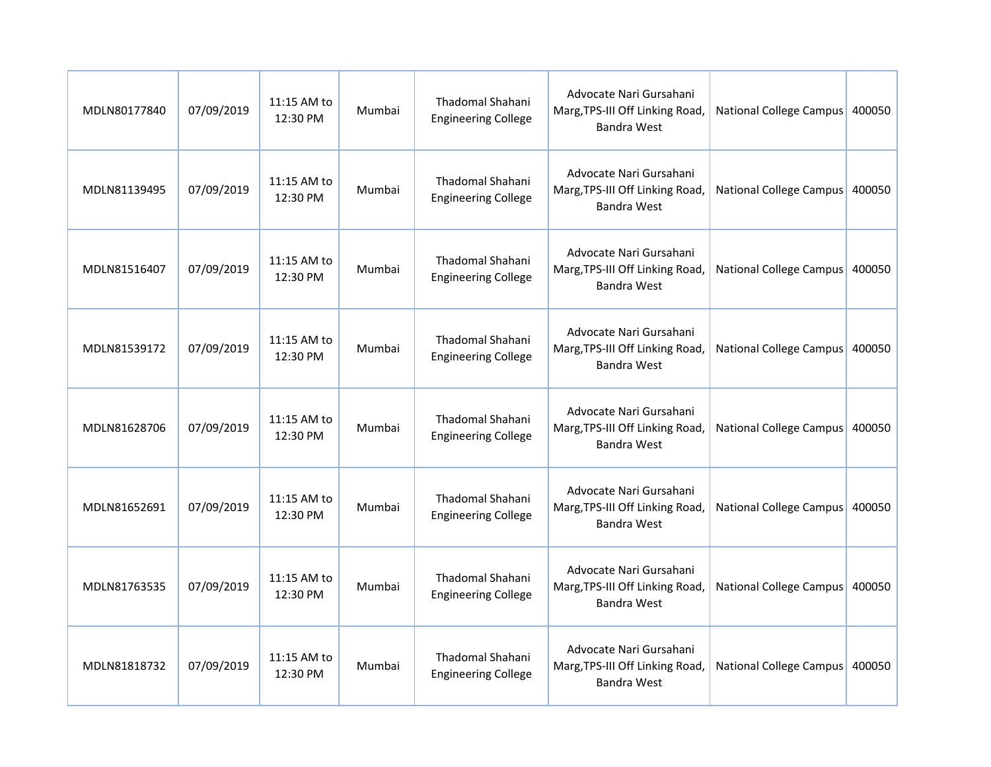| MDLN80177840 | 07/09/2019 | 11:15 AM to<br>12:30 PM | Mumbai | Thadomal Shahani<br><b>Engineering College</b>        | Advocate Nari Gursahani<br>Marg, TPS-III Off Linking Road,<br><b>Bandra West</b> | National College Campus        | 400050 |
|--------------|------------|-------------------------|--------|-------------------------------------------------------|----------------------------------------------------------------------------------|--------------------------------|--------|
| MDLN81139495 | 07/09/2019 | 11:15 AM to<br>12:30 PM | Mumbai | Thadomal Shahani<br><b>Engineering College</b>        | Advocate Nari Gursahani<br>Marg, TPS-III Off Linking Road,<br><b>Bandra West</b> | National College Campus        | 400050 |
| MDLN81516407 | 07/09/2019 | 11:15 AM to<br>12:30 PM | Mumbai | <b>Thadomal Shahani</b><br><b>Engineering College</b> | Advocate Nari Gursahani<br>Marg, TPS-III Off Linking Road,<br><b>Bandra West</b> | National College Campus        | 400050 |
| MDLN81539172 | 07/09/2019 | 11:15 AM to<br>12:30 PM | Mumbai | <b>Thadomal Shahani</b><br><b>Engineering College</b> | Advocate Nari Gursahani<br>Marg, TPS-III Off Linking Road,<br><b>Bandra West</b> | National College Campus        | 400050 |
| MDLN81628706 | 07/09/2019 | 11:15 AM to<br>12:30 PM | Mumbai | Thadomal Shahani<br><b>Engineering College</b>        | Advocate Nari Gursahani<br>Marg, TPS-III Off Linking Road,<br><b>Bandra West</b> | <b>National College Campus</b> | 400050 |
| MDLN81652691 | 07/09/2019 | 11:15 AM to<br>12:30 PM | Mumbai | <b>Thadomal Shahani</b><br><b>Engineering College</b> | Advocate Nari Gursahani<br>Marg, TPS-III Off Linking Road,<br><b>Bandra West</b> | National College Campus 400050 |        |
| MDLN81763535 | 07/09/2019 | 11:15 AM to<br>12:30 PM | Mumbai | Thadomal Shahani<br><b>Engineering College</b>        | Advocate Nari Gursahani<br>Marg, TPS-III Off Linking Road,<br><b>Bandra West</b> | National College Campus        | 400050 |
| MDLN81818732 | 07/09/2019 | 11:15 AM to<br>12:30 PM | Mumbai | Thadomal Shahani<br><b>Engineering College</b>        | Advocate Nari Gursahani<br>Marg, TPS-III Off Linking Road,<br><b>Bandra West</b> | National College Campus        | 400050 |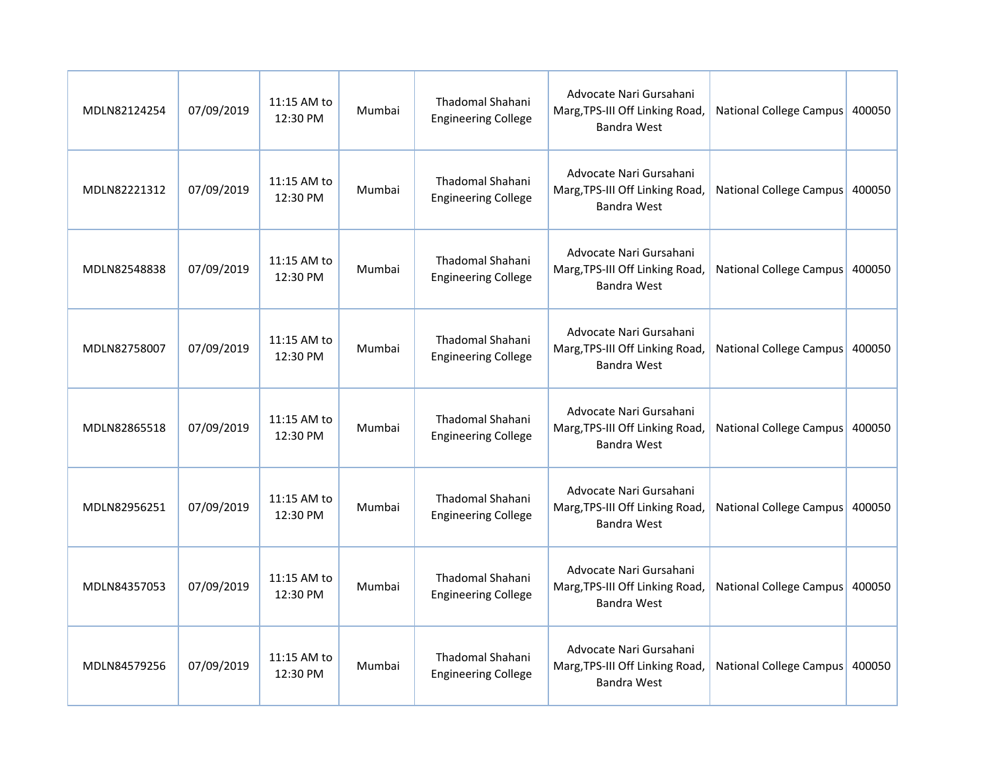| MDLN82124254 | 07/09/2019 | 11:15 AM to<br>12:30 PM | Mumbai | <b>Thadomal Shahani</b><br><b>Engineering College</b> | Advocate Nari Gursahani<br>Marg, TPS-III Off Linking Road,<br><b>Bandra West</b> | National College Campus        | 400050 |
|--------------|------------|-------------------------|--------|-------------------------------------------------------|----------------------------------------------------------------------------------|--------------------------------|--------|
| MDLN82221312 | 07/09/2019 | 11:15 AM to<br>12:30 PM | Mumbai | <b>Thadomal Shahani</b><br><b>Engineering College</b> | Advocate Nari Gursahani<br>Marg, TPS-III Off Linking Road,<br><b>Bandra West</b> | National College Campus        | 400050 |
| MDLN82548838 | 07/09/2019 | 11:15 AM to<br>12:30 PM | Mumbai | <b>Thadomal Shahani</b><br><b>Engineering College</b> | Advocate Nari Gursahani<br>Marg, TPS-III Off Linking Road,<br><b>Bandra West</b> | National College Campus        | 400050 |
| MDLN82758007 | 07/09/2019 | 11:15 AM to<br>12:30 PM | Mumbai | <b>Thadomal Shahani</b><br><b>Engineering College</b> | Advocate Nari Gursahani<br>Marg, TPS-III Off Linking Road,<br><b>Bandra West</b> | National College Campus        | 400050 |
| MDLN82865518 | 07/09/2019 | 11:15 AM to<br>12:30 PM | Mumbai | Thadomal Shahani<br><b>Engineering College</b>        | Advocate Nari Gursahani<br>Marg, TPS-III Off Linking Road,<br><b>Bandra West</b> | <b>National College Campus</b> | 400050 |
| MDLN82956251 | 07/09/2019 | 11:15 AM to<br>12:30 PM | Mumbai | Thadomal Shahani<br><b>Engineering College</b>        | Advocate Nari Gursahani<br>Marg, TPS-III Off Linking Road,<br><b>Bandra West</b> | National College Campus 400050 |        |
| MDLN84357053 | 07/09/2019 | 11:15 AM to<br>12:30 PM | Mumbai | <b>Thadomal Shahani</b><br><b>Engineering College</b> | Advocate Nari Gursahani<br>Marg, TPS-III Off Linking Road,<br><b>Bandra West</b> | National College Campus        | 400050 |
| MDLN84579256 | 07/09/2019 | 11:15 AM to<br>12:30 PM | Mumbai | Thadomal Shahani<br><b>Engineering College</b>        | Advocate Nari Gursahani<br>Marg, TPS-III Off Linking Road,<br><b>Bandra West</b> | National College Campus        | 400050 |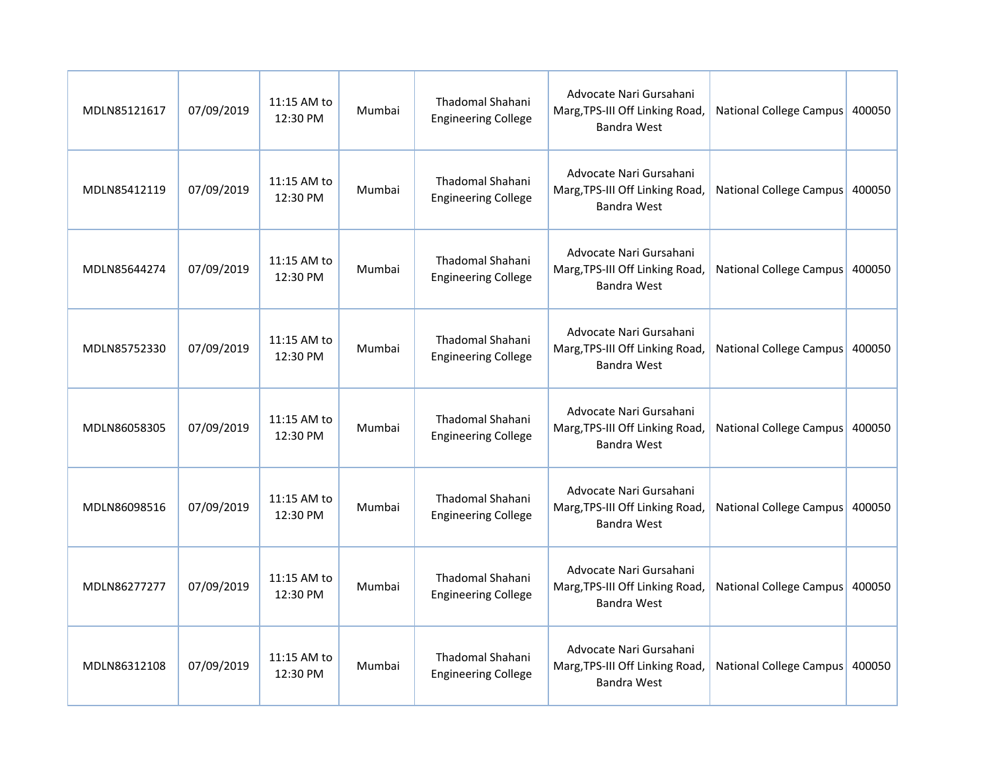| MDLN85121617 | 07/09/2019 | 11:15 AM to<br>12:30 PM | Mumbai | Thadomal Shahani<br><b>Engineering College</b>        | Advocate Nari Gursahani<br>Marg, TPS-III Off Linking Road,<br><b>Bandra West</b> | National College Campus        | 400050 |
|--------------|------------|-------------------------|--------|-------------------------------------------------------|----------------------------------------------------------------------------------|--------------------------------|--------|
| MDLN85412119 | 07/09/2019 | 11:15 AM to<br>12:30 PM | Mumbai | Thadomal Shahani<br><b>Engineering College</b>        | Advocate Nari Gursahani<br>Marg, TPS-III Off Linking Road,<br><b>Bandra West</b> | National College Campus        | 400050 |
| MDLN85644274 | 07/09/2019 | 11:15 AM to<br>12:30 PM | Mumbai | <b>Thadomal Shahani</b><br><b>Engineering College</b> | Advocate Nari Gursahani<br>Marg, TPS-III Off Linking Road,<br><b>Bandra West</b> | National College Campus        | 400050 |
| MDLN85752330 | 07/09/2019 | 11:15 AM to<br>12:30 PM | Mumbai | <b>Thadomal Shahani</b><br><b>Engineering College</b> | Advocate Nari Gursahani<br>Marg, TPS-III Off Linking Road,<br><b>Bandra West</b> | National College Campus        | 400050 |
| MDLN86058305 | 07/09/2019 | 11:15 AM to<br>12:30 PM | Mumbai | Thadomal Shahani<br><b>Engineering College</b>        | Advocate Nari Gursahani<br>Marg, TPS-III Off Linking Road,<br><b>Bandra West</b> | <b>National College Campus</b> | 400050 |
| MDLN86098516 | 07/09/2019 | 11:15 AM to<br>12:30 PM | Mumbai | <b>Thadomal Shahani</b><br><b>Engineering College</b> | Advocate Nari Gursahani<br>Marg, TPS-III Off Linking Road,<br><b>Bandra West</b> | National College Campus 400050 |        |
| MDLN86277277 | 07/09/2019 | 11:15 AM to<br>12:30 PM | Mumbai | Thadomal Shahani<br><b>Engineering College</b>        | Advocate Nari Gursahani<br>Marg, TPS-III Off Linking Road,<br><b>Bandra West</b> | National College Campus        | 400050 |
| MDLN86312108 | 07/09/2019 | 11:15 AM to<br>12:30 PM | Mumbai | Thadomal Shahani<br><b>Engineering College</b>        | Advocate Nari Gursahani<br>Marg, TPS-III Off Linking Road,<br><b>Bandra West</b> | National College Campus        | 400050 |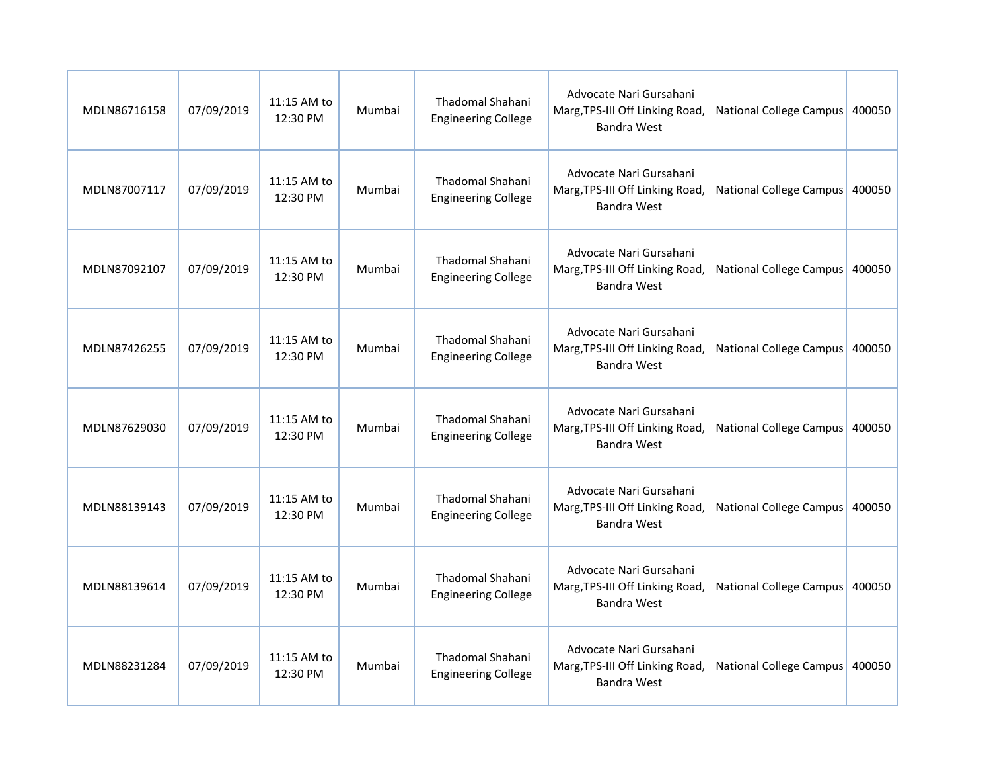| MDLN86716158 | 07/09/2019 | 11:15 AM to<br>12:30 PM | Mumbai | Thadomal Shahani<br><b>Engineering College</b>        | Advocate Nari Gursahani<br>Marg, TPS-III Off Linking Road,<br><b>Bandra West</b> | National College Campus        | 400050 |
|--------------|------------|-------------------------|--------|-------------------------------------------------------|----------------------------------------------------------------------------------|--------------------------------|--------|
| MDLN87007117 | 07/09/2019 | 11:15 AM to<br>12:30 PM | Mumbai | Thadomal Shahani<br><b>Engineering College</b>        | Advocate Nari Gursahani<br>Marg, TPS-III Off Linking Road,<br><b>Bandra West</b> | National College Campus        | 400050 |
| MDLN87092107 | 07/09/2019 | 11:15 AM to<br>12:30 PM | Mumbai | <b>Thadomal Shahani</b><br><b>Engineering College</b> | Advocate Nari Gursahani<br>Marg, TPS-III Off Linking Road,<br><b>Bandra West</b> | National College Campus        | 400050 |
| MDLN87426255 | 07/09/2019 | 11:15 AM to<br>12:30 PM | Mumbai | <b>Thadomal Shahani</b><br><b>Engineering College</b> | Advocate Nari Gursahani<br>Marg, TPS-III Off Linking Road,<br><b>Bandra West</b> | National College Campus        | 400050 |
| MDLN87629030 | 07/09/2019 | 11:15 AM to<br>12:30 PM | Mumbai | Thadomal Shahani<br><b>Engineering College</b>        | Advocate Nari Gursahani<br>Marg, TPS-III Off Linking Road,<br><b>Bandra West</b> | <b>National College Campus</b> | 400050 |
| MDLN88139143 | 07/09/2019 | 11:15 AM to<br>12:30 PM | Mumbai | <b>Thadomal Shahani</b><br><b>Engineering College</b> | Advocate Nari Gursahani<br>Marg, TPS-III Off Linking Road,<br><b>Bandra West</b> | National College Campus 400050 |        |
| MDLN88139614 | 07/09/2019 | 11:15 AM to<br>12:30 PM | Mumbai | Thadomal Shahani<br><b>Engineering College</b>        | Advocate Nari Gursahani<br>Marg, TPS-III Off Linking Road,<br><b>Bandra West</b> | National College Campus        | 400050 |
| MDLN88231284 | 07/09/2019 | 11:15 AM to<br>12:30 PM | Mumbai | Thadomal Shahani<br><b>Engineering College</b>        | Advocate Nari Gursahani<br>Marg, TPS-III Off Linking Road,<br><b>Bandra West</b> | National College Campus        | 400050 |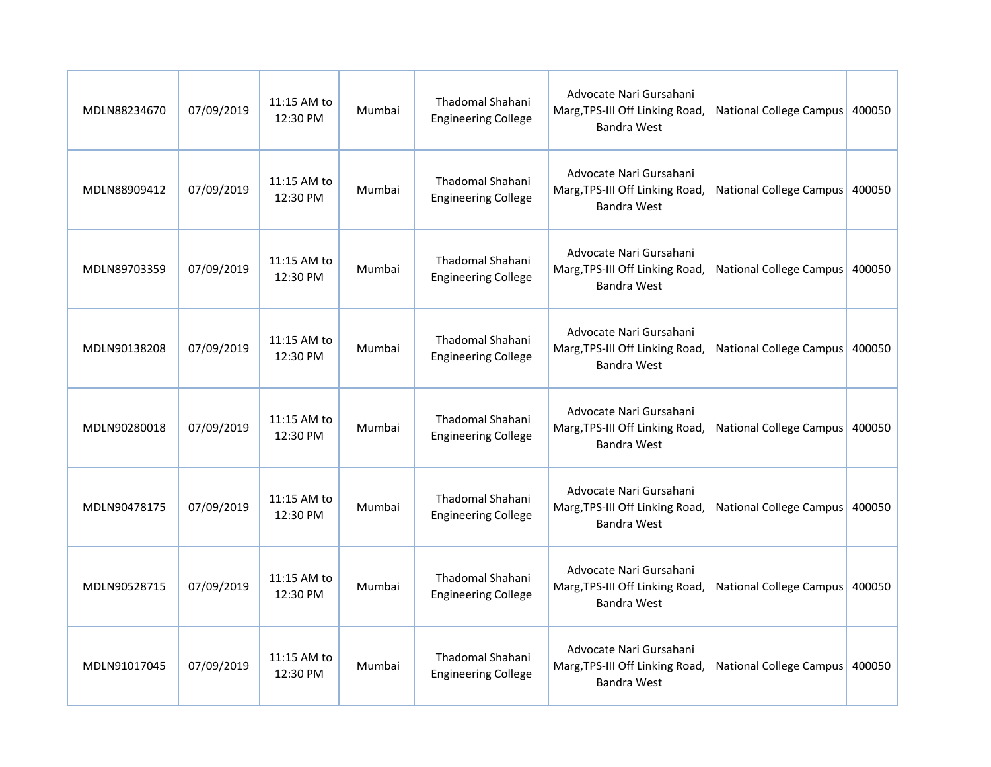| MDLN88234670 | 07/09/2019 | 11:15 AM to<br>12:30 PM | Mumbai | Thadomal Shahani<br><b>Engineering College</b>        | Advocate Nari Gursahani<br>Marg, TPS-III Off Linking Road,<br><b>Bandra West</b> | National College Campus        | 400050 |
|--------------|------------|-------------------------|--------|-------------------------------------------------------|----------------------------------------------------------------------------------|--------------------------------|--------|
| MDLN88909412 | 07/09/2019 | 11:15 AM to<br>12:30 PM | Mumbai | Thadomal Shahani<br><b>Engineering College</b>        | Advocate Nari Gursahani<br>Marg, TPS-III Off Linking Road,<br><b>Bandra West</b> | National College Campus        | 400050 |
| MDLN89703359 | 07/09/2019 | 11:15 AM to<br>12:30 PM | Mumbai | <b>Thadomal Shahani</b><br><b>Engineering College</b> | Advocate Nari Gursahani<br>Marg, TPS-III Off Linking Road,<br><b>Bandra West</b> | National College Campus        | 400050 |
| MDLN90138208 | 07/09/2019 | 11:15 AM to<br>12:30 PM | Mumbai | <b>Thadomal Shahani</b><br><b>Engineering College</b> | Advocate Nari Gursahani<br>Marg, TPS-III Off Linking Road,<br><b>Bandra West</b> | National College Campus        | 400050 |
| MDLN90280018 | 07/09/2019 | 11:15 AM to<br>12:30 PM | Mumbai | Thadomal Shahani<br><b>Engineering College</b>        | Advocate Nari Gursahani<br>Marg, TPS-III Off Linking Road,<br><b>Bandra West</b> | <b>National College Campus</b> | 400050 |
| MDLN90478175 | 07/09/2019 | 11:15 AM to<br>12:30 PM | Mumbai | <b>Thadomal Shahani</b><br><b>Engineering College</b> | Advocate Nari Gursahani<br>Marg, TPS-III Off Linking Road,<br><b>Bandra West</b> | National College Campus 400050 |        |
| MDLN90528715 | 07/09/2019 | 11:15 AM to<br>12:30 PM | Mumbai | Thadomal Shahani<br><b>Engineering College</b>        | Advocate Nari Gursahani<br>Marg, TPS-III Off Linking Road,<br><b>Bandra West</b> | National College Campus        | 400050 |
| MDLN91017045 | 07/09/2019 | 11:15 AM to<br>12:30 PM | Mumbai | Thadomal Shahani<br><b>Engineering College</b>        | Advocate Nari Gursahani<br>Marg, TPS-III Off Linking Road,<br><b>Bandra West</b> | National College Campus        | 400050 |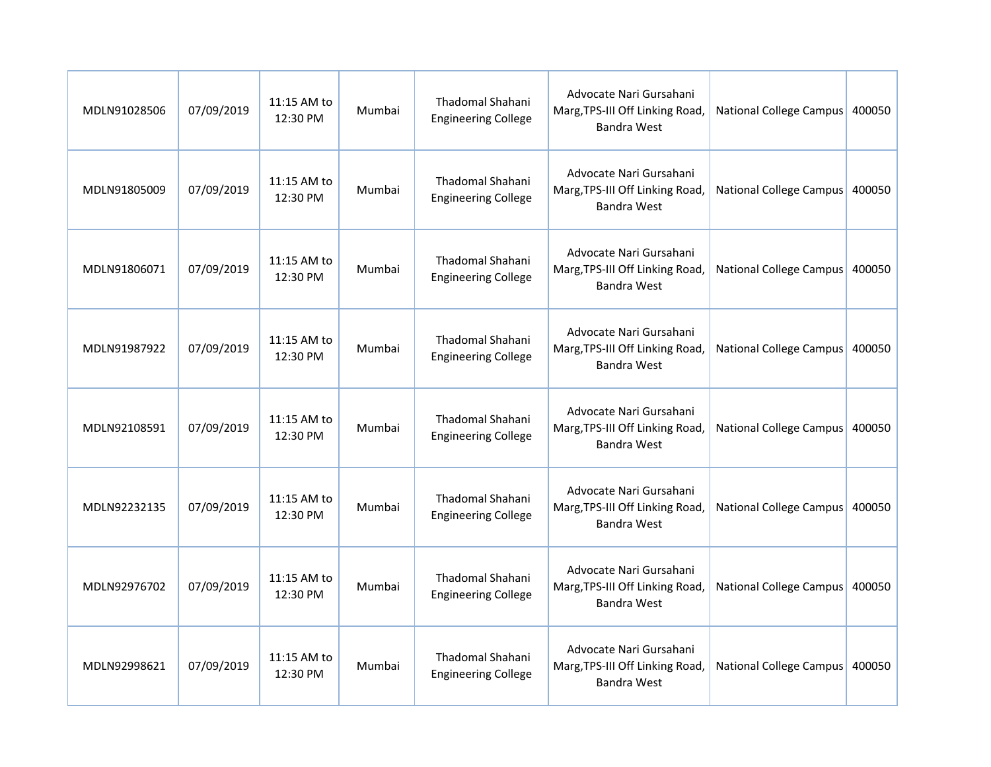| MDLN91028506 | 07/09/2019 | 11:15 AM to<br>12:30 PM | Mumbai | Thadomal Shahani<br><b>Engineering College</b>        | Advocate Nari Gursahani<br>Marg, TPS-III Off Linking Road,<br><b>Bandra West</b> | National College Campus        | 400050 |
|--------------|------------|-------------------------|--------|-------------------------------------------------------|----------------------------------------------------------------------------------|--------------------------------|--------|
| MDLN91805009 | 07/09/2019 | 11:15 AM to<br>12:30 PM | Mumbai | Thadomal Shahani<br><b>Engineering College</b>        | Advocate Nari Gursahani<br>Marg, TPS-III Off Linking Road,<br><b>Bandra West</b> | National College Campus        | 400050 |
| MDLN91806071 | 07/09/2019 | 11:15 AM to<br>12:30 PM | Mumbai | <b>Thadomal Shahani</b><br><b>Engineering College</b> | Advocate Nari Gursahani<br>Marg, TPS-III Off Linking Road,<br><b>Bandra West</b> | National College Campus        | 400050 |
| MDLN91987922 | 07/09/2019 | 11:15 AM to<br>12:30 PM | Mumbai | <b>Thadomal Shahani</b><br><b>Engineering College</b> | Advocate Nari Gursahani<br>Marg, TPS-III Off Linking Road,<br><b>Bandra West</b> | National College Campus        | 400050 |
| MDLN92108591 | 07/09/2019 | 11:15 AM to<br>12:30 PM | Mumbai | Thadomal Shahani<br><b>Engineering College</b>        | Advocate Nari Gursahani<br>Marg, TPS-III Off Linking Road,<br><b>Bandra West</b> | <b>National College Campus</b> | 400050 |
| MDLN92232135 | 07/09/2019 | 11:15 AM to<br>12:30 PM | Mumbai | <b>Thadomal Shahani</b><br><b>Engineering College</b> | Advocate Nari Gursahani<br>Marg, TPS-III Off Linking Road,<br><b>Bandra West</b> | National College Campus 400050 |        |
| MDLN92976702 | 07/09/2019 | 11:15 AM to<br>12:30 PM | Mumbai | Thadomal Shahani<br><b>Engineering College</b>        | Advocate Nari Gursahani<br>Marg, TPS-III Off Linking Road,<br><b>Bandra West</b> | National College Campus        | 400050 |
| MDLN92998621 | 07/09/2019 | 11:15 AM to<br>12:30 PM | Mumbai | Thadomal Shahani<br><b>Engineering College</b>        | Advocate Nari Gursahani<br>Marg, TPS-III Off Linking Road,<br><b>Bandra West</b> | National College Campus        | 400050 |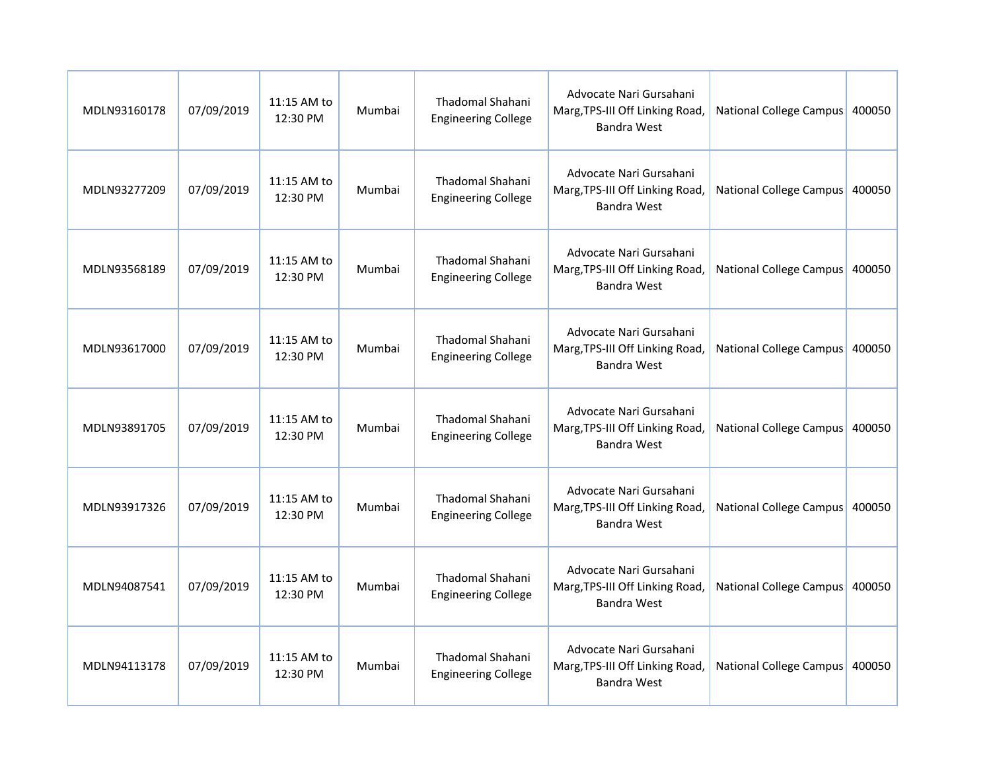| MDLN93160178 | 07/09/2019 | 11:15 AM to<br>12:30 PM | Mumbai | Thadomal Shahani<br><b>Engineering College</b>        | Advocate Nari Gursahani<br>Marg, TPS-III Off Linking Road,<br><b>Bandra West</b> | National College Campus        | 400050 |
|--------------|------------|-------------------------|--------|-------------------------------------------------------|----------------------------------------------------------------------------------|--------------------------------|--------|
| MDLN93277209 | 07/09/2019 | 11:15 AM to<br>12:30 PM | Mumbai | Thadomal Shahani<br><b>Engineering College</b>        | Advocate Nari Gursahani<br>Marg, TPS-III Off Linking Road,<br><b>Bandra West</b> | National College Campus        | 400050 |
| MDLN93568189 | 07/09/2019 | 11:15 AM to<br>12:30 PM | Mumbai | <b>Thadomal Shahani</b><br><b>Engineering College</b> | Advocate Nari Gursahani<br>Marg, TPS-III Off Linking Road,<br><b>Bandra West</b> | National College Campus        | 400050 |
| MDLN93617000 | 07/09/2019 | 11:15 AM to<br>12:30 PM | Mumbai | <b>Thadomal Shahani</b><br><b>Engineering College</b> | Advocate Nari Gursahani<br>Marg, TPS-III Off Linking Road,<br><b>Bandra West</b> | National College Campus        | 400050 |
| MDLN93891705 | 07/09/2019 | 11:15 AM to<br>12:30 PM | Mumbai | Thadomal Shahani<br><b>Engineering College</b>        | Advocate Nari Gursahani<br>Marg, TPS-III Off Linking Road,<br><b>Bandra West</b> | <b>National College Campus</b> | 400050 |
| MDLN93917326 | 07/09/2019 | 11:15 AM to<br>12:30 PM | Mumbai | <b>Thadomal Shahani</b><br><b>Engineering College</b> | Advocate Nari Gursahani<br>Marg, TPS-III Off Linking Road,<br><b>Bandra West</b> | National College Campus 400050 |        |
| MDLN94087541 | 07/09/2019 | 11:15 AM to<br>12:30 PM | Mumbai | Thadomal Shahani<br><b>Engineering College</b>        | Advocate Nari Gursahani<br>Marg, TPS-III Off Linking Road,<br><b>Bandra West</b> | National College Campus        | 400050 |
| MDLN94113178 | 07/09/2019 | 11:15 AM to<br>12:30 PM | Mumbai | Thadomal Shahani<br><b>Engineering College</b>        | Advocate Nari Gursahani<br>Marg, TPS-III Off Linking Road,<br><b>Bandra West</b> | National College Campus        | 400050 |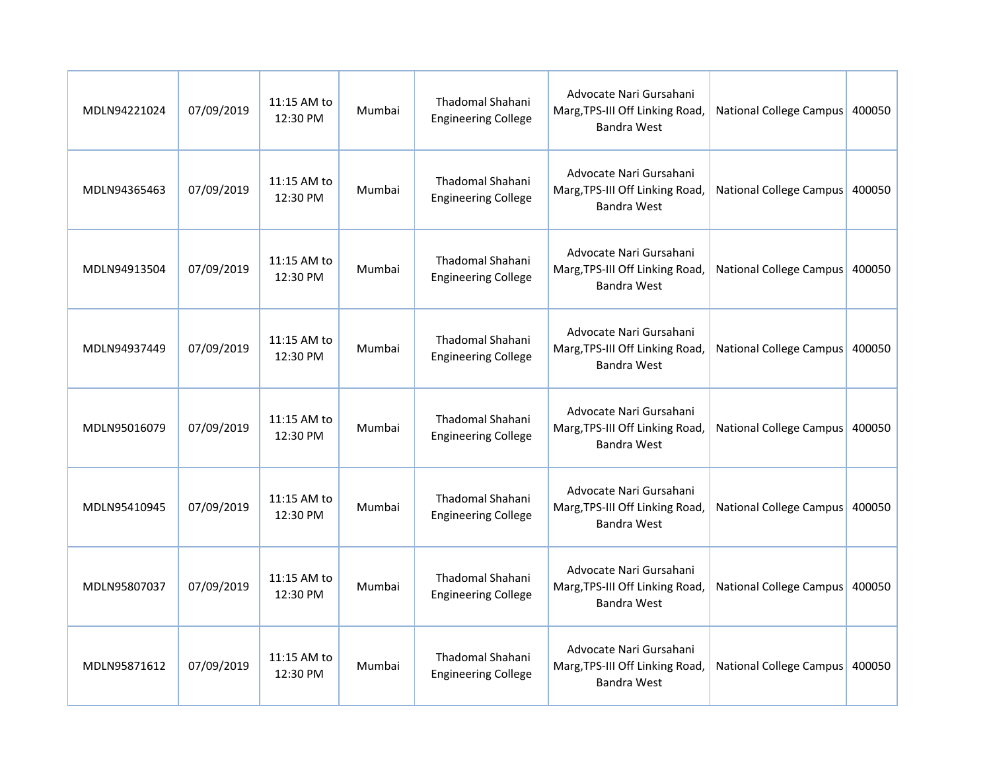| MDLN94221024 | 07/09/2019 | 11:15 AM to<br>12:30 PM | Mumbai | Thadomal Shahani<br><b>Engineering College</b>        | Advocate Nari Gursahani<br>Marg, TPS-III Off Linking Road,<br><b>Bandra West</b> | National College Campus        | 400050 |
|--------------|------------|-------------------------|--------|-------------------------------------------------------|----------------------------------------------------------------------------------|--------------------------------|--------|
| MDLN94365463 | 07/09/2019 | 11:15 AM to<br>12:30 PM | Mumbai | Thadomal Shahani<br><b>Engineering College</b>        | Advocate Nari Gursahani<br>Marg, TPS-III Off Linking Road,<br><b>Bandra West</b> | National College Campus        | 400050 |
| MDLN94913504 | 07/09/2019 | 11:15 AM to<br>12:30 PM | Mumbai | <b>Thadomal Shahani</b><br><b>Engineering College</b> | Advocate Nari Gursahani<br>Marg, TPS-III Off Linking Road,<br><b>Bandra West</b> | National College Campus        | 400050 |
| MDLN94937449 | 07/09/2019 | 11:15 AM to<br>12:30 PM | Mumbai | <b>Thadomal Shahani</b><br><b>Engineering College</b> | Advocate Nari Gursahani<br>Marg, TPS-III Off Linking Road,<br><b>Bandra West</b> | National College Campus        | 400050 |
| MDLN95016079 | 07/09/2019 | 11:15 AM to<br>12:30 PM | Mumbai | Thadomal Shahani<br><b>Engineering College</b>        | Advocate Nari Gursahani<br>Marg, TPS-III Off Linking Road,<br><b>Bandra West</b> | <b>National College Campus</b> | 400050 |
| MDLN95410945 | 07/09/2019 | 11:15 AM to<br>12:30 PM | Mumbai | <b>Thadomal Shahani</b><br><b>Engineering College</b> | Advocate Nari Gursahani<br>Marg, TPS-III Off Linking Road,<br><b>Bandra West</b> | National College Campus 400050 |        |
| MDLN95807037 | 07/09/2019 | 11:15 AM to<br>12:30 PM | Mumbai | Thadomal Shahani<br><b>Engineering College</b>        | Advocate Nari Gursahani<br>Marg, TPS-III Off Linking Road,<br><b>Bandra West</b> | National College Campus        | 400050 |
| MDLN95871612 | 07/09/2019 | 11:15 AM to<br>12:30 PM | Mumbai | Thadomal Shahani<br><b>Engineering College</b>        | Advocate Nari Gursahani<br>Marg, TPS-III Off Linking Road,<br><b>Bandra West</b> | National College Campus        | 400050 |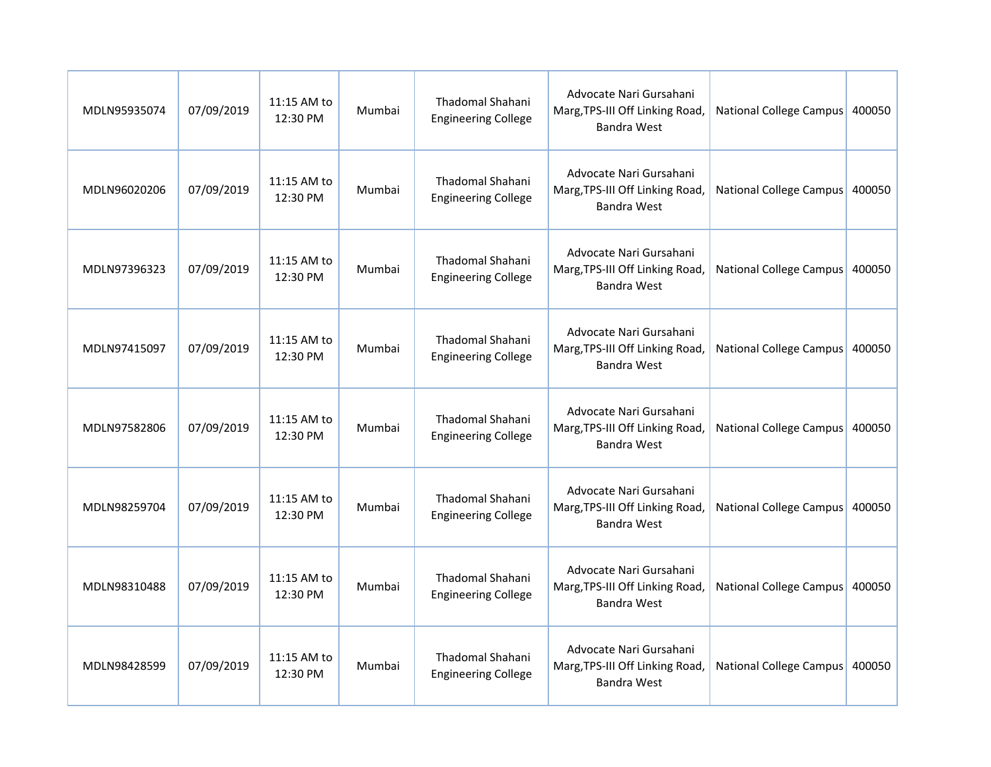| MDLN95935074 | 07/09/2019 | 11:15 AM to<br>12:30 PM | Mumbai | Thadomal Shahani<br><b>Engineering College</b>        | Advocate Nari Gursahani<br>Marg, TPS-III Off Linking Road,<br><b>Bandra West</b> | National College Campus        | 400050 |
|--------------|------------|-------------------------|--------|-------------------------------------------------------|----------------------------------------------------------------------------------|--------------------------------|--------|
| MDLN96020206 | 07/09/2019 | 11:15 AM to<br>12:30 PM | Mumbai | Thadomal Shahani<br><b>Engineering College</b>        | Advocate Nari Gursahani<br>Marg, TPS-III Off Linking Road,<br><b>Bandra West</b> | National College Campus        | 400050 |
| MDLN97396323 | 07/09/2019 | 11:15 AM to<br>12:30 PM | Mumbai | <b>Thadomal Shahani</b><br><b>Engineering College</b> | Advocate Nari Gursahani<br>Marg, TPS-III Off Linking Road,<br><b>Bandra West</b> | National College Campus        | 400050 |
| MDLN97415097 | 07/09/2019 | 11:15 AM to<br>12:30 PM | Mumbai | <b>Thadomal Shahani</b><br><b>Engineering College</b> | Advocate Nari Gursahani<br>Marg, TPS-III Off Linking Road,<br><b>Bandra West</b> | National College Campus        | 400050 |
| MDLN97582806 | 07/09/2019 | 11:15 AM to<br>12:30 PM | Mumbai | Thadomal Shahani<br><b>Engineering College</b>        | Advocate Nari Gursahani<br>Marg, TPS-III Off Linking Road,<br><b>Bandra West</b> | <b>National College Campus</b> | 400050 |
| MDLN98259704 | 07/09/2019 | 11:15 AM to<br>12:30 PM | Mumbai | <b>Thadomal Shahani</b><br><b>Engineering College</b> | Advocate Nari Gursahani<br>Marg, TPS-III Off Linking Road,<br><b>Bandra West</b> | National College Campus 400050 |        |
| MDLN98310488 | 07/09/2019 | 11:15 AM to<br>12:30 PM | Mumbai | Thadomal Shahani<br><b>Engineering College</b>        | Advocate Nari Gursahani<br>Marg, TPS-III Off Linking Road,<br><b>Bandra West</b> | National College Campus        | 400050 |
| MDLN98428599 | 07/09/2019 | 11:15 AM to<br>12:30 PM | Mumbai | Thadomal Shahani<br><b>Engineering College</b>        | Advocate Nari Gursahani<br>Marg, TPS-III Off Linking Road,<br><b>Bandra West</b> | National College Campus        | 400050 |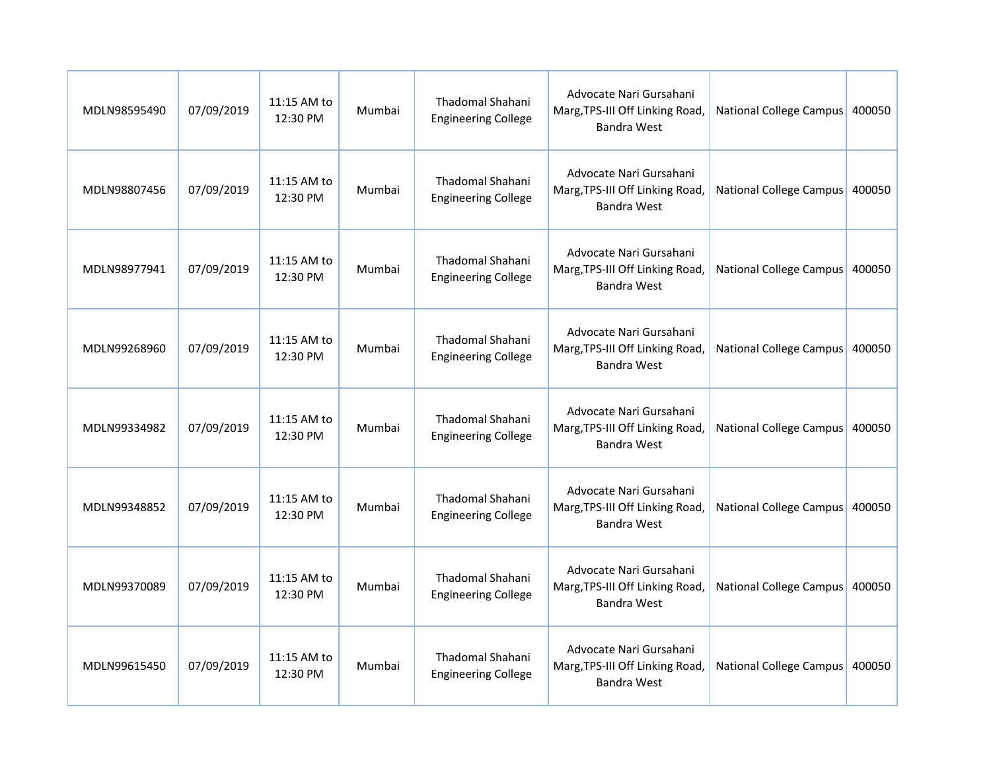| MDLN98595490 | 07/09/2019 | 11:15 AM to<br>12:30 PM | Mumbai | Thadomal Shahani<br><b>Engineering College</b>        | Advocate Nari Gursahani<br>Marg, TPS-III Off Linking Road,<br><b>Bandra West</b> | National College Campus        | 400050 |
|--------------|------------|-------------------------|--------|-------------------------------------------------------|----------------------------------------------------------------------------------|--------------------------------|--------|
| MDLN98807456 | 07/09/2019 | 11:15 AM to<br>12:30 PM | Mumbai | Thadomal Shahani<br><b>Engineering College</b>        | Advocate Nari Gursahani<br>Marg, TPS-III Off Linking Road,<br><b>Bandra West</b> | National College Campus        | 400050 |
| MDLN98977941 | 07/09/2019 | 11:15 AM to<br>12:30 PM | Mumbai | <b>Thadomal Shahani</b><br><b>Engineering College</b> | Advocate Nari Gursahani<br>Marg, TPS-III Off Linking Road,<br><b>Bandra West</b> | National College Campus        | 400050 |
| MDLN99268960 | 07/09/2019 | 11:15 AM to<br>12:30 PM | Mumbai | <b>Thadomal Shahani</b><br><b>Engineering College</b> | Advocate Nari Gursahani<br>Marg, TPS-III Off Linking Road,<br><b>Bandra West</b> | National College Campus        | 400050 |
| MDLN99334982 | 07/09/2019 | 11:15 AM to<br>12:30 PM | Mumbai | Thadomal Shahani<br><b>Engineering College</b>        | Advocate Nari Gursahani<br>Marg, TPS-III Off Linking Road,<br><b>Bandra West</b> | <b>National College Campus</b> | 400050 |
| MDLN99348852 | 07/09/2019 | 11:15 AM to<br>12:30 PM | Mumbai | <b>Thadomal Shahani</b><br><b>Engineering College</b> | Advocate Nari Gursahani<br>Marg, TPS-III Off Linking Road,<br><b>Bandra West</b> | National College Campus 400050 |        |
| MDLN99370089 | 07/09/2019 | 11:15 AM to<br>12:30 PM | Mumbai | Thadomal Shahani<br><b>Engineering College</b>        | Advocate Nari Gursahani<br>Marg, TPS-III Off Linking Road,<br><b>Bandra West</b> | National College Campus        | 400050 |
| MDLN99615450 | 07/09/2019 | 11:15 AM to<br>12:30 PM | Mumbai | Thadomal Shahani<br><b>Engineering College</b>        | Advocate Nari Gursahani<br>Marg, TPS-III Off Linking Road,<br><b>Bandra West</b> | National College Campus        | 400050 |